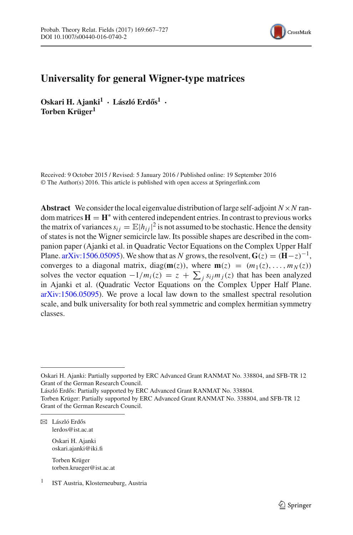

# **Universality for general Wigner-type matrices**

**Oskari H. Ajanki<sup>1</sup> • László Erdős<sup>1</sup> • Torben Krüger1**

Received: 9 October 2015 / Revised: 5 January 2016 / Published online: 19 September 2016 © The Author(s) 2016. This article is published with open access at Springerlink.com

**Abstract** We consider the local eigenvalue distribution of large self-adjoint  $N \times N$  random matrices  $H = H^*$  with centered independent entries. In contrast to previous works the matrix of variances  $s_{ij} = \mathbb{E}|h_{ij}|^2$  is not assumed to be stochastic. Hence the density of states is not the Wigner semicircle law. Its possible shapes are described in the companion paper (Ajanki et al. in Quadratic Vector Equations on the Complex Upper Half Plane. [arXiv:1506.05095\)](http://arxiv.org/abs/1506.05095). We show that as *N* grows, the resolvent,  $\mathbf{G}(z) = (\mathbf{H} - z)^{-1}$ , converges to a diagonal matrix, diag( $\mathbf{m}(z)$ ), where  $\mathbf{m}(z) = (m_1(z), \dots, m_N(z))$ solves the vector equation  $-1/m_i(z) = z + \sum_j s_{ij} m_j(z)$  that has been analyzed in Ajanki et al. (Quadratic Vector Equations on the Complex Upper Half Plane. [arXiv:1506.05095\)](http://arxiv.org/abs/1506.05095). We prove a local law down to the smallest spectral resolution scale, and bulk universality for both real symmetric and complex hermitian symmetry classes.

László Erdős: Partially supported by ERC Advanced Grant RANMAT No. 338804.

Oskari H. Ajanki oskari.ajanki@iki.fi

Torben Krüger torben.krueger@ist.ac.at

Oskari H. Ajanki: Partially supported by ERC Advanced Grant RANMAT No. 338804, and SFB-TR 12 Grant of the German Research Council.

Torben Krüger: Partially supported by ERC Advanced Grant RANMAT No. 338804, and SFB-TR 12 Grant of the German Research Council.

 $\boxtimes~$ László Erdős lerdos@ist.ac.at

<sup>&</sup>lt;sup>1</sup> IST Austria, Klosterneuburg, Austria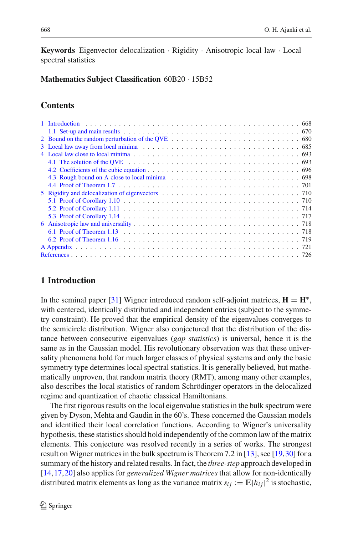**Keywords** Eigenvector delocalization · Rigidity · Anisotropic local law · Local spectral statistics

**Mathematics Subject Classification** 60B20 · 15B52

# **Contents**

| 3 Local law away from local minima enterpretation of the set of the set of the set of the set of the set of the set of the set of the set of the set of the set of the set of the set of the set of the set of the set of the  |  |
|--------------------------------------------------------------------------------------------------------------------------------------------------------------------------------------------------------------------------------|--|
|                                                                                                                                                                                                                                |  |
|                                                                                                                                                                                                                                |  |
|                                                                                                                                                                                                                                |  |
|                                                                                                                                                                                                                                |  |
|                                                                                                                                                                                                                                |  |
| 5 Rigidity and delocalization of eigenvectors enters on the set of the set of the set of the set of the set of the set of the set of the set of the set of the set of the set of the set of the set of the set of the set of t |  |
|                                                                                                                                                                                                                                |  |
|                                                                                                                                                                                                                                |  |
|                                                                                                                                                                                                                                |  |
|                                                                                                                                                                                                                                |  |
|                                                                                                                                                                                                                                |  |
|                                                                                                                                                                                                                                |  |
|                                                                                                                                                                                                                                |  |
|                                                                                                                                                                                                                                |  |

# <span id="page-1-0"></span>**1 Introduction**

In the seminal paper [\[31](#page-60-0)] Wigner introduced random self-adjoint matrices,  $\mathbf{H} = \mathbf{H}^*$ , with centered, identically distributed and independent entries (subject to the symmetry constraint). He proved that the empirical density of the eigenvalues converges to the semicircle distribution. Wigner also conjectured that the distribution of the distance between consecutive eigenvalues (*gap statistics*) is universal, hence it is the same as in the Gaussian model. His revolutionary observation was that these universality phenomena hold for much larger classes of physical systems and only the basic symmetry type determines local spectral statistics. It is generally believed, but mathematically unproven, that random matrix theory (RMT), among many other examples, also describes the local statistics of random Schrödinger operators in the delocalized regime and quantization of chaotic classical Hamiltonians.

The first rigorous results on the local eigenvalue statistics in the bulk spectrum were given by Dyson, Mehta and Gaudin in the 60's. These concerned the Gaussian models and identified their local correlation functions. According to Wigner's universality hypothesis, these statistics should hold independently of the common law of the matrix elements. This conjecture was resolved recently in a series of works. The strongest result on Wigner matrices in the bulk spectrum is Theorem 7.2 in [\[13\]](#page-59-1), see [\[19](#page-60-1)[,30](#page-60-2)] for a summary of the history and related results. In fact, the *three-step* approach developed in [\[14](#page-59-2)[,17](#page-60-3),[20](#page-60-4)] also applies for *generalized Wigner matrices* that allow for non-identically distributed matrix elements as long as the variance matrix  $s_{ij} := \mathbb{E}|h_{ij}|^2$  is stochastic,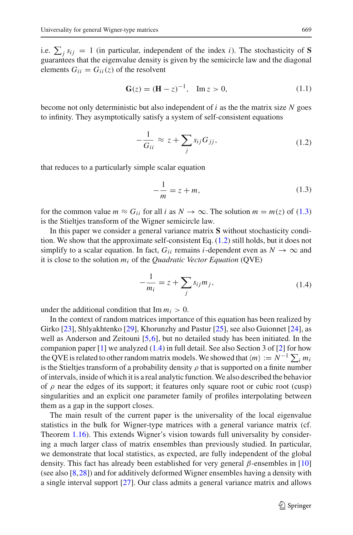i.e.  $\sum_j s_{ij} = 1$  (in particular, independent of the index *i*). The stochasticity of **S** guarantees that the eigenvalue density is given by the semicircle law and the diagonal elements  $G_{ii} = G_{ii}(z)$  of the resolvent

$$
\mathbf{G}(z) = (\mathbf{H} - z)^{-1}, \quad \text{Im}\, z > 0,\tag{1.1}
$$

<span id="page-2-3"></span>become not only deterministic but also independent of *i* as the the matrix size *N* goes to infinity. They asymptotically satisfy a system of self-consistent equations

$$
-\frac{1}{G_{ii}} \approx z + \sum_{j} s_{ij} G_{jj}, \qquad (1.2)
$$

<span id="page-2-1"></span><span id="page-2-0"></span>that reduces to a particularly simple scalar equation

$$
-\frac{1}{m} = z + m,\tag{1.3}
$$

for the common value  $m \approx G_{ii}$  for all *i* as  $N \to \infty$ . The solution  $m = m(z)$  of [\(1.3\)](#page-2-0) is the Stieltjes transform of the Wigner semicircle law.

In this paper we consider a general variance matrix **S** without stochasticity condition. We show that the approximate self-consistent Eq. [\(1.2\)](#page-2-1) still holds, but it does not simplify to a scalar equation. In fact,  $G_{ii}$  remains *i*-dependent even as  $N \to \infty$  and it is close to the solution *mi* of the *Quadratic Vector Equation* (QVE)

$$
-\frac{1}{m_i} = z + \sum_j s_{ij} m_j,\tag{1.4}
$$

<span id="page-2-2"></span>under the additional condition that  $\text{Im } m_i > 0$ .

In the context of random matrices importance of this equation has been realized by Girko [\[23](#page-60-5)], Shlyakhtenko [\[29](#page-60-6)], Khorunzhy and Pastur [\[25\]](#page-60-7), see also Guionnet [\[24\]](#page-60-8), as well as Anderson and Zeitouni [\[5](#page-59-3),[6\]](#page-59-4), but no detailed study has been initiated. In the companion paper  $[1]$  we analyzed  $(1.4)$  in full detail. See also Section 3 of  $[2]$  $[2]$  for how the QVE is related to other random matrix models. We showed that  $\langle m \rangle := N^{-1} \sum_i m_i$ is the Stieltjes transform of a probability density  $\rho$  that is supported on a finite number of intervals, inside of which it is a real analytic function.We also described the behavior of  $\rho$  near the edges of its support; it features only square root or cubic root (cusp) singularities and an explicit one parameter family of profiles interpolating between them as a gap in the support closes.

The main result of the current paper is the universality of the local eigenvalue statistics in the bulk for Wigner-type matrices with a general variance matrix (cf. Theorem [1.16\)](#page-12-0). This extends Wigner's vision towards full universality by considering a much larger class of matrix ensembles than previously studied. In particular, we demonstrate that local statistics, as expected, are fully independent of the global density. This fact has already been established for very general  $\beta$ -ensembles in [\[10\]](#page-59-7) (see also [\[8](#page-59-8),[28](#page-60-9)]) and for additively deformed Wigner ensembles having a density with a single interval support [\[27](#page-60-10)]. Our class admits a general variance matrix and allows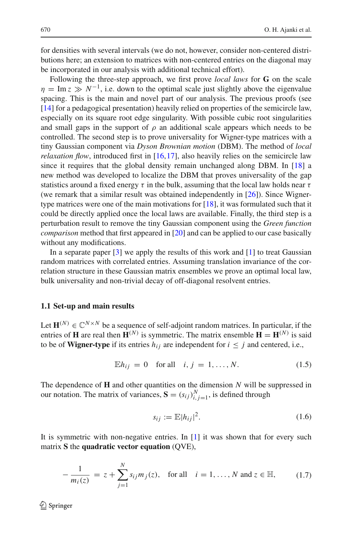for densities with several intervals (we do not, however, consider non-centered distributions here; an extension to matrices with non-centered entries on the diagonal may be incorporated in our analysis with additional technical effort).

Following the three-step approach, we first prove *local laws* for **G** on the scale  $\eta = \text{Im } z \gg N^{-1}$ , i.e. down to the optimal scale just slightly above the eigenvalue spacing. This is the main and novel part of our analysis. The previous proofs (see [\[14](#page-59-2)] for a pedagogical presentation) heavily relied on properties of the semicircle law, especially on its square root edge singularity. With possible cubic root singularities and small gaps in the support of  $\rho$  an additional scale appears which needs to be controlled. The second step is to prove universality for Wigner-type matrices with a tiny Gaussian component via *Dyson Brownian motion* (DBM). The method of *local relaxation flow*, introduced first in [\[16](#page-59-9),[17\]](#page-60-3), also heavily relies on the semicircle law since it requires that the global density remain unchanged along DBM. In [\[18](#page-60-11)] a new method was developed to localize the DBM that proves universality of the gap statistics around a fixed energy  $\tau$  in the bulk, assuming that the local law holds near  $\tau$ (we remark that a similar result was obtained independently in [\[26\]](#page-60-12)). Since Wignertype matrices were one of the main motivations for [\[18](#page-60-11)], it was formulated such that it could be directly applied once the local laws are available. Finally, the third step is a perturbation result to remove the tiny Gaussian component using the *Green function comparison* method that first appeared in [\[20\]](#page-60-4) and can be applied to our case basically without any modifications.

In a separate paper  $[3]$  we apply the results of this work and  $[1]$  to treat Gaussian random matrices with correlated entries. Assuming translation invariance of the correlation structure in these Gaussian matrix ensembles we prove an optimal local law, bulk universality and non-trivial decay of off-diagonal resolvent entries.

#### <span id="page-3-0"></span>**1.1 Set-up and main results**

Let  $\mathbf{H}^{(N)} \in \mathbb{C}^{N \times N}$  be a sequence of self-adjoint random matrices. In particular, if the entries of **H** are real then  $\mathbf{H}^{(N)}$  is symmetric. The matrix ensemble  $\mathbf{H} = \mathbf{H}^{(N)}$  is said to be of **Wigner-type** if its entries  $h_{ij}$  are independent for  $i \leq j$  and centered, i.e.,

$$
\mathbb{E}h_{ij} = 0 \quad \text{for all} \quad i, j = 1, \dots, N. \tag{1.5}
$$

The dependence of **H** and other quantities on the dimension *N* will be suppressed in our notation. The matrix of variances,  $\mathbf{S} = (s_{ij})_{i,j=1}^N$ , is defined through

$$
s_{ij} := \mathbb{E}|h_{ij}|^2. \tag{1.6}
$$

<span id="page-3-1"></span>It is symmetric with non-negative entries. In  $[1]$  it was shown that for every such matrix **S** the **quadratic vector equation** (QVE),

$$
-\frac{1}{m_i(z)} = z + \sum_{j=1}^{N} s_{ij} m_j(z), \text{ for all } i = 1, ..., N \text{ and } z \in \mathbb{H}, \quad (1.7)
$$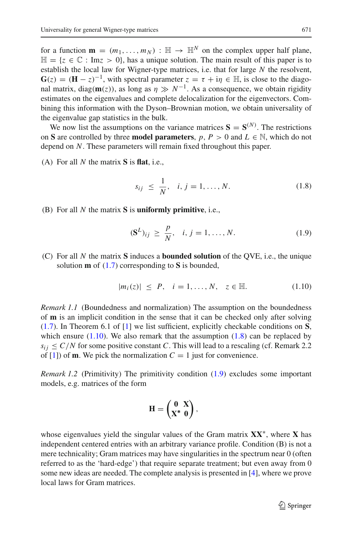for a function  $\mathbf{m} = (m_1, \dots, m_N) : \mathbb{H} \to \mathbb{H}^N$  on the complex upper half plane,  $\mathbb{H} = \{z \in \mathbb{C} : \text{Im} z > 0\}$ , has a unique solution. The main result of this paper is to establish the local law for Wigner-type matrices, i.e. that for large *N* the resolvent,  $G(z) = (H - z)^{-1}$ , with spectral parameter  $z = \tau + i\eta \in \mathbb{H}$ , is close to the diagonal matrix, diag( $m(z)$ ), as long as  $\eta \gg N^{-1}$ . As a consequence, we obtain rigidity estimates on the eigenvalues and complete delocalization for the eigenvectors. Combining this information with the Dyson–Brownian motion, we obtain universality of the eigenvalue gap statistics in the bulk.

We now list the assumptions on the variance matrices  $S = S^{(N)}$ . The restrictions on **S** are controlled by three **model parameters**,  $p, P > 0$  and  $L \in \mathbb{N}$ , which do not depend on *N*. These parameters will remain fixed throughout this paper.

<span id="page-4-1"></span>(A) For all *N* the matrix **S** is **flat**, i.e.,

$$
s_{ij} \le \frac{1}{N}, \quad i, j = 1, \dots, N. \tag{1.8}
$$

<span id="page-4-2"></span>(B) For all *N* the matrix **S** is **uniformly primitive**, i.e.,

$$
(\mathbf{S}^{L})_{ij} \ge \frac{p}{N}, \quad i, j = 1, ..., N. \tag{1.9}
$$

(C) For all *N* the matrix **S** induces a **bounded solution** of the QVE, i.e., the unique solution **m** of [\(1.7\)](#page-3-1) corresponding to **S** is bounded,

$$
|m_i(z)| \le P, \quad i = 1, ..., N, \quad z \in \mathbb{H}.
$$
 (1.10)

<span id="page-4-0"></span>*Remark 1.1* (Boundedness and normalization) The assumption on the boundedness of **m** is an implicit condition in the sense that it can be checked only after solving [\(1.7\)](#page-3-1). In Theorem 6.1 of [\[1\]](#page-59-5) we list sufficient, explicitly checkable conditions on **S**, which ensure  $(1.10)$ . We also remark that the assumption  $(1.8)$  can be replaced by  $s_{ij} \leq C/N$  for some positive constant *C*. This will lead to a rescaling (cf. Remark 2.2) of [\[1\]](#page-59-5)) of **m**. We pick the normalization  $C = 1$  just for convenience.

*Remark 1.2* (Primitivity) The primitivity condition [\(1.9\)](#page-4-2) excludes some important models, e.g. matrices of the form

$$
H = \begin{pmatrix} 0 & X \\ X^* & 0 \end{pmatrix},
$$

whose eigenvalues yield the singular values of the Gram matrix **XX**∗, where **X** has independent centered entries with an arbitrary variance profile. Condition (B) is not a mere technicality; Gram matrices may have singularities in the spectrum near 0 (often referred to as the 'hard-edge') that require separate treatment; but even away from 0 some new ideas are needed. The complete analysis is presented in [\[4](#page-59-11)], where we prove local laws for Gram matrices.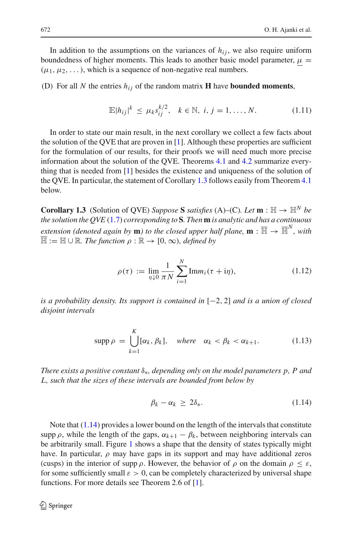In addition to the assumptions on the variances of  $h_{ij}$ , we also require uniform boundedness of higher moments. This leads to another basic model parameter,  $\mu =$  $(\mu_1, \mu_2, \dots)$ , which is a sequence of non-negative real numbers.

<span id="page-5-4"></span>(D) For all *N* the entries  $h_{ij}$  of the random matrix **H** have **bounded moments**,

$$
\mathbb{E}|h_{ij}|^{k} \le \mu_{k} s_{ij}^{k/2}, \quad k \in \mathbb{N}, \ i, j = 1, ..., N. \tag{1.11}
$$

In order to state our main result, in the next corollary we collect a few facts about the solution of the QVE that are proven in  $[1]$  $[1]$ . Although these properties are sufficient for the formulation of our results, for their proofs we will need much more precise information about the solution of the QVE. Theorems [4.1](#page-26-2) and [4.2](#page-27-0) summarize everything that is needed from [\[1](#page-59-5)] besides the existence and uniqueness of the solution of the QVE. In particular, the statement of Corollary [1.3](#page-5-0) follows easily from Theorem [4.1](#page-26-2) below.

<span id="page-5-0"></span>**Corollary 1.3** (Solution of QVE) *Suppose* **S** *satisfies* (A)–(C)*. Let*  $\mathbf{m}: \mathbb{H} \to \mathbb{H}^N$  *be the solution the QVE* [\(1.7\)](#page-3-1) *corresponding to* **S***. Then* **m** *is analytic and has a continuous extension (denoted again by* **m***) to the closed upper half plane,*  $\mathbf{m} : \overline{\mathbb{H}} \to \overline{\mathbb{H}}^N$ *, with*  $\overline{\mathbb{H}} := \mathbb{H} \cup \mathbb{R}$ *. The function*  $\rho : \mathbb{R} \to [0, \infty)$ *, defined by* 

$$
\rho(\tau) := \lim_{\eta \downarrow 0} \frac{1}{\pi N} \sum_{i=1}^{N} \text{Im} m_i(\tau + i\eta), \tag{1.12}
$$

<span id="page-5-2"></span>*is a probability density. Its support is contained in* [−2, 2] *and is a union of closed disjoint intervals*

$$
\operatorname{supp} \rho = \bigcup_{k=1}^{K} [\alpha_k, \beta_k], \quad \text{where} \quad \alpha_k < \beta_k < \alpha_{k+1}. \tag{1.13}
$$

<span id="page-5-3"></span>*There exists a positive constant* δ∗*, depending only on the model parameters p, P and L, such that the sizes of these intervals are bounded from below by*

$$
\beta_k - \alpha_k \ge 2\delta_*.\tag{1.14}
$$

<span id="page-5-1"></span>Note that [\(1.14\)](#page-5-1) provides a lower bound on the length of the intervals that constitute supp  $\rho$ , while the length of the gaps,  $\alpha_{k+1} - \beta_k$ , between neighboring intervals can be arbitrarily small. Figure [1](#page-6-0) shows a shape that the density of states typically might have. In particular,  $\rho$  may have gaps in its support and may have additional zeros (cusps) in the interior of supp  $\rho$ . However, the behavior of  $\rho$  on the domain  $\rho \leq \varepsilon$ , for some sufficiently small  $\varepsilon > 0$ , can be completely characterized by universal shape functions. For more details see Theorem 2.6 of [\[1](#page-59-5)].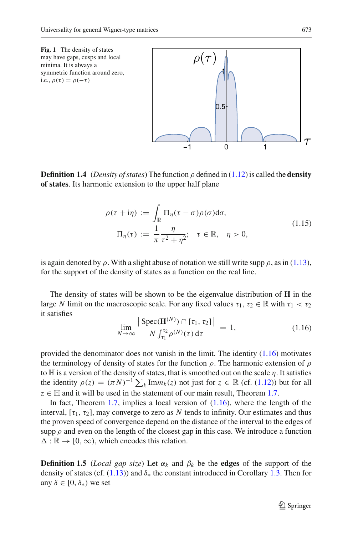<span id="page-6-0"></span>

**Definition 1.4** (*Density of states*) The function  $\rho$  defined in [\(1.12\)](#page-5-2) is called the **density of states**. Its harmonic extension to the upper half plane

$$
\rho(\tau + i\eta) := \int_{\mathbb{R}} \Pi_{\eta}(\tau - \sigma) \rho(\sigma) d\sigma,
$$
  

$$
\Pi_{\eta}(\tau) := \frac{1}{\pi} \frac{\eta}{\tau^2 + \eta^2}; \quad \tau \in \mathbb{R}, \quad \eta > 0,
$$
 (1.15)

<span id="page-6-3"></span>is again denoted by  $\rho$ . With a slight abuse of notation we still write supp  $\rho$ , as in [\(1.13\)](#page-5-3), for the support of the density of states as a function on the real line.

The density of states will be shown to be the eigenvalue distribution of **H** in the large *N* limit on the macroscopic scale. For any fixed values  $\tau_1, \tau_2 \in \mathbb{R}$  with  $\tau_1 < \tau_2$ it satisfies

$$
\lim_{N \to \infty} \frac{\left| \text{Spec}(\mathbf{H}^{(N)}) \cap [\tau_1, \tau_2] \right|}{N \int_{\tau_1}^{\tau_2} \rho^{(N)}(\tau) \, \mathrm{d}\tau} = 1,\tag{1.16}
$$

<span id="page-6-1"></span>provided the denominator does not vanish in the limit. The identity  $(1.16)$  motivates the terminology of density of states for the function  $\rho$ . The harmonic extension of  $\rho$ to  $\mathbb H$  is a version of the density of states, that is smoothed out on the scale  $\eta$ . It satisfies the identity  $\rho(z) = (\pi N)^{-1} \sum_{k} \text{Im} m_k(z)$  not just for  $z \in \mathbb{R}$  (cf. [\(1.12\)](#page-5-2)) but for all  $z \in \overline{\mathbb{H}}$  and it will be used in the statement of our main result, Theorem [1.7.](#page-7-0)

In fact, Theorem [1.7,](#page-7-0) implies a local version of  $(1.16)$ , where the length of the interval,  $[\tau_1, \tau_2]$ , may converge to zero as N tends to infinity. Our estimates and thus the proven speed of convergence depend on the distance of the interval to the edges of supp  $\rho$  and even on the length of the closest gap in this case. We introduce a function  $\Delta : \mathbb{R} \to [0, \infty)$ , which encodes this relation.

<span id="page-6-2"></span>**Definition 1.5** (*Local gap size*) Let  $\alpha_k$  and  $\beta_k$  be the **edges** of the support of the density of states (cf. [\(1.13\)](#page-5-3)) and  $\delta_*$  the constant introduced in Corollary [1.3.](#page-5-0) Then for any  $\delta \in [0, \delta_*)$  we set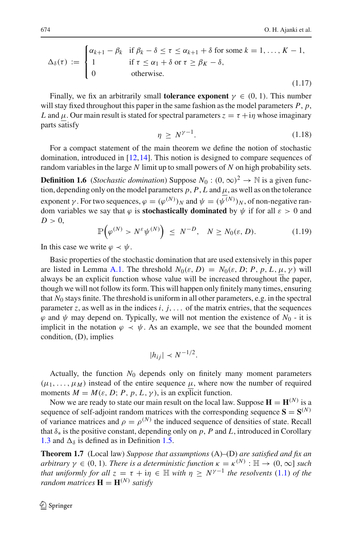<span id="page-7-2"></span>
$$
\Delta_{\delta}(\tau) := \begin{cases}\n\alpha_{k+1} - \beta_k & \text{if } \beta_k - \delta \leq \tau \leq \alpha_{k+1} + \delta \text{ for some } k = 1, ..., K - 1, \\
1 & \text{if } \tau \leq \alpha_1 + \delta \text{ or } \tau \geq \beta_K - \delta, \\
0 & \text{otherwise.} \n\end{cases}
$$
\n(1.17)

Finally, we fix an arbitrarily small **tolerance exponent**  $\gamma \in (0, 1)$ . This number will stay fixed throughout this paper in the same fashion as the model parameters  $P$ ,  $p$ , *L* and  $\mu$ . Our main result is stated for spectral parameters  $z = \tau + i\eta$  whose imaginary parts satisfy

$$
\eta \ge N^{\gamma - 1}.\tag{1.18}
$$

For a compact statement of the main theorem we define the notion of stochastic domination, introduced in [\[12,](#page-59-12)[14\]](#page-59-2). This notion is designed to compare sequences of random variables in the large *N* limit up to small powers of *N* on high probability sets.

<span id="page-7-1"></span>**Definition 1.6** (*Stochastic domination*) Suppose  $N_0$ :  $(0, \infty)^2 \rightarrow \mathbb{N}$  is a given function, depending only on the model parameters  $p$ ,  $P$ ,  $L$  and  $\mu$ , as well as on the tolerance exponent  $\gamma$ . For two sequences,  $\varphi = (\varphi^{(N)})_N$  and  $\psi = (\psi^{(N)})_N$ , of non-negative random variables we say that  $\varphi$  is **stochastically dominated** by  $\psi$  if for all  $\varepsilon > 0$  and  $D > 0$ ,

$$
\mathbb{P}\Big(\varphi^{(N)} > N^{\varepsilon}\psi^{(N)}\Big) \le N^{-D}, \quad N \ge N_0(\varepsilon, D). \tag{1.19}
$$

In this case we write  $\varphi \prec \psi$ .

Basic properties of the stochastic domination that are used extensively in this paper are listed in Lemma [A.1.](#page-54-1) The threshold  $N_0(\varepsilon, D) = N_0(\varepsilon, D; P, p, L, \mu, \gamma)$  will always be an explicit function whose value will be increased throughout the paper, though we will not follow its form. This will happen only finitely many times, ensuring that  $N_0$  stays finite. The threshold is uniform in all other parameters, e.g. in the spectral parameter  $z$ , as well as in the indices  $i$ ,  $j$ ,... of the matrix entries, that the sequences  $\varphi$  and  $\psi$  may depend on. Typically, we will not mention the existence of  $N_0$  - it is implicit in the notation  $\varphi \prec \psi$ . As an example, we see that the bounded moment condition, (D), implies

$$
|h_{ij}| \prec N^{-1/2}.
$$

Actually, the function  $N_0$  depends only on finitely many moment parameters  $(\mu_1, \ldots, \mu_M)$  instead of the entire sequence  $\mu$ , where now the number of required moments  $M = M(\varepsilon, D; P, p, L, \gamma)$ , is an explicit function.

Now we are ready to state our main result on the local law. Suppose  $\mathbf{H} = \mathbf{H}^{(N)}$  is a sequence of self-adjoint random matrices with the corresponding sequence  $S = S^{(N)}$ of variance matrices and  $\rho = \rho^{(N)}$  the induced sequence of densities of state. Recall that  $\delta_*$  is the positive constant, depending only on p, P and L, introduced in Corollary [1.3](#page-5-0) and  $\Delta_{\delta}$  is defined as in Definition [1.5.](#page-6-2)

<span id="page-7-0"></span>**Theorem 1.7** (Local law) *Suppose that assumptions* (A)–(D) *are satisfied and fix an arbitrary*  $\gamma \in (0, 1)$ *. There is a deterministic function*  $\kappa = \kappa^{(N)} : \mathbb{H} \to (0, \infty]$  *such that uniformly for all*  $z = \tau + i\eta \in \mathbb{H}$  *with*  $\eta > N^{\gamma-1}$  *the resolvents* [\(1.1\)](#page-2-3) *of the random matrices*  $\mathbf{H} = \mathbf{H}^{(N)}$  *satisfy*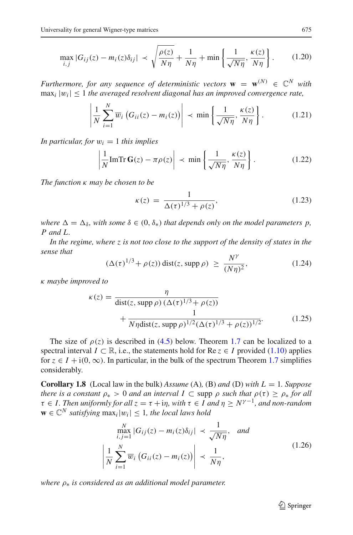$$
\max_{i,j} |G_{ij}(z) - m_i(z)\delta_{ij}| \prec \sqrt{\frac{\rho(z)}{N\eta} + \frac{1}{N\eta} + \min\left\{\frac{1}{\sqrt{N\eta}}, \frac{\kappa(z)}{N\eta}\right\}}.
$$
 (1.20)

<span id="page-8-2"></span>*Furthermore, for any sequence of deterministic vectors*  $\mathbf{w} = \mathbf{w}^{(N)} \in \mathbb{C}^N$  *with*  $\max_i |w_i| \leq 1$  *the averaged resolvent diagonal has an improved convergence rate.* 

$$
\left| \frac{1}{N} \sum_{i=1}^{N} \overline{w}_i \left( G_{ii}(z) - m_i(z) \right) \right| \prec \min \left\{ \frac{1}{\sqrt{N\eta}}, \frac{\kappa(z)}{N\eta} \right\}.
$$
 (1.21)

<span id="page-8-3"></span>*In particular, for*  $w_i = 1$  *this implies* 

$$
\left| \frac{1}{N} \text{Im} \text{Tr} \, \mathbf{G}(z) - \pi \rho(z) \right| \prec \min \left\{ \frac{1}{\sqrt{N\eta}}, \frac{\kappa(z)}{N\eta} \right\}.
$$
 (1.22)

<span id="page-8-4"></span>*The function* κ *may be chosen to be*

$$
\kappa(z) = \frac{1}{\Delta(\tau)^{1/3} + \rho(z)},
$$
\n(1.23)

*where*  $\Delta = \Delta_{\delta}$ , *with some*  $\delta \in (0, \delta_*)$  *that depends only on the model parameters p, P and L.*

*In the regime, where z is not too close to the support of the density of states in the sense that*

$$
(\Delta(\tau)^{1/3} + \rho(z)) \operatorname{dist}(z, \operatorname{supp} \rho) \ge \frac{N^{\gamma}}{(N\eta)^2},
$$
\n(1.24)

<span id="page-8-6"></span><span id="page-8-5"></span>κ *maybe improved to*

$$
\kappa(z) = \frac{\eta}{\text{dist}(z, \text{supp}\,\rho) \,(\Delta(\tau)^{1/3} + \rho(z))} + \frac{1}{N\eta \text{dist}(z, \text{supp}\,\rho)^{1/2}(\Delta(\tau)^{1/3} + \rho(z))^{1/2}}.
$$
(1.25)

The size of  $\rho(z)$  is described in [\(4.5\)](#page-27-1) below. Theorem [1.7](#page-7-0) can be localized to a spectral interval  $I \subset \mathbb{R}$ , i.e., the statements hold for  $\text{Re } z \in I$  provided [\(1.10\)](#page-4-0) applies for  $z \in I + i(0, \infty)$ . In particular, in the bulk of the spectrum Theorem [1.7](#page-7-0) simplifies considerably.

<span id="page-8-1"></span>**Corollary 1.8** (Local law in the bulk) *Assume* (A)*,* (B) *and* (D) *with L* = 1*. Suppose there is a constant*  $\rho_* > 0$  *and an interval*  $I \subset$  *supp*  $\rho$  *such that*  $\rho(\tau) \ge \rho_*$  *for all*  $\tau \in I$ . Then uniformly for all  $z = \tau + i\eta$ , with  $\tau \in I$  and  $\eta \geq N^{\gamma-1}$ , and non-random  $\mathbf{w} \in \mathbb{C}^N$  *satisfying*  $\max_i |w_i|$  < 1*, the local laws hold* 

$$
\begin{aligned}\n\max_{i,j=1}^{N} |G_{ij}(z) - m_i(z)\delta_{ij}| &\prec \frac{1}{\sqrt{N\eta}}, \quad \text{and} \\
\left| \frac{1}{N} \sum_{i=1}^{N} \overline{w}_i \left( G_{ii}(z) - m_i(z) \right) \right| &\prec \frac{1}{N\eta},\n\end{aligned} \tag{1.26}
$$

<span id="page-8-0"></span>*where* ρ<sup>∗</sup> *is considered as an additional model parameter.*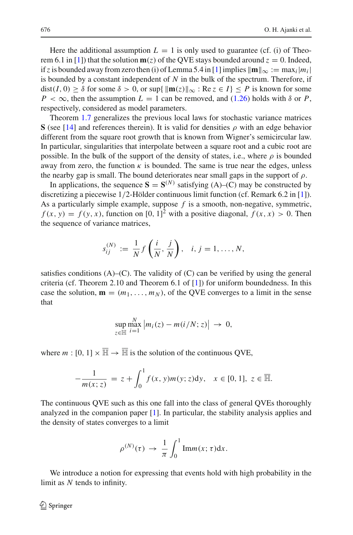Here the additional assumption  $L = 1$  is only used to guarantee (cf. (i) of Theo-rem 6.1 in [\[1\]](#page-59-5)) that the solution  $\mathbf{m}(z)$  of the QVE stays bounded around  $z = 0$ . Indeed, if *z* is bounded away from zero then (i) of Lemma 5.4 in [\[1\]](#page-59-5) implies  $\|\mathbf{m}\|_{\infty} := \max_i |m_i|$ is bounded by a constant independent of *N* in the bulk of the spectrum. Therefore, if  $dist(I, 0) \ge \delta$  for some  $\delta > 0$ , or  $\sup\{\|\mathbf{m}(z)\|_{\infty} : \text{Re } z \in I\} \le P$  is known for some  $P < \infty$ , then the assumption  $L = 1$  can be removed, and [\(1.26\)](#page-8-0) holds with  $\delta$  or *P*, respectively, considered as model parameters.

Theorem [1.7](#page-7-0) generalizes the previous local laws for stochastic variance matrices **S** (see [\[14\]](#page-59-2) and references therein). It is valid for densities  $\rho$  with an edge behavior different from the square root growth that is known from Wigner's semicircular law. In particular, singularities that interpolate between a square root and a cubic root are possible. In the bulk of the support of the density of states, i.e., where  $\rho$  is bounded away from zero, the function  $\kappa$  is bounded. The same is true near the edges, unless the nearby gap is small. The bound deteriorates near small gaps in the support of  $\rho$ .

In applications, the sequence  $S = S^{(N)}$  satisfying (A)–(C) may be constructed by discretizing a piecewise 1/2-Hölder continuous limit function (cf. Remark 6.2 in [\[1\]](#page-59-5)). As a particularly simple example, suppose *f* is a smooth, non-negative, symmetric,  $f(x, y) = f(y, x)$ , function on [0, 1]<sup>2</sup> with a positive diagonal,  $f(x, x) > 0$ . Then the sequence of variance matrices,

$$
s_{ij}^{(N)} := \frac{1}{N} f\left(\frac{i}{N}, \frac{j}{N}\right), \quad i, j = 1, \dots, N,
$$

satisfies conditions  $(A)$ – $(C)$ . The validity of  $(C)$  can be verified by using the general criteria (cf. Theorem 2.10 and Theorem 6.1 of  $[1]$  $[1]$ ) for uniform boundedness. In this case the solution,  $\mathbf{m} = (m_1, \dots, m_N)$ , of the QVE converges to a limit in the sense that

$$
\sup_{z\in\mathbb{H}}\max_{i=1}^N\left|m_i(z)-m(i/N;z)\right|\,\to\,0,
$$

where  $m : [0, 1] \times \overline{\mathbb{H}} \to \overline{\mathbb{H}}$  is the solution of the continuous QVE,

$$
-\frac{1}{m(x;z)} = z + \int_0^1 f(x,y)m(y;z)dy, \quad x \in [0,1], \ z \in \overline{\mathbb{H}}.
$$

The continuous QVE such as this one fall into the class of general QVEs thoroughly analyzed in the companion paper [\[1\]](#page-59-5). In particular, the stability analysis applies and the density of states converges to a limit

$$
\rho^{(N)}(\tau) \to \frac{1}{\pi} \int_0^1 \text{Im}m(x;\tau) \text{d}x.
$$

<span id="page-9-0"></span>We introduce a notion for expressing that events hold with high probability in the limit as *N* tends to infinity.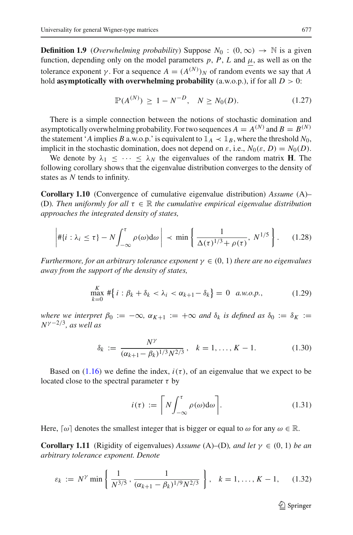**Definition 1.9** (*Overwhelming probability*) Suppose  $N_0$  : (0, ∞)  $\rightarrow$  N is a given function, depending only on the model parameters  $p$ ,  $P$ ,  $L$  and  $\mu$ , as well as on the tolerance exponent  $\gamma$ . For a sequence  $A = (A^{(N)})_N$  of random events we say that *A* hold **asymptotically with overwhelming probability** (a.w.o.p.), if for all  $D > 0$ :

$$
\mathbb{P}(A^{(N)}) \ge 1 - N^{-D}, \quad N \ge N_0(D). \tag{1.27}
$$

There is a simple connection between the notions of stochastic domination and asymptotically overwhelming probability. For two sequences  $A = A^{(N)}$  and  $B = B^{(N)}$ the statement '*A* implies *B* a.w.o.p.' is equivalent to  $\mathbb{1}_A \prec \mathbb{1}_B$ , where the threshold  $N_0$ , implicit in the stochastic domination, does not depend on  $\varepsilon$ , i.e.,  $N_0(\varepsilon, D) = N_0(D)$ .

We denote by  $\lambda_1 < \cdots < \lambda_N$  the eigenvalues of the random matrix **H**. The following corollary shows that the eigenvalue distribution converges to the density of states as *N* tends to infinity.

<span id="page-10-0"></span>**Corollary 1.10** (Convergence of cumulative eigenvalue distribution) *Assume* (A)– (D). Then uniformly for all  $\tau \in \mathbb{R}$  the cumulative empirical eigenvalue distribution *approaches the integrated density of states,*

$$
\left| \# \{ i : \lambda_i \le \tau \} - N \int_{-\infty}^{\tau} \rho(\omega) d\omega \right| \prec \min \left\{ \frac{1}{\Delta(\tau)^{1/3} + \rho(\tau)}, N^{1/5} \right\}.
$$
 (1.28)

<span id="page-10-4"></span>*Furthermore, for an arbitrary tolerance exponent*  $\gamma \in (0, 1)$  *there are no eigenvalues away from the support of the density of states,*

$$
\max_{k=0}^{K} \# \{ i : \beta_k + \delta_k < \lambda_i < \alpha_{k+1} - \delta_k \} = 0 \quad a.w.o.p., \tag{1.29}
$$

<span id="page-10-3"></span>*where we interpret*  $\beta_0 := -\infty$ ,  $\alpha_{K+1} := +\infty$  *and*  $\delta_k$  *is defined as*  $\delta_0 := \delta_K :=$ *N*<sup>γ</sup> <sup>−</sup>2/3*, as well as*

$$
\delta_k := \frac{N^{\gamma}}{(\alpha_{k+1} - \beta_k)^{1/3} N^{2/3}}, \quad k = 1, \dots, K - 1.
$$
 (1.30)

<span id="page-10-2"></span>Based on  $(1.16)$  we define the index,  $i(\tau)$ , of an eigenvalue that we expect to be located close to the spectral parameter  $\tau$  by

$$
i(\tau) := \left\lceil N \int_{-\infty}^{\tau} \rho(\omega) d\omega \right\rceil. \tag{1.31}
$$

<span id="page-10-1"></span>Here,  $\lceil \omega \rceil$  denotes the smallest integer that is bigger or equal to  $\omega$  for any  $\omega \in \mathbb{R}$ .

<span id="page-10-5"></span>**Corollary 1.11** (Rigidity of eigenvalues) *Assume* (A)–(D)*, and let*  $\gamma \in (0, 1)$  *be an arbitrary tolerance exponent. Denote*

$$
\varepsilon_k := N^{\gamma} \min \left\{ \frac{1}{N^{3/5}}, \frac{1}{(\alpha_{k+1} - \beta_k)^{1/9} N^{2/3}} \right\}, \quad k = 1, \dots, K - 1, \quad (1.32)
$$

 $\mathcal{D}$  Springer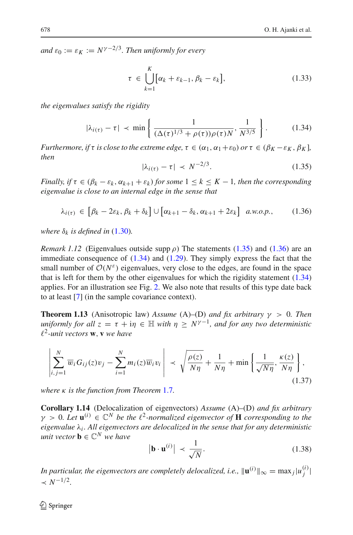<span id="page-11-5"></span>*and*  $\varepsilon_0 := \varepsilon_K := N^{\gamma - 2/3}$ *. Then uniformly for every* 

$$
\tau \in \bigcup_{k=1}^{K} [\alpha_k + \varepsilon_{k-1}, \beta_k - \varepsilon_k], \qquad (1.33)
$$

<span id="page-11-4"></span>*the eigenvalues satisfy the rigidity*

<span id="page-11-2"></span>
$$
|\lambda_{i(\tau)} - \tau| \prec \min\left\{ \frac{1}{(\Delta(\tau)^{1/3} + \rho(\tau))\rho(\tau)N}, \frac{1}{N^{3/5}} \right\}.
$$
 (1.34)

*Furthermore, if*  $\tau$  *is close to the extreme edge,*  $\tau \in (\alpha_1, \alpha_1 + \varepsilon_0)$  *or*  $\tau \in (\beta_K - \varepsilon_K, \beta_K]$ *, then*

$$
|\lambda_{i(\tau)} - \tau| \prec N^{-2/3}.
$$
\n(1.35)

*Finally, if*  $\tau \in (\beta_k - \varepsilon_k, \alpha_{k+1} + \varepsilon_k)$  *for some*  $1 \leq k \leq K - 1$ *, then the corresponding eigenvalue is close to an internal edge in the sense that*

$$
\lambda_{i(\tau)} \in \left[\beta_k - 2\varepsilon_k, \beta_k + \delta_k\right] \cup \left[\alpha_{k+1} - \delta_k, \alpha_{k+1} + 2\varepsilon_k\right] \quad a.w.o.p.,\tag{1.36}
$$

<span id="page-11-3"></span>*where*  $\delta_k$  *is defined in* [\(1.30\)](#page-10-2)*.* 

*Remark 1.12* (Eigenvalues outside supp  $\rho$ ) The statements [\(1.35\)](#page-11-2) and [\(1.36\)](#page-11-3) are an immediate consequence of [\(1.34\)](#page-11-4) and [\(1.29\)](#page-10-3). They simply express the fact that the small number of  $O(N^{\epsilon})$  eigenvalues, very close to the edges, are found in the space that is left for them by the other eigenvalues for which the rigidity statement [\(1.34\)](#page-11-4) applies. For an illustration see Fig. [2.](#page-12-1) We also note that results of this type date back to at least [\[7\]](#page-59-13) (in the sample covariance context).

<span id="page-11-1"></span>**Theorem 1.13** (Anisotropic law) *Assume* (A)–(D) *and fix arbitrary*  $\gamma > 0$ *. Then uniformly for all*  $z = \tau + i\eta \in \mathbb{H}$  *with*  $\eta \geq N^{\gamma-1}$ *, and for any two deterministic* 2*-unit vectors* **w**, **v** *we have*

$$
\left| \sum_{i,j=1}^{N} \overline{w}_i G_{ij}(z) v_j - \sum_{i=1}^{N} m_i(z) \overline{w}_i v_i \right| \prec \sqrt{\frac{\rho(z)}{N\eta}} + \frac{1}{N\eta} + \min \left\{ \frac{1}{\sqrt{N\eta}}, \frac{\kappa(z)}{N\eta} \right\},\tag{1.37}
$$

<span id="page-11-6"></span>*where* κ *is the function from Theorem* [1.7](#page-7-0)*.*

<span id="page-11-0"></span>**Corollary 1.14** (Delocalization of eigenvectors) *Assume* (A)–(D) *and fix arbitrary*  $\gamma > 0$ *. Let*  $\mathbf{u}^{(i)} \in \mathbb{C}^N$  *be the*  $\ell^2$ -normalized eigenvector of **H** corresponding to the *eigenvalue* λ*<sup>i</sup> . All eigenvectors are delocalized in the sense that for any deterministic unit vector*  $\mathbf{b} \in \mathbb{C}^N$  *we have* 

$$
\left|\mathbf{b} \cdot \mathbf{u}^{(i)}\right| \prec \frac{1}{\sqrt{N}}.\tag{1.38}
$$

<span id="page-11-7"></span>*In particular, the eigenvectors are completely delocalized, i.e.,*  $\|\mathbf{u}^{(i)}\|_{\infty} = \max_{j} |u_j^{(i)}|$  $\prec N^{-1/2}$ .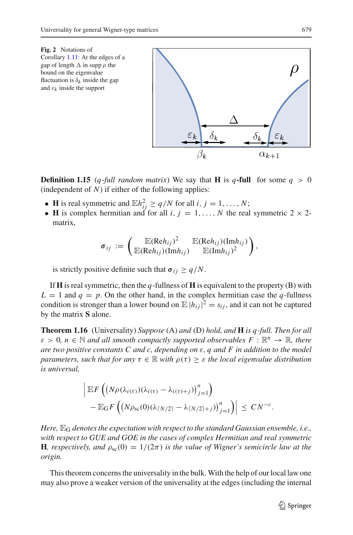<span id="page-12-1"></span>

**Definition 1.15** (*q*-*full random matrix*) We say that **H** is *q***-full** for some  $q > 0$ (independent of  $N$ ) if either of the following applies:

- **H** is real symmetric and  $\mathbb{E}h_{ij}^2 \ge q/N$  for all  $i, j = 1, ..., N$ ;
- **H** is complex hermitian and for all *i*,  $j = 1, \ldots, N$  the real symmetric  $2 \times 2$ matrix,

$$
\sigma_{ij} := \begin{pmatrix} \mathbb{E}(\text{Re}h_{ij})^2 & \mathbb{E}(\text{Re}h_{ij})(\text{Im}h_{ij}) \\ \mathbb{E}(\text{Re}h_{ij})(\text{Im}h_{ij}) & \mathbb{E}(\text{Im}h_{ij})^2 \end{pmatrix},
$$

is strictly positive definite such that  $\sigma_{ij} \ge q/N$ .

If **H** is real symmetric, then the *q*-fullness of **H** is equivalent to the property (B) with  $L = 1$  and  $q = p$ . On the other hand, in the complex hermitian case the *q*-fullness condition is stronger than a lower bound on  $\mathbb{E}|h_{ij}|^2 = s_{ij}$ , and it can not be captured by the matrix **S** alone.

<span id="page-12-0"></span>**Theorem 1.16** (Universality) *Suppose* (A) *and* (D) *hold, and* **H** *is q-full. Then for all*  $\varepsilon > 0$ ,  $n \in \mathbb{N}$  and all smooth compactly supported observables  $F : \mathbb{R}^n \to \mathbb{R}$ , there *are two positive constants C and c, depending on* ε, *q and F in addition to the model parameters, such that for any*  $\tau \in \mathbb{R}$  *with*  $\rho(\tau) \geq \varepsilon$  *the local eigenvalue distribution is universal,*

$$
\left| \mathbb{E} F \left( \left( N \rho(\lambda_{i(\tau)}) (\lambda_{i(\tau)} - \lambda_{i(\tau)+j}) \right)_{j=1}^n \right) - \mathbb{E}_G F \left( \left( N \rho_{\rm sc}(0) (\lambda_{\lceil N/2 \rceil} - \lambda_{\lceil N/2 \rceil + j}) \right)_{j=1}^n \right) \right| \leq C N^{-c}.
$$

*Here,*  $\mathbb{E}_{G}$  *denotes the expectation with respect to the standard Gaussian ensemble, i.e., with respect to GUE and GOE in the cases of complex Hermitian and real symmetric* **H***, respectively, and*  $\rho_{sc}(0) = 1/(2\pi)$  *is the value of Wigner's semicircle law at the origin.*

This theorem concerns the universality in the bulk.With the help of our local law one may also prove a weaker version of the universality at the edges (including the internal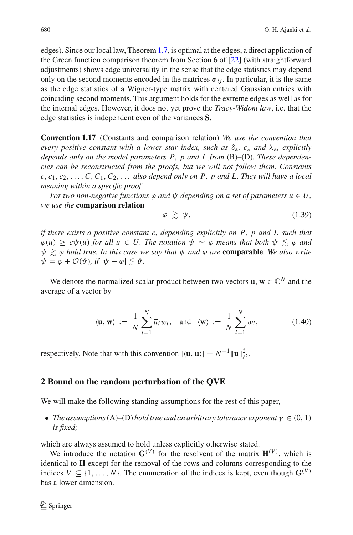edges). Since our local law, Theorem [1.7,](#page-7-0) is optimal at the edges, a direct application of the Green function comparison theorem from Section 6 of [\[22](#page-60-13)] (with straightforward adjustments) shows edge universality in the sense that the edge statistics may depend only on the second moments encoded in the matrices  $\sigma_{ij}$ . In particular, it is the same as the edge statistics of a Wigner-type matrix with centered Gaussian entries with coinciding second moments. This argument holds for the extreme edges as well as for the internal edges. However, it does not yet prove the *Tracy-Widom law*, i.e. that the edge statistics is independent even of the variances **S**.

**Convention 1.17** (Constants and comparison relation) *We use the convention that every positive constant with a lower star index, such as* δ∗*, c*<sup>∗</sup> *and* λ∗*, explicitly depends only on the model parameters P, p and L from* (B)–(D)*. These dependencies can be reconstructed from the proofs, but we will not follow them. Constants*  $c, c_1, c_2, \ldots, C, C_1, C_2, \ldots$  *also depend only on P, p and L. They will have a local meaning within a specific proof.*

*For two non-negative functions*  $\varphi$  *and*  $\psi$  *depending on a set of parameters*  $u \in U$ , *we use the* **comparison relation**

$$
\varphi \, \gtrsim \, \psi, \tag{1.39}
$$

*if there exists a positive constant c, depending explicitly on P, p and L such that*  $\varphi(u) \geq c\psi(u)$  *for all*  $u \in U$ . The notation  $\psi \sim \varphi$  *means that both*  $\psi \lesssim \varphi$  *and*  $ψ$   $\gtrsim$  φ hold true. In this case we say that  $ψ$  and φ are **comparable**. We also write  $\psi = \varphi + \mathcal{O}(\vartheta)$ *, if*  $|\psi - \varphi| \leq \vartheta$ *.* 

We denote the normalized scalar product between two vectors **u**,  $\mathbf{w} \in \mathbb{C}^N$  and the average of a vector by

$$
\langle \mathbf{u}, \mathbf{w} \rangle := \frac{1}{N} \sum_{i=1}^{N} \overline{u}_i w_i, \text{ and } \langle \mathbf{w} \rangle := \frac{1}{N} \sum_{i=1}^{N} w_i,
$$
 (1.40)

respectively. Note that with this convention  $|\langle \mathbf{u}, \mathbf{u} \rangle| = N^{-1} ||\mathbf{u}||_{\ell^2}^2$ .

### <span id="page-13-0"></span>**2 Bound on the random perturbation of the QVE**

We will make the following standing assumptions for the rest of this paper,

• *The assumptions* (A)–(D) *hold true and an arbitrary tolerance exponent*  $\gamma \in (0, 1)$ *is fixed;*

which are always assumed to hold unless explicitly otherwise stated.

We introduce the notation  $\mathbf{G}^{(V)}$  for the resolvent of the matrix  $\mathbf{H}^{(V)}$ , which is identical to **H** except for the removal of the rows and columns corresponding to the indices  $V \subseteq \{1, \ldots, N\}$ . The enumeration of the indices is kept, even though  $\mathbf{G}^{(V)}$ has a lower dimension.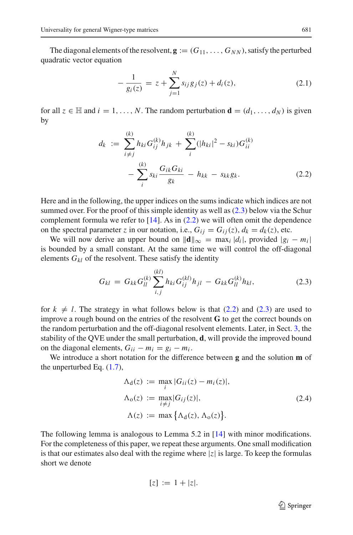The diagonal elements of the resolvent,  $\mathbf{g} := (G_{11}, \ldots, G_{NN})$ , satisfy the perturbed quadratic vector equation

$$
-\frac{1}{g_i(z)} = z + \sum_{j=1}^{N} s_{ij} g_j(z) + d_i(z),
$$
\n(2.1)

<span id="page-14-2"></span><span id="page-14-1"></span>for all  $z \in \mathbb{H}$  and  $i = 1, \ldots, N$ . The random perturbation  $\mathbf{d} = (d_1, \ldots, d_N)$  is given by

$$
d_k := \sum_{i \neq j}^{(k)} h_{ki} G_{ij}^{(k)} h_{jk} + \sum_{i}^{(k)} (|h_{ki}|^2 - s_{ki}) G_{ii}^{(k)}
$$

$$
- \sum_{i}^{(k)} s_{ki} \frac{G_{ik} G_{ki}}{g_k} - h_{kk} - s_{kk} g_k.
$$
(2.2)

Here and in the following, the upper indices on the sums indicate which indices are not summed over. For the proof of this simple identity as well as [\(2.3\)](#page-14-0) below via the Schur complement formula we refer to  $[14]$ . As in  $(2.2)$  we will often omit the dependence on the spectral parameter *z* in our notation, i.e.,  $G_{ij} = G_{ij}(z)$ ,  $d_k = d_k(z)$ , etc.

We will now derive an upper bound on  $\|\mathbf{d}\|_{\infty} = \max_i |d_i|$ , provided  $|g_i - m_i|$ is bounded by a small constant. At the same time we will control the off-diagonal elements  $G_{kl}$  of the resolvent. These satisfy the identity

$$
G_{kl} = G_{kk} G_{ll}^{(k)} \sum_{i,j}^{(kl)} h_{ki} G_{ij}^{(kl)} h_{jl} - G_{kk} G_{ll}^{(k)} h_{kl},
$$
 (2.3)

<span id="page-14-0"></span>for  $k \neq l$ . The strategy in what follows below is that [\(2.2\)](#page-14-1) and [\(2.3\)](#page-14-0) are used to improve a rough bound on the entries of the resolvent **G** to get the correct bounds on the random perturbation and the off-diagonal resolvent elements. Later, in Sect. [3,](#page-18-0) the stability of the QVE under the small perturbation, **d**, will provide the improved bound on the diagonal elements,  $G_{ii} - m_i = g_i - m_i$ .

We introduce a short notation for the difference between **g** and the solution **m** of the unperturbed Eq. [\(1.7\)](#page-3-1),

$$
\Lambda_{d}(z) := \max_{i} |G_{ii}(z) - m_{i}(z)|,
$$
  
\n
$$
\Lambda_{0}(z) := \max_{i \neq j} |G_{ij}(z)|,
$$
  
\n
$$
\Lambda(z) := \max \{ \Lambda_{d}(z), \Lambda_{0}(z) \}.
$$
\n(2.4)

The following lemma is analogous to Lemma 5.2 in [\[14\]](#page-59-2) with minor modifications. For the completeness of this paper, we repeat these arguments. One small modification is that our estimates also deal with the regime where  $|z|$  is large. To keep the formulas short we denote

$$
[z] := 1 + |z|.
$$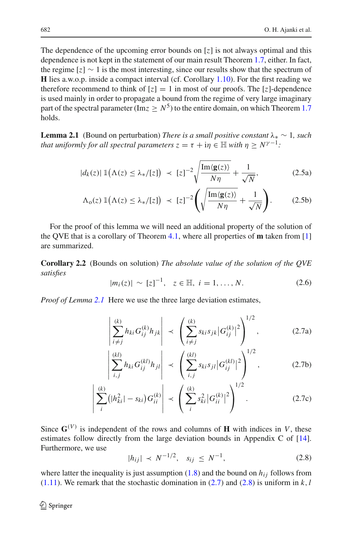The dependence of the upcoming error bounds on [*z*] is not always optimal and this dependence is not kept in the statement of our main result Theorem [1.7,](#page-7-0) either. In fact, the regime [*z*] ∼ 1 is the most interesting, since our results show that the spectrum of **H** lies a.w.o.p. inside a compact interval (cf. Corollary [1.10\)](#page-10-0). For the first reading we therefore recommend to think of  $[z] = 1$  in most of our proofs. The  $[z]$ -dependence is used mainly in order to propagate a bound from the regime of very large imaginary part of the spectral parameter (Im<sub>Z</sub>  $> N^5$ ) to the entire domain, on which Theorem [1.7](#page-7-0) holds.

<span id="page-15-0"></span>**Lemma 2.1** (Bound on perturbation) *There is a small positive constant*  $\lambda_* \sim 1$ *, such that uniformly for all spectral parameters*  $z = \tau + i\eta \in \mathbb{H}$  *with*  $\eta \geq N^{\gamma-1}$ *:* 

<span id="page-15-7"></span>
$$
|d_k(z)| \, \mathbb{1}\big(\Lambda(z) \leq \lambda_*/[z]\big) \, \prec \, [z]^{-2} \sqrt{\frac{\operatorname{Im}\langle \mathbf{g}(z) \rangle}{N\eta}} + \frac{1}{\sqrt{N}},\tag{2.5a}
$$

$$
\Lambda_{0}(z) \, \mathbb{1}\big(\Lambda(z) \leq \lambda_{*}/[z]\big) \, \prec \, [z]^{-2} \Bigg( \sqrt{\frac{\mathrm{Im}\langle \mathbf{g}(z) \rangle}{N\eta}} + \frac{1}{\sqrt{N}} \Bigg). \tag{2.5b}
$$

For the proof of this lemma we will need an additional property of the solution of the QVE that is a corollary of Theorem [4.1,](#page-26-2) where all properties of **m** taken from [\[1\]](#page-59-5) are summarized.

<span id="page-15-3"></span>**Corollary 2.2** (Bounds on solution) *The absolute value of the solution of the QVE satisfies*

<span id="page-15-1"></span>
$$
|m_i(z)| \sim [z]^{-1}, \quad z \in \mathbb{H}, \ i = 1, \dots, N. \tag{2.6}
$$

*Proof of Lemma [2.1](#page-15-0)* Here we use the three large deviation estimates,

<span id="page-15-4"></span>
$$
\left| \sum_{i \neq j}^{(k)} h_{ki} G_{ij}^{(k)} h_{jk} \right| \prec \left( \sum_{i \neq j}^{(k)} s_{ki} s_{jk} |G_{ij}^{(k)}|^2 \right)^{1/2}, \tag{2.7a}
$$

<span id="page-15-6"></span>
$$
\left| \sum_{i,j}^{(kl)} h_{ki} G_{ij}^{(kl)} h_{jl} \right| \prec \left( \sum_{i,j}^{(kl)} s_{ki} s_{jl} |G_{ij}^{(kl)}|^2 \right)^{1/2}, \qquad (2.7b)
$$

$$
\left| \sum_{i}^{(k)} (|h_{ki}^2| - s_{ki}) G_{ii}^{(k)} \right| \prec \left( \sum_{i}^{(k)} s_{ki}^2 |G_{ii}^{(k)}|^2 \right)^{1/2}.
$$
 (2.7c)

Since  $G^{(V)}$  is independent of the rows and columns of **H** with indices in *V*, these estimates follow directly from the large deviation bounds in Appendix C of [\[14](#page-59-2)]. Furthermore, we use

<span id="page-15-5"></span>
$$
|h_{ij}| \prec N^{-1/2}, \quad s_{ij} \le N^{-1}, \tag{2.8}
$$

<span id="page-15-2"></span>where latter the inequality is just assumption  $(1.8)$  and the bound on  $h_{ij}$  follows from  $(1.11)$ . We remark that the stochastic domination in  $(2.7)$  and  $(2.8)$  is uniform in *k*, *l*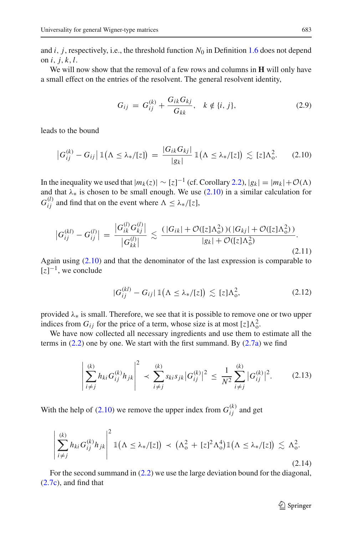and  $i$ ,  $j$ , respectively, i.e., the threshold function  $N_0$  in Definition [1.6](#page-7-1) does not depend on *i*, *j*, *k*,*l*.

We will now show that the removal of a few rows and columns in **H** will only have a small effect on the entries of the resolvent. The general resolvent identity,

$$
G_{ij} = G_{ij}^{(k)} + \frac{G_{ik}G_{kj}}{G_{kk}}, \quad k \notin \{i, j\},
$$
 (2.9)

<span id="page-16-2"></span><span id="page-16-0"></span>leads to the bound

$$
\left|G_{ij}^{(k)}-G_{ij}\right|1\left(\Lambda\leq\lambda_{*}/[z]\right)=\frac{\left|G_{ik}G_{kj}\right|}{|g_{k}|}1\left(\Lambda\leq\lambda_{*}/[z]\right)\lesssim[z]\Lambda_{0}^{2}.\qquad(2.10)
$$

In the inequality we used that  $|m_k(z)| \sim [z]^{-1}$  (cf. Corollary [2.2\)](#page-15-3),  $|g_k| = |m_k| + \mathcal{O}(\Lambda)$ and that  $\lambda_*$  is chosen to be small enough. We use [\(2.10\)](#page-16-0) in a similar calculation for  $G_{ij}^{(l)}$  and find that on the event where  $\Lambda \leq \lambda_*/[z]$ ,

$$
\left|G_{ij}^{(kl)} - G_{ij}^{(l)}\right| = \frac{\left|G_{ik}^{(l)} G_{kj}^{(l)}\right|}{\left|G_{kk}^{(l)}\right|} \lesssim \frac{(\left|G_{ik}\right| + \mathcal{O}(\left[z\right]\Lambda_o^2))(\left|G_{kj}\right| + \mathcal{O}(\left[z\right]\Lambda_o^2))}{\left|g_k\right| + \mathcal{O}(\left[z\right]\Lambda_o^2)}.
$$
\n(2.11)

Again using [\(2.10\)](#page-16-0) and that the denominator of the last expression is comparable to  $[z]^{-1}$ , we conclude

$$
|G_{ij}^{(kl)} - G_{ij}| \, \mathbb{1}\big(\Lambda \leq \lambda_*/[z]\big) \lesssim [z]\Lambda_0^2,\tag{2.12}
$$

<span id="page-16-3"></span>provided  $\lambda_*$  is small. Therefore, we see that it is possible to remove one or two upper indices from  $G_{ij}$  for the price of a term, whose size is at most  $[z]\Lambda_0^2$ .

We have now collected all necessary ingredients and use them to estimate all the terms in  $(2.2)$  one by one. We start with the first summand. By  $(2.7a)$  we find

$$
\left| \sum_{i \neq j}^{(k)} h_{ki} G_{ij}^{(k)} h_{jk} \right|^2 \prec \sum_{i \neq j}^{(k)} s_{ki} s_{jk} |G_{ij}^{(k)}|^2 \leq \frac{1}{N^2} \sum_{i \neq j}^{(k)} |G_{ij}^{(k)}|^2.
$$
 (2.13)

With the help of [\(2.10\)](#page-16-0) we remove the upper index from  $G_{ij}^{(k)}$  and get

$$
\left|\sum_{i\neq j}^{(k)} h_{ki} G_{ij}^{(k)} h_{jk}\right|^2 \mathbb{1}\left(\Lambda \leq \lambda_*/[z]\right) \prec \left(\Lambda_0^2 + [z]^2 \Lambda_0^4\right) \mathbb{1}\left(\Lambda \leq \lambda_*/[z]\right) \lesssim \Lambda_0^2.
$$
\n(2.14)

<span id="page-16-1"></span>For the second summand in [\(2.2\)](#page-14-1) we use the large deviation bound for the diagonal, [\(2.7c\)](#page-15-5), and find that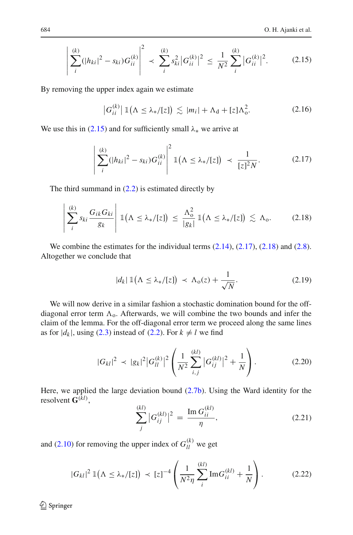$$
\left| \sum_{i}^{(k)} (|h_{ki}|^2 - s_{ki}) G_{ii}^{(k)} \right|^2 \prec \sum_{i}^{(k)} s_{ki}^2 |G_{ii}^{(k)}|^2 \le \frac{1}{N^2} \sum_{i}^{(k)} |G_{ii}^{(k)}|^2.
$$
 (2.15)

<span id="page-17-0"></span>By removing the upper index again we estimate

$$
\left|G_{ii}^{(k)}\right| \mathbb{1}\left(\Lambda \leq \lambda_{*}/[z]\right) \lesssim |m_{i}| + \Lambda_{d} + [z]\Lambda_{0}^{2}.
$$
 (2.16)

<span id="page-17-1"></span>We use this in [\(2.15\)](#page-17-0) and for sufficiently small  $\lambda_*$  we arrive at

 $\lambda$ 

$$
\left| \sum_{i}^{(k)} (|h_{ki}|^2 - s_{ki}) G_{ii}^{(k)} \right|^2 \mathbb{1}(\Lambda \le \lambda_*/[z]) \prec \frac{1}{[z]^2 N}.
$$
 (2.17)

The third summand in  $(2.2)$  is estimated directly by

$$
\left|\sum_{i}^{(k)} s_{ki} \frac{G_{ik} G_{ki}}{g_k}\right| \mathbb{1}(\Lambda \leq \lambda_*/[z]) \leq \frac{\Lambda_0^2}{|g_k|} \mathbb{1}(\Lambda \leq \lambda_*/[z]) \lesssim \Lambda_0. \tag{2.18}
$$

<span id="page-17-2"></span>We combine the estimates for the individual terms  $(2.14)$ ,  $(2.17)$ ,  $(2.18)$  and  $(2.8)$ . Altogether we conclude that

$$
|d_k| \, \mathbb{1}\left(\Lambda \leq \lambda_*/[z]\right) \prec \Lambda_0(z) + \frac{1}{\sqrt{N}}.\tag{2.19}
$$

<span id="page-17-3"></span>We will now derive in a similar fashion a stochastic domination bound for the offdiagonal error term  $\Lambda$ <sub>o</sub>. Afterwards, we will combine the two bounds and infer the claim of the lemma. For the off-diagonal error term we proceed along the same lines as for  $|d_k|$ , using [\(2.3\)](#page-14-0) instead of [\(2.2\)](#page-14-1). For  $k \neq l$  we find

$$
|G_{kl}|^2 \prec |g_k|^2 |G_{ll}^{(k)}|^2 \left( \frac{1}{N^2} \sum_{i,j}^{(kl)} |G_{ij}^{(kl)}|^2 + \frac{1}{N} \right). \tag{2.20}
$$

Here, we applied the large deviation bound [\(2.7b\)](#page-15-6). Using the Ward identity for the resolvent **G**(*kl*) ,

$$
\sum_{j}^{(kl)} |G_{ij}^{(kl)}|^2 = \frac{\operatorname{Im} G_{ii}^{(kl)}}{\eta},\tag{2.21}
$$

and [\(2.10\)](#page-16-0) for removing the upper index of  $G_{ll}^{(k)}$  we get

$$
|G_{kl}|^2 \, \mathbb{1}\big(\Lambda \leq \lambda_*/[z]\big) \, \prec \, [z]^{-4} \left(\frac{1}{N^2 \eta} \sum_{i}^{(kl)} \text{Im} G_{ii}^{(kl)} + \frac{1}{N}\right). \tag{2.22}
$$

<sup>2</sup> Springer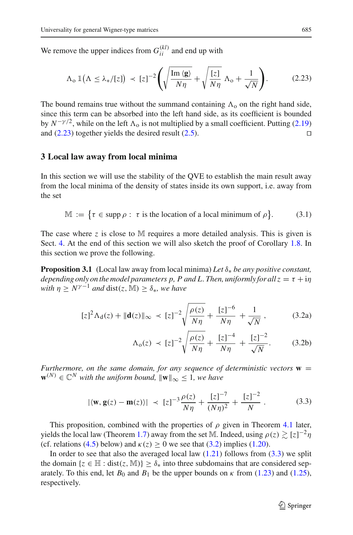We remove the upper indices from  $G_{ii}^{(kl)}$  and end up with

$$
\Lambda_{o} 1\left(\Lambda \leq \lambda_{*}/[z]\right) \prec [z]^{-2} \left(\sqrt{\frac{\operatorname{Im}\left\langle \mathbf{g} \right\rangle}{N\eta}} + \sqrt{\frac{[z]}{N\eta}} \Lambda_{o} + \frac{1}{\sqrt{N}}\right). \tag{2.23}
$$

<span id="page-18-1"></span>The bound remains true without the summand containing  $\Lambda_0$  on the right hand side, since this term can be absorbed into the left hand side, as its coefficient is bounded by  $N^{-\gamma/2}$ , while on the left  $\Lambda_0$  is not multiplied by a small coefficient. Putting [\(2.19\)](#page-17-3) and  $(2.23)$  together yields the desired result  $(2.5)$ .

#### <span id="page-18-0"></span>**3 Local law away from local minima**

In this section we will use the stability of the QVE to establish the main result away from the local minima of the density of states inside its own support, i.e. away from the set

$$
\mathbb{M} := \{ \tau \in \text{supp } \rho : \tau \text{ is the location of a local minimum of } \rho \}. \tag{3.1}
$$

<span id="page-18-7"></span>The case where *z* is close to M requires a more detailed analysis. This is given is Sect. [4.](#page-26-0) At the end of this section we will also sketch the proof of Corollary [1.8.](#page-8-1) In this section we prove the following.

<span id="page-18-4"></span>**Proposition 3.1** (Local law away from local minima) *Let* δ<sup>∗</sup> *be any positive constant, depending only on the model parameters p, P and L. Then, uniformly for all*  $z = \tau + i\eta$ *with*  $\eta > N^{\gamma-1}$  *and* dist(*z*, M) >  $\delta_*$ *, we have* 

$$
[z]^2 \Lambda_{d}(z) + \|\mathbf{d}(z)\|_{\infty} \prec [z]^{-2} \sqrt{\frac{\rho(z)}{N\eta} + \frac{[z]^{-6}}{N\eta} + \frac{1}{\sqrt{N}}},
$$
 (3.2a)

<span id="page-18-6"></span><span id="page-18-5"></span><span id="page-18-2"></span>
$$
\Lambda_{0}(z) \prec [z]^{-2} \sqrt{\frac{\rho(z)}{N\eta} + \frac{[z]^{-4}}{N\eta} + \frac{[z]^{-2}}{\sqrt{N}}}.
$$
 (3.2b)

*Furthermore, on the same domain, for any sequence of deterministic vectors*  $\mathbf{w} =$  $\mathbf{w}^{(N)} \in \mathbb{C}^N$  *with the uniform bound,*  $\|\mathbf{w}\|_{\infty} \leq 1$ *, we have* 

$$
|\langle \mathbf{w}, \mathbf{g}(z) - \mathbf{m}(z) \rangle| \prec [z]^{-3} \frac{\rho(z)}{N\eta} + \frac{[z]^{-7}}{(N\eta)^2} + \frac{[z]^{-2}}{N}
$$
 (3.3)

<span id="page-18-3"></span>This proposition, combined with the properties of  $\rho$  given in Theorem [4.1](#page-26-2) later, yields the local law (Theorem [1.7\)](#page-7-0) away from the set M. Indeed, using  $\rho(z) \gtrsim [z]^{-2} \eta$ (cf. relations [\(4.5\)](#page-27-1) below) and  $\kappa(z) \ge 0$  we see that [\(3.2\)](#page-18-2) implies [\(1.20\)](#page-8-2).

In order to see that also the averaged local law  $(1.21)$  follows from  $(3.3)$  we split the domain  $\{z \in \mathbb{H} : dist(z, \mathbb{M})\} \ge \delta_*$  into three subdomains that are considered separately. To this end, let  $B_0$  and  $B_1$  be the upper bounds on  $\kappa$  from [\(1.23\)](#page-8-4) and [\(1.25\)](#page-8-5), respectively.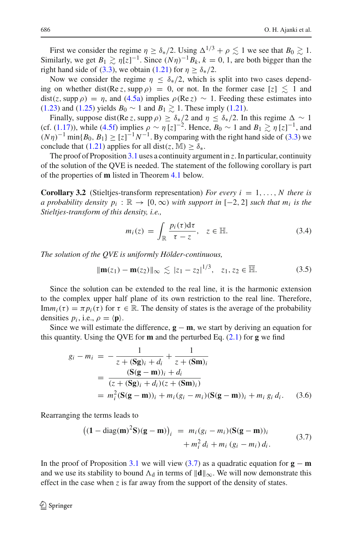First we consider the regime  $\eta \ge \delta_*/2$ . Using  $\Delta^{1/3} + \rho \lesssim 1$  we see that  $B_0 \gtrsim 1$ . Similarly, we get  $B_1 \gtrsim \eta[z]^{-1}$ . Since  $(N\eta)^{-1}B_k$ ,  $k = 0, 1$ , are both bigger than the right hand side of [\(3.3\)](#page-18-3), we obtain [\(1.21\)](#page-8-3) for  $\eta \ge \delta_*/2$ .

Now we consider the regime  $\eta \leq \delta_{*}/2$ , which is split into two cases depending on whether dist(Re *z*, supp  $\rho$ ) = 0, or not. In the former case [*z*]  $\leq 1$  and  $dist(z, \text{supp }\rho) = \eta$ , and [\(4.5a\)](#page-27-2) implies  $\rho(\text{Re } z) \sim 1$ . Feeding these estimates into [\(1.23\)](#page-8-4) and [\(1.25\)](#page-8-5) yields  $B_0 \sim 1$  and  $B_1 \gtrsim 1$ . These imply [\(1.21\)](#page-8-3).

Finally, suppose dist(Re *z*, supp  $\rho$ )  $\geq \delta_*/2$  and  $\eta \leq \delta_*/2$ . In this regime  $\Delta \sim 1$ (cf. [\(1.17\)](#page-7-2)), while [\(4.5f\)](#page-27-3) implies  $\rho \sim \eta [z]^{-2}$ . Hence,  $B_0 \sim 1$  and  $B_1 \gtrsim \eta [z]^{-1}$ , and  $(N\eta)^{-1}$  min{*B*<sub>0</sub>, *B*<sub>1</sub>} ≥ [*z*]<sup>-1</sup>*N*<sup>-1</sup>. By comparing with the right hand side of [\(3.3\)](#page-18-3) we conclude that [\(1.21\)](#page-8-3) applies for all dist(*z*, M)  $\geq \delta_*$ .

The proof of Proposition [3.1](#page-18-4) uses a continuity argument in *z*. In particular, continuity of the solution of the QVE is needed. The statement of the following corollary is part of the properties of **m** listed in Theorem [4.1](#page-26-2) below.

<span id="page-19-4"></span>**Corollary 3.2** (Stieltjes-transform representation) *For every i* = 1, ..., *N* there is *a probability density*  $p_i : \mathbb{R} \to [0, \infty)$  *with support in* [-2, 2] *such that*  $m_i$  *is the Stieltjes-transform of this density, i.e.,*

$$
m_i(z) = \int_{\mathbb{R}} \frac{p_i(\tau) d\tau}{\tau - z}, \quad z \in \mathbb{H}.
$$
 (3.4)

<span id="page-19-3"></span><span id="page-19-1"></span>*The solution of the QVE is uniformly Hölder-continuous,*

$$
\|\mathbf{m}(z_1) - \mathbf{m}(z_2)\|_{\infty} \lesssim |z_1 - z_2|^{1/3}, \quad z_1, z_2 \in \overline{\mathbb{H}}.
$$
 (3.5)

Since the solution can be extended to the real line, it is the harmonic extension to the complex upper half plane of its own restriction to the real line. Therefore, Im $m_i(\tau) = \pi p_i(\tau)$  for  $\tau \in \mathbb{R}$ . The density of states is the average of the probability densities  $p_i$ , i.e.,  $\rho = \langle \mathbf{p} \rangle$ .

Since we will estimate the difference,  $\mathbf{g} - \mathbf{m}$ , we start by deriving an equation for this quantity. Using the QVE for **m** and the perturbed Eq. [\(2.1\)](#page-14-2) for **g** we find

$$
g_i - m_i = -\frac{1}{z + (\mathbf{S}\mathbf{g})_i + d_i} + \frac{1}{z + (\mathbf{S}\mathbf{m})_i}
$$
  
= 
$$
\frac{(\mathbf{S}(\mathbf{g} - \mathbf{m}))_i + d_i}{(z + (\mathbf{S}\mathbf{g})_i + d_i)(z + (\mathbf{S}\mathbf{m})_i)}
$$
  
= 
$$
m_i^2 (\mathbf{S}(\mathbf{g} - \mathbf{m}))_i + m_i (g_i - m_i) (\mathbf{S}(\mathbf{g} - \mathbf{m}))_i + m_i g_i d_i.
$$
 (3.6)

<span id="page-19-0"></span>Rearranging the terms leads to

$$
((1 - diag(m)^{2}S)(g - m))_{i} = m_{i}(g_{i} - m_{i})(S(g - m))_{i} + m_{i}^{2} d_{i} + m_{i}(g_{i} - m_{i}) d_{i}.
$$
 (3.7)

<span id="page-19-2"></span>In the proof of Proposition [3.1](#page-18-4) we will view  $(3.7)$  as a quadratic equation for **g** − **m** and we use its stability to bound  $\Lambda_d$  in terms of  $\|\mathbf{d}\|_{\infty}$ . We will now demonstrate this effect in the case when *z* is far away from the support of the density of states.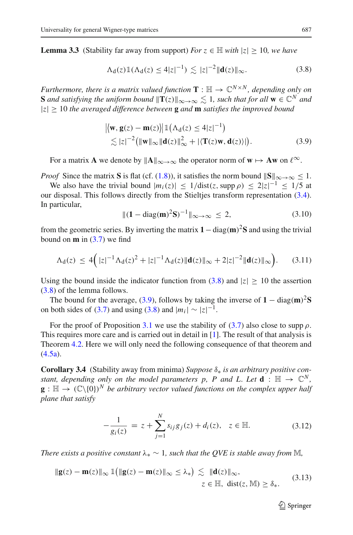<span id="page-20-0"></span>**Lemma 3.3** (Stability far away from support) *For*  $z \in \mathbb{H}$  *with*  $|z| \ge 10$ *, we have* 

$$
\Lambda_{d}(z) \mathbb{1}(\Lambda_{d}(z) \le 4|z|^{-1}) \lesssim |z|^{-2} \|\mathbf{d}(z)\|_{\infty}.
$$
 (3.8)

*Furthermore, there is a matrix valued function*  $\mathbf{T} : \mathbb{H} \to \mathbb{C}^{N \times N}$ *, depending only on* **S** and satisfying the uniform bound  $\|\mathbf{T}(z)\|_{\infty\to\infty} \lesssim 1$ , such that for all  $\mathbf{w} \in \mathbb{C}^N$  and  $|z| \geq 10$  *the averaged difference between* **g** *and* **m** *satisfies the improved bound* 

$$
\begin{aligned} & \left| \left\langle \mathbf{w}, \mathbf{g}(z) - \mathbf{m}(z) \right\rangle \right| \mathbb{1} \left( \Lambda_d(z) \le 4|z|^{-1} \right) \\ &\lesssim |z|^{-2} \left( \|\mathbf{w}\|_{\infty} \|\mathbf{d}(z)\|_{\infty}^2 + |\langle \mathbf{T}(z)\mathbf{w}, \mathbf{d}(z) \rangle| \right). \end{aligned} \tag{3.9}
$$

<span id="page-20-1"></span>For a matrix **A** we denote by  $||A||_{\infty \to \infty}$  the operator norm of  $w \mapsto Aw$  on  $\ell^{\infty}$ .

*Proof* Since the matrix **S** is flat (cf. [\(1.8\)](#page-4-1)), it satisfies the norm bound  $||\mathbf{S}||_{\infty \to \infty} < 1$ .

We also have the trivial bound  $|m_i(z)| \leq 1/\text{dist}(z, \text{supp }\rho) \leq 2|z|^{-1} \leq 1/5$  at our disposal. This follows directly from the Stieltjes transform representation [\(3.4\)](#page-19-1). In particular,

$$
\|(1 - \text{diag}(\mathbf{m})^2 \mathbf{S})^{-1}\|_{\infty \to \infty} \le 2, \tag{3.10}
$$

from the geometric series. By inverting the matrix  $1 - \text{diag}(\mathbf{m})^2 \mathbf{S}$  and using the trivial bound on **m** in [\(3.7\)](#page-19-0) we find

$$
\Lambda_{d}(z) \le 4(|z|^{-1}\Lambda_{d}(z)^{2}+|z|^{-1}\Lambda_{d}(z)\|\mathbf{d}(z)\|_{\infty}+2|z|^{-2}\|\mathbf{d}(z)\|_{\infty} \Big). \qquad (3.11)
$$

Using the bound inside the indicator function from  $(3.8)$  and  $|z| \ge 10$  the assertion [\(3.8\)](#page-20-0) of the lemma follows.

The bound for the average, [\(3.9\)](#page-20-1), follows by taking the inverse of  $1 - \text{diag}(\mathbf{m})^2 S$ on both sides of [\(3.7\)](#page-19-0) and using [\(3.8\)](#page-20-0) and  $|m_i| \sim |z|^{-1}$ .

For the proof of Proposition [3.1](#page-18-4) we use the stability of [\(3.7\)](#page-19-0) also close to supp  $\rho$ . This requires more care and is carried out in detail in [\[1](#page-59-5)]. The result of that analysis is Theorem [4.2.](#page-27-0) Here we will only need the following consequence of that theorem and  $(4.5a)$ .

<span id="page-20-2"></span>**Corollary 3.4** (Stability away from minima) *Suppose* δ<sup>∗</sup> *is an arbitrary positive constant, depending only on the model parameters p, P and L. Let*  $\mathbf{d}$  :  $\mathbb{H} \to \mathbb{C}^N$ ,  $\mathbf{g} : \mathbb{H} \to (\mathbb{C}\backslash\{0\})^N$  *be arbitrary vector valued functions on the complex upper half plane that satisfy*

$$
-\frac{1}{g_i(z)} = z + \sum_{j=1}^{N} s_{ij} g_j(z) + d_i(z), \quad z \in \mathbb{H}.
$$
 (3.12)

<span id="page-20-3"></span>*There exists a positive constant*  $\lambda_* \sim 1$ , such that the QVE is stable away from M,

$$
\|\mathbf{g}(z) - \mathbf{m}(z)\|_{\infty} \mathbb{1} \left( \|\mathbf{g}(z) - \mathbf{m}(z)\|_{\infty} \le \lambda_* \right) \lesssim \|\mathbf{d}(z)\|_{\infty},
$$
  
 $z \in \mathbb{H}, \text{ dist}(z, \mathbb{M}) \ge \delta_*.$  (3.13)

 $\mathcal{D}$  Springer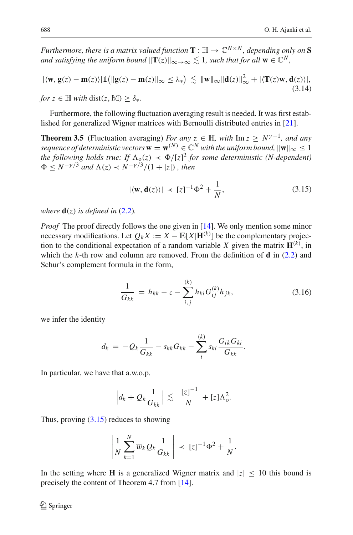*Furthermore, there is a matrix valued function*  $\mathbf{T} : \mathbb{H} \to \mathbb{C}^{N \times N}$ *, depending only on*  $S$ *and satisfying the uniform bound*  $\|\mathbf{T}(z)\|_{\infty\to\infty} \leq 1$ , such that for all  $\mathbf{w} \in \mathbb{C}^N$ ,

<span id="page-21-2"></span>
$$
|\langle \mathbf{w}, \mathbf{g}(z) - \mathbf{m}(z) \rangle| \mathbb{1} \left( \|\mathbf{g}(z) - \mathbf{m}(z)\|_{\infty} \le \lambda_* \right) \lesssim \|\mathbf{w}\|_{\infty} \|\mathbf{d}(z)\|_{\infty}^2 + |\langle \mathbf{T}(z)\mathbf{w}, \mathbf{d}(z) \rangle|,
$$
  
for  $z \in \mathbb{H}$  with  $\text{dist}(z, \mathbb{M}) > \delta_*.$  (3.14)

<span id="page-21-1"></span>Furthermore, the following fluctuation averaging result is needed. It was first established for generalized Wigner matrices with Bernoulli distributed entries in [\[21\]](#page-60-14).

**Theorem 3.5** (Fluctuation averaging) *For any*  $z \in \mathbb{H}$ , with Im  $z \geq N^{\gamma-1}$ , and any *sequence of deterministic vectors*  $\mathbf{w} = \mathbf{w}^{(N)} \in \mathbb{C}^N$  *with the uniform bound,*  $\|\mathbf{w}\|_{\infty} \leq 1$ *the following holds true: If*  $\Lambda_0(z) \prec \Phi/[z]^2$  *for some deterministic (N-dependent)*  $\Phi \leq N^{-\gamma/3}$  *and*  $\Lambda(z) \prec N^{-\gamma/3}/(1+|z|)$ *, then* 

$$
|\langle \mathbf{w}, \mathbf{d}(z) \rangle| \prec [z]^{-1} \Phi^2 + \frac{1}{N}, \tag{3.15}
$$

<span id="page-21-0"></span>*where*  $\mathbf{d}(z)$  *is defined in* [\(2.2\)](#page-14-1)*.* 

*Proof* The proof directly follows the one given in [\[14\]](#page-59-2). We only mention some minor necessary modifications. Let  $Q_k X := X - \mathbb{E}[X | \mathbf{H}^{(k)}]$  be the complementary projection to the conditional expectation of a random variable *X* given the matrix  $\mathbf{H}^{(k)}$ , in which the *k*-th row and column are removed. From the definition of **d** in [\(2.2\)](#page-14-1) and Schur's complement formula in the form,

$$
\frac{1}{G_{kk}} = h_{kk} - z - \sum_{i,j}^{(k)} h_{ki} G_{ij}^{(k)} h_{jk},
$$
\n(3.16)

<span id="page-21-3"></span>we infer the identity

$$
d_k = -Q_k \frac{1}{G_{kk}} - s_{kk} G_{kk} - \sum_i^{(k)} s_{ki} \frac{G_{ik} G_{ki}}{G_{kk}}.
$$

In particular, we have that a.w.o.p.

$$
\left|d_k + Q_k \frac{1}{G_{kk}}\right| \lesssim \frac{|z|^{-1}}{N} + [z]\Lambda_0^2.
$$

Thus, proving  $(3.15)$  reduces to showing

$$
\left|\frac{1}{N}\sum_{k=1}^N \overline{w}_k Q_k \frac{1}{G_{kk}}\right| \prec [z]^{-1} \Phi^2 + \frac{1}{N}.
$$

In the setting where **H** is a generalized Wigner matrix and  $|z| < 10$  this bound is precisely the content of Theorem 4.7 from [\[14](#page-59-2)].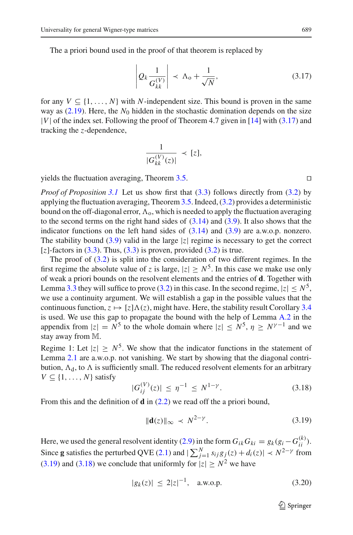<span id="page-22-0"></span>The a priori bound used in the proof of that theorem is replaced by

$$
\left| Q_k \frac{1}{G_{kk}^{(V)}} \right| \prec \Lambda_0 + \frac{1}{\sqrt{N}}, \tag{3.17}
$$

for any  $V \subseteq \{1, \ldots, N\}$  with *N*-independent size. This bound is proven in the same way as  $(2.19)$ . Here, the  $N_0$  hidden in the stochastic domination depends on the size |*V*| of the index set. Following the proof of Theorem 4.7 given in [\[14\]](#page-59-2) with [\(3.17\)](#page-22-0) and tracking the *z*-dependence,

$$
\frac{1}{|G_{kk}^{(V)}(z)|} \prec [z],
$$

yields the fluctuation averaging, Theorem [3.5.](#page-21-1)  $\Box$ 

*Proof of Proposition* [3.1](#page-18-4) Let us show first that [\(3.3\)](#page-18-3) follows directly from [\(3.2\)](#page-18-2) by applying the fluctuation averaging, Theorem [3.5.](#page-21-1) Indeed, [\(3.2\)](#page-18-2) provides a deterministic bound on the off-diagonal error,  $\Lambda_{\rm o}$ , which is needed to apply the fluctuation averaging to the second terms on the right hand sides of  $(3.14)$  and  $(3.9)$ . It also shows that the indicator functions on the left hand sides of  $(3.14)$  and  $(3.9)$  are a.w.o.p. nonzero. The stability bound  $(3.9)$  valid in the large |*z*| regime is necessary to get the correct  $[z]$ -factors in  $(3.3)$ . Thus,  $(3.3)$  is proven, provided  $(3.2)$  is true.

The proof of [\(3.2\)](#page-18-2) is split into the consideration of two different regimes. In the first regime the absolute value of *z* is large,  $|z| > N^5$ . In this case we make use only of weak a priori bounds on the resolvent elements and the entries of **d**. Together with Lemma [3.3](#page-19-2) they will suffice to prove [\(3.2\)](#page-18-2) in this case. In the second regime,  $|z| \le N^5$ , we use a continuity argument. We will establish a gap in the possible values that the continuous function,  $z \mapsto [z] \Lambda(z)$ , might have. Here, the stability result Corollary [3.4](#page-20-2) is used. We use this gap to propagate the bound with the help of Lemma [A.2](#page-54-2) in the appendix from  $|z| = N^5$  to the whole domain where  $|z| \le N^5$ ,  $\eta \ge N^{\gamma-1}$  and we stay away from M.

Regime 1: Let  $|z| > N^5$ . We show that the indicator functions in the statement of Lemma [2.1](#page-15-0) are a.w.o.p. not vanishing. We start by showing that the diagonal contribution,  $\Lambda_d$ , to  $\Lambda$  is sufficiently small. The reduced resolvent elements for an arbitrary  $V \subseteq \{1, \ldots, N\}$  satisfy

$$
|G_{ij}^{(V)}(z)| \le \eta^{-1} \le N^{1-\gamma}.
$$
 (3.18)

<span id="page-22-2"></span><span id="page-22-1"></span>From this and the definition of **d** in [\(2.2\)](#page-14-1) we read off the a priori bound,

$$
\|\mathbf{d}(z)\|_{\infty} \prec N^{2-\gamma}.\tag{3.19}
$$

<span id="page-22-3"></span>Here, we used the general resolvent identity [\(2.9\)](#page-16-2) in the form  $G_{ik}G_{ki} = g_k(g_i - G_{ii}^{(k)})$ . Since **g** satisfies the perturbed QVE [\(2.1\)](#page-14-2) and  $|\sum_{j=1}^{N} s_{ij}g_j(z) + d_i(z)| \prec N^{2-\gamma}$  from [\(3.19\)](#page-22-1) and [\(3.18\)](#page-22-2) we conclude that uniformly for  $|z| \ge N^2$  we have

$$
|g_k(z)| \le 2|z|^{-1}, \quad \text{a.w.o.p.} \tag{3.20}
$$

 $\mathcal{D}$  Springer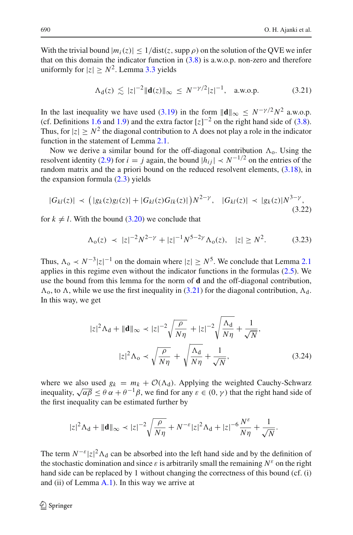With the trivial bound  $|m_i(z)| \leq 1/\text{dist}(z, \text{supp }\rho)$  on the solution of the QVE we infer that on this domain the indicator function in  $(3.8)$  is a.w.o.p. non-zero and therefore uniformly for  $|z| \geq N^2$ . Lemma [3.3](#page-19-2) yields

$$
\Lambda_{d}(z) \lesssim |z|^{-2} \|\mathbf{d}(z)\|_{\infty} \leq N^{-\gamma/2} |z|^{-1}, \quad \text{a.w.o.p.} \tag{3.21}
$$

<span id="page-23-0"></span>In the last inequality we have used [\(3.19\)](#page-22-1) in the form  $\|\mathbf{d}\|_{\infty} < N^{-\gamma/2}N^2$  a.w.o.p. (cf. Definitions [1.6](#page-7-1) and [1.9\)](#page-9-0) and the extra factor  $[z]^{-2}$  on the right hand side of [\(3.8\)](#page-20-0). Thus, for  $|z| \ge N^2$  the diagonal contribution to  $\Lambda$  does not play a role in the indicator function in the statement of Lemma [2.1.](#page-15-0)

Now we derive a similar bound for the off-diagonal contribution  $\Lambda_0$ . Using the resolvent identity [\(2.9\)](#page-16-2) for  $i = j$  again, the bound  $|h_{ij}| \lt N^{-1/2}$  on the entries of the random matrix and the a priori bound on the reduced resolvent elements, [\(3.18\)](#page-22-2), in the expansion formula [\(2.3\)](#page-14-0) yields

$$
|G_{kl}(z)| \prec (|g_k(z)g_l(z)| + |G_{kl}(z)G_{lk}(z)|)N^{2-\gamma}, \quad |G_{kl}(z)| \prec |g_k(z)|N^{3-\gamma}, \tag{3.22}
$$

for  $k \neq l$ . With the bound [\(3.20\)](#page-22-3) we conclude that

$$
\Lambda_0(z) \prec |z|^{-2} N^{2-\gamma} + |z|^{-1} N^{5-2\gamma} \Lambda_0(z), \quad |z| \ge N^2. \tag{3.23}
$$

Thus,  $\Lambda_0 \prec N^{-3}|z|^{-1}$  on the domain where  $|z| \ge N^5$ . We conclude that Lemma [2.1](#page-15-0) applies in this regime even without the indicator functions in the formulas [\(2.5\)](#page-15-7). We use the bound from this lemma for the norm of **d** and the off-diagonal contribution,  $\Lambda_0$ , to  $\Lambda$ , while we use the first inequality in [\(3.21\)](#page-23-0) for the diagonal contribution,  $\Lambda_d$ . In this way, we get

$$
|z|^2 \Lambda_d + \|\mathbf{d}\|_{\infty} \prec |z|^{-2} \sqrt{\frac{\rho}{N\eta}} + |z|^{-2} \sqrt{\frac{\Lambda_d}{N\eta}} + \frac{1}{\sqrt{N}},
$$

$$
|z|^2 \Lambda_o \prec \sqrt{\frac{\rho}{N\eta}} + \sqrt{\frac{\Lambda_d}{N\eta}} + \frac{1}{\sqrt{N}},
$$
(3.24)

<span id="page-23-1"></span>where we also used  $g_k = m_k + \mathcal{O}(\Lambda_d)$ . Applying the weighted Cauchy-Schwarz inequality,  $\sqrt{\alpha\beta} \le \theta \alpha + \theta^{-1}\beta$ , we find for any  $\varepsilon \in (0, \gamma)$  that the right hand side of the first inequality can be estimated further by

$$
|z|^2\Lambda_{\rm d}+\|\mathbf{d}\|_\infty\prec |z|^{-2}\sqrt{\frac{\rho}{N\eta}}+N^{-\varepsilon}|z|^2\Lambda_{\rm d}+|z|^{-6}\frac{N^{\varepsilon}}{N\eta}+\frac{1}{\sqrt{N}}.
$$

The term  $N^{-\varepsilon}|z|^2 \Lambda_d$  can be absorbed into the left hand side and by the definition of the stochastic domination and since  $\varepsilon$  is arbitrarily small the remaining  $N^{\varepsilon}$  on the right hand side can be replaced by 1 without changing the correctness of this bound (cf. (i) and (ii) of Lemma  $A.1$ ). In this way we arrive at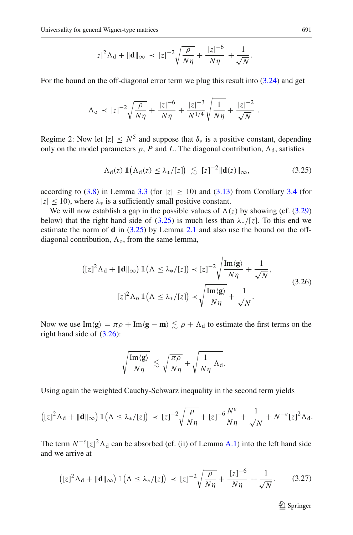$$
|z|^2 \Lambda_{\rm d} + \|\mathbf{d}\|_{\infty} \, \prec \, |z|^{-2} \sqrt{\frac{\rho}{N\eta}} + \frac{|z|^{-6}}{N\eta} + \frac{1}{\sqrt{N}}.
$$

For the bound on the off-diagonal error term we plug this result into  $(3.24)$  and get

$$
\Lambda_{\rm o} \prec |z|^{-2} \sqrt{\frac{\rho}{N\eta}} + \frac{|z|^{-6}}{N\eta} + \frac{|z|^{-3}}{N^{1/4}} \sqrt{\frac{1}{N\eta}} + \frac{|z|^{-2}}{\sqrt{N}}.
$$

Regime 2: Now let  $|z| \leq N^5$  and suppose that  $\delta_*$  is a positive constant, depending only on the model parameters  $p$ ,  $P$  and  $L$ . The diagonal contribution,  $\Lambda_d$ , satisfies

$$
\Lambda_{\mathbf{d}}(z) \, \mathbb{1}\big(\Lambda_{\mathbf{d}}(z) \le \lambda_*/[z]\big) \lesssim [z]^{-2} \|\mathbf{d}(z)\|_{\infty},\tag{3.25}
$$

<span id="page-24-0"></span>according to [\(3.8\)](#page-20-0) in Lemma [3.3](#page-19-2) (for  $|z| \ge 10$ ) and [\(3.13\)](#page-20-3) from Corollary [3.4](#page-20-2) (for  $|z| \leq 10$ ), where  $\lambda_*$  is a sufficiently small positive constant.

We will now establish a gap in the possible values of  $\Lambda(z)$  by showing (cf. [\(3.29\)](#page-25-0) below) that the right hand side of  $(3.25)$  is much less than  $\lambda_*/[z]$ . To this end we estimate the norm of **d** in [\(3.25\)](#page-24-0) by Lemma [2.1](#page-15-0) and also use the bound on the offdiagonal contribution,  $\Lambda_0$ , from the same lemma,

$$
\left( [z]^2 \Lambda_d + \|\mathbf{d}\|_{\infty} \right) \mathbb{1} \left( \Lambda \le \lambda_* / [z] \right) \prec [z]^{-2} \sqrt{\frac{\text{Im} \langle \mathbf{g} \rangle}{N\eta}} + \frac{1}{\sqrt{N}},
$$
\n
$$
[z]^2 \Lambda_0 \mathbb{1} \left( \Lambda \le \lambda_* / [z] \right) \prec \sqrt{\frac{\text{Im} \langle \mathbf{g} \rangle}{N\eta}} + \frac{1}{\sqrt{N}}.
$$
\n(3.26)

<span id="page-24-1"></span>Now we use  $\text{Im}\langle \mathbf{g} \rangle = \pi \rho + \text{Im}\langle \mathbf{g} - \mathbf{m} \rangle \lesssim \rho + \Lambda_d$  to estimate the first terms on the right hand side of [\(3.26\)](#page-24-1):

$$
\sqrt{\frac{\operatorname{Im}\langle \mathbf{g} \rangle}{N\eta}} \, \lesssim \, \sqrt{\frac{\pi\rho}{N\eta}} + \sqrt{\frac{1}{N\eta} \, \Lambda_{\text{d}}}.
$$

Using again the weighted Cauchy-Schwarz inequality in the second term yields

$$
\left( [z]^2 \Lambda_d + \|\mathbf{d}\|_{\infty} \right) \mathbb{1} \left( \Lambda \leq \lambda_* / [z] \right) \prec [z]^{-2} \sqrt{\frac{\rho}{N\eta}} + [z]^{-6} \frac{N^{\varepsilon}}{N\eta} + \frac{1}{\sqrt{N}} + N^{-\varepsilon} [z]^2 \Lambda_d.
$$

<span id="page-24-2"></span>The term  $N^{-\varepsilon}[z]^2 \Lambda_d$  can be absorbed (cf. (ii) of Lemma [A.1\)](#page-54-1) into the left hand side and we arrive at

$$
\left( [z]^2 \Lambda_{\mathbf{d}} + \|\mathbf{d}\|_{\infty} \right) \mathbb{1} \left( \Lambda \le \lambda_*/[z] \right) \prec [z]^{-2} \sqrt{\frac{\rho}{N\eta}} + \frac{[z]^{-6}}{N\eta} + \frac{1}{\sqrt{N}}. \tag{3.27}
$$

 $\mathcal{D}$  Springer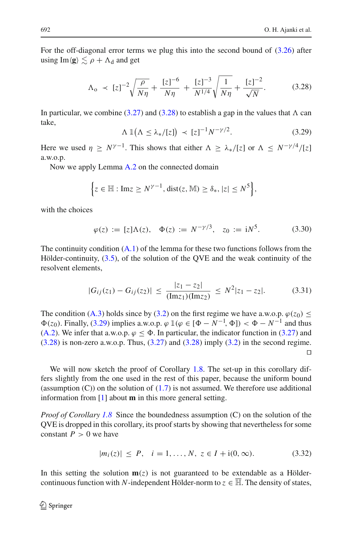For the off-diagonal error terms we plug this into the second bound of [\(3.26\)](#page-24-1) after using  $\text{Im}\langle \mathbf{g} \rangle \lesssim \rho + \Lambda_d$  and get

$$
\Lambda_{\rm o} \prec [z]^{-2} \sqrt{\frac{\rho}{N\eta}} + \frac{[z]^{-6}}{N\eta} + \frac{[z]^{-3}}{N^{1/4}} \sqrt{\frac{1}{N\eta}} + \frac{[z]^{-2}}{\sqrt{N}}.
$$
 (3.28)

<span id="page-25-1"></span>In particular, we combine [\(3.27\)](#page-24-2) and [\(3.28\)](#page-25-1) to establish a gap in the values that  $\Lambda$  can take,

$$
\Lambda \mathbb{1}\big(\Lambda \le \lambda_*/[z]\big) \prec [z]^{-1} N^{-\gamma/2}.\tag{3.29}
$$

<span id="page-25-0"></span>Here we used  $\eta \geq N^{\gamma-1}$ . This shows that either  $\Lambda \geq \lambda_*/[z]$  or  $\Lambda \leq N^{-\gamma/4}/[z]$ a.w.o.p.

Now we apply Lemma [A.2](#page-54-2) on the connected domain

$$
\left\{z\in\mathbb{H}: \text{Im}z\geq N^{\gamma-1}, \text{dist}(z,\mathbb{M})\geq \delta_*, |z|\leq N^5\right\},\
$$

with the choices

$$
\varphi(z) := [z] \Lambda(z), \quad \Phi(z) := N^{-\gamma/3}, \quad z_0 := iN^5.
$$
\n(3.30)

The continuity condition  $(A.1)$  of the lemma for these two functions follows from the Hölder-continuity, [\(3.5\)](#page-19-3), of the solution of the QVE and the weak continuity of the resolvent elements,

$$
|G_{ij}(z_1) - G_{ij}(z_2)| \le \frac{|z_1 - z_2|}{(\text{Im} z_1)(\text{Im} z_2)} \le N^2 |z_1 - z_2|.
$$
 (3.31)

The condition [\(A.3\)](#page-55-1) holds since by [\(3.2\)](#page-18-2) on the first regime we have a.w.o.p.  $\varphi(z_0) \leq$  $\Phi(z_0)$ . Finally, [\(3.29\)](#page-25-0) implies a.w.o.p.  $\varphi \mathbb{1}(\varphi \in [\Phi - N^{-1}, \Phi]) < \Phi - N^{-1}$  and thus [\(A.2\)](#page-55-2). We infer that a.w.o.p.  $\varphi \leq \Phi$ . In particular, the indicator function in [\(3.27\)](#page-24-2) and  $(3.28)$  is non-zero a.w.o.p. Thus,  $(3.27)$  and  $(3.28)$  imply  $(3.2)$  in the second regime.  $\Box$ 

We will now sketch the proof of Corollary [1.8.](#page-8-1) The set-up in this corollary differs slightly from the one used in the rest of this paper, because the uniform bound (assumption  $(C)$ ) on the solution of  $(1.7)$  is not assumed. We therefore use additional information from [\[1](#page-59-5)] about **m** in this more general setting.

*Proof of Corollary [1.8](#page-8-1)* Since the boundedness assumption (C) on the solution of the QVE is dropped in this corollary, its proof starts by showing that nevertheless for some constant  $P > 0$  we have

$$
|m_i(z)| \le P, \quad i = 1, \dots, N, \ z \in I + i(0, \infty). \tag{3.32}
$$

<span id="page-25-2"></span>In this setting the solution  $m(z)$  is not guaranteed to be extendable as a Höldercontinuous function with *N*-independent Hölder-norm to  $z \in \overline{\mathbb{H}}$ . The density of states,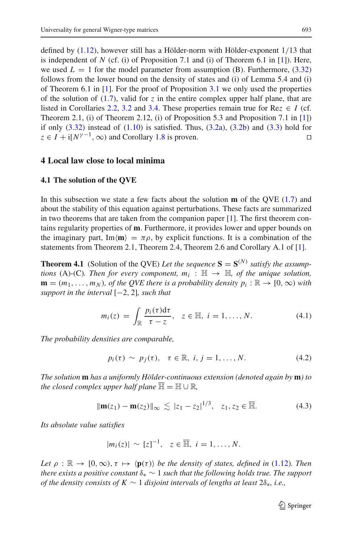defined by [\(1.12\)](#page-5-2), however still has a Hölder-norm with Hölder-exponent 1/13 that is independent of  $N$  (cf. (i) of Proposition 7.1 and (i) of Theorem 6.1 in [\[1](#page-59-5)]). Here, we used  $L = 1$  for the model parameter from assumption (B). Furthermore,  $(3.32)$ follows from the lower bound on the density of states and (i) of Lemma 5.4 and (i) of Theorem 6.1 in  $[1]$ . For the proof of Proposition [3.1](#page-18-4) we only used the properties of the solution of  $(1.7)$ , valid for  $\zeta$  in the entire complex upper half plane, that are listed in Corollaries [2.2,](#page-15-3) [3.2](#page-19-4) and [3.4.](#page-20-2) These properties remain true for Re $z \in I$  (cf. Theorem 2.1, (i) of Theorem 2.12, (i) of Proposition 5.3 and Proposition 7.1 in [\[1](#page-59-5)]) if only  $(3.32)$  instead of  $(1.10)$  is satisfied. Thus,  $(3.2a)$ ,  $(3.2b)$  and  $(3.3)$  hold for  $z \in I + i[N^{\gamma-1}, \infty)$  and Corollary [1.8](#page-8-1) is proven.

#### <span id="page-26-1"></span><span id="page-26-0"></span>**4 Local law close to local minima**

#### **4.1 The solution of the QVE**

In this subsection we state a few facts about the solution **m** of the QVE [\(1.7\)](#page-3-1) and about the stability of this equation against perturbations. These facts are summarized in two theorems that are taken from the companion paper [\[1\]](#page-59-5). The first theorem contains regularity properties of **m**. Furthermore, it provides lower and upper bounds on the imaginary part, Im $\langle m \rangle = \pi \rho$ , by explicit functions. It is a combination of the statements from Theorem 2.1, Theorem 2.4, Theorem 2.6 and Corollary A.1 of [\[1](#page-59-5)].

<span id="page-26-2"></span>**Theorem 4.1** (Solution of the QVE) Let the sequence  $S = S^{(N)}$  satisfy the assump*tions* (A)-(C). Then for every component,  $m_i : \mathbb{H} \to \mathbb{H}$ , of the unique solution,  $\mathbf{m} = (m_1, \ldots, m_N)$ , of the QVE there is a probability density  $p_i : \mathbb{R} \to [0, \infty)$  with *support in the interval* [−2, 2]*, such that*

$$
m_i(z) = \int_{\mathbb{R}} \frac{p_i(\tau) d\tau}{\tau - z}, \quad z \in \mathbb{H}, \quad i = 1, \dots, N. \tag{4.1}
$$

*The probability densities are comparable,*

$$
p_i(\tau) \sim p_j(\tau), \quad \tau \in \mathbb{R}, \quad i, j = 1, \ldots, N. \tag{4.2}
$$

*The solution* **m** *has a uniformly Hölder-continuous extension (denoted again by* **m***) to the closed complex upper half plane*  $\mathbb{H} = \mathbb{H} \cup \mathbb{R}$ ,

$$
\|\mathbf{m}(z_1) - \mathbf{m}(z_2)\|_{\infty} \lesssim |z_1 - z_2|^{1/3}, \quad z_1, z_2 \in \overline{\mathbb{H}}.
$$
 (4.3)

*Its absolute value satisfies*

$$
|m_i(z)| \sim [z]^{-1}, \quad z \in \overline{\mathbb{H}}, \quad i = 1, \ldots, N.
$$

*Let*  $\rho : \mathbb{R} \to [0,\infty), \tau \mapsto \langle \mathbf{p}(\tau) \rangle$  *be the density of states, defined in* [\(1.12\)](#page-5-2)*. Then there exists a positive constant*  $\delta_* \sim 1$  *such that the following holds true. The support of the density consists of K* ∼ 1 *disjoint intervals of lengths at least* 2δ∗*, i.e.,*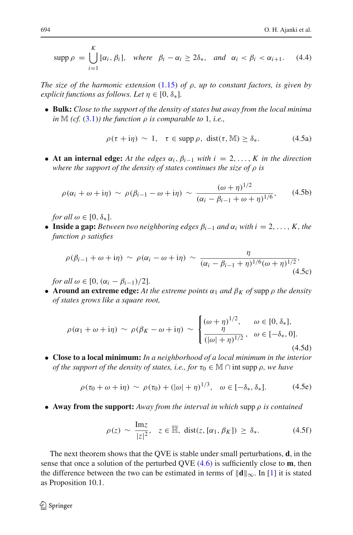supp  $\rho = \bigcup$ *K i*=1  $[\alpha_i, \beta_i],$  where  $\beta_i - \alpha_i \geq 2\delta_*,$  and  $\alpha_i < \beta_i < \alpha_{i+1}.$  (4.4)

*The size of the harmonic extension* [\(1.15\)](#page-6-3) *of* ρ*, up to constant factors, is given by explicit functions as follows. Let*  $n \in [0, \delta_*]$ .

• **Bulk:** *Close to the support of the density of states but away from the local minima in*  $M$  (*cf.* [\(3.1\)](#page-18-7)*)* the function  $\rho$  *is comparable to* 1*, i.e.,* 

<span id="page-27-1"></span>
$$
\rho(\tau + i\eta) \sim 1, \quad \tau \in \text{supp }\rho, \text{ dist}(\tau, \mathbb{M}) \ge \delta_*. \tag{4.5a}
$$

<span id="page-27-5"></span><span id="page-27-2"></span>• **At an internal edge:** At the edges  $\alpha_i$ ,  $\beta_{i-1}$  with  $i = 2, \ldots, K$  in the direction *where the support of the density of states continues the size of* ρ *is*

$$
\rho(\alpha_i + \omega + i\eta) \sim \rho(\beta_{i-1} - \omega + i\eta) \sim \frac{(\omega + \eta)^{1/2}}{(\alpha_i - \beta_{i-1} + \omega + \eta)^{1/6}},\qquad(4.5b)
$$

*for all*  $\omega \in [0, \delta_*]$ .

<span id="page-27-6"></span>• **Inside a gap:** *Between two neighboring edges*  $\beta_{i-1}$  *and*  $\alpha_i$  *with*  $i = 2, \ldots, K$ *, the function* ρ *satisfies*

$$
\rho(\beta_{i-1}+\omega+i\eta) \sim \rho(\alpha_i-\omega+i\eta) \sim \frac{\eta}{(\alpha_i-\beta_{i-1}+\eta)^{1/6}(\omega+\eta)^{1/2}},\tag{4.5c}
$$

*for all*  $\omega \in [0, (\alpha_i - \beta_{i-1})/2]$ .

• **Around an extreme edge:** At the extreme points  $\alpha_1$  and  $\beta_K$  of supp  $\rho$  the density *of states grows like a square root,*

$$
\rho(\alpha_1 + \omega + i\eta) \sim \rho(\beta_K - \omega + i\eta) \sim \begin{cases} (\omega + \eta)^{1/2}, & \omega \in [0, \delta_*], \\ \frac{\eta}{(|\omega| + \eta)^{1/2}}, & \omega \in [-\delta_*, 0]. \end{cases}
$$
\n(4.5d)

<span id="page-27-7"></span>• **Close to a local minimum:** *In a neighborhood of a local minimum in the interior of the support of the density of states, i.e., for*  $\tau_0 \in \mathbb{M} \cap \text{int supp } \rho$ , we have

$$
\rho(\tau_0 + \omega + i\eta) \sim \rho(\tau_0) + (|\omega| + \eta)^{1/3}, \quad \omega \in [-\delta_*, \delta_*]. \tag{4.5e}
$$

<span id="page-27-4"></span><span id="page-27-3"></span>• **Away from the support:** *Away from the interval in which* supp ρ *is contained*

$$
\rho(z) \sim \frac{\text{Im}z}{|z|^2}, \quad z \in \overline{\mathbb{H}}, \text{ dist}(z, [\alpha_1, \beta_K]) \ge \delta_*.
$$
 (4.5f)

<span id="page-27-0"></span>The next theorem shows that the QVE is stable under small perturbations, **d**, in the sense that once a solution of the perturbed QVE [\(4.6\)](#page-28-0) is sufficiently close to **m**, then the difference between the two can be estimated in terms of  $\|\mathbf{d}\|_{\infty}$ . In [\[1](#page-59-5)] it is stated as Proposition 10.1.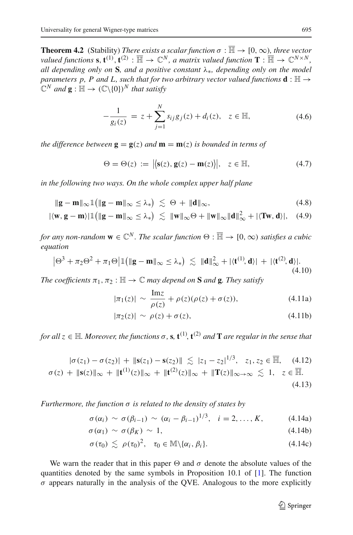**Theorem 4.2** (Stability) *There exists a scalar function*  $\sigma : \overline{\mathbb{H}} \to [0, \infty)$ *, three vector*  $\alpha$  *valued functions* **s**,  $\mathbf{t}^{(1)}$ ,  $\mathbf{t}^{(2)}$  :  $\overline{\mathbb{H}} \to \mathbb{C}^N$ , a matrix valued function  $\mathbf{T} : \overline{\mathbb{H}} \to \mathbb{C}^{N \times N}$ , *all depending only on* **S***, and a positive constant* λ∗*, depending only on the model parameters p, P and L, such that for two arbitrary vector valued functions*  $\mathbf{d} : \mathbb{H} \rightarrow$  $\mathbb{C}^N$  *and*  $\mathbf{g} : \mathbb{H} \to (\mathbb{C} \setminus \{0\})^N$  *that satisfy* 

$$
-\frac{1}{g_i(z)} = z + \sum_{j=1}^{N} s_{ij} g_j(z) + d_i(z), \quad z \in \mathbb{H},
$$
\n(4.6)

<span id="page-28-6"></span><span id="page-28-0"></span>*the difference between*  $\mathbf{g} = \mathbf{g}(z)$  *and*  $\mathbf{m} = \mathbf{m}(z)$  *is bounded in terms of* 

<span id="page-28-7"></span><span id="page-28-5"></span>
$$
\Theta = \Theta(z) := \left| \left\langle \mathbf{s}(z), \mathbf{g}(z) - \mathbf{m}(z) \right\rangle \right|, \quad z \in \mathbb{H}, \tag{4.7}
$$

*in the following two ways. On the whole complex upper half plane*

$$
\|\mathbf{g} - \mathbf{m}\|_{\infty} \mathbb{1} \left( \|\mathbf{g} - \mathbf{m}\|_{\infty} \leq \lambda_* \right) \lesssim \Theta + \|\mathbf{d}\|_{\infty},\tag{4.8}
$$

$$
|\langle \mathbf{w}, \mathbf{g} - \mathbf{m} \rangle| \mathbb{1} \big( \| \mathbf{g} - \mathbf{m} \|_{\infty} \le \lambda_* \big) \lesssim \| \mathbf{w} \|_{\infty} \Theta + \| \mathbf{w} \|_{\infty} \| \mathbf{d} \|_{\infty}^2 + |\langle \mathbf{Tw}, \mathbf{d} \rangle|, \quad (4.9)
$$

*for any non-random*  $\mathbf{w} \in \mathbb{C}^N$ . The scalar function  $\Theta : \overline{\mathbb{H}} \to [0, \infty)$  *satisfies a cubic equation*

$$
\left|\Theta^3 + \pi_2 \Theta^2 + \pi_1 \Theta \right| \mathbb{1} \big( \| \mathbf{g} - \mathbf{m} \|_{\infty} \le \lambda_* \big) \lesssim \| \mathbf{d} \|_{\infty}^2 + |\langle \mathbf{t}^{(1)}, \mathbf{d} \rangle| + |\langle \mathbf{t}^{(2)}, \mathbf{d} \rangle|. \tag{4.10}
$$

<span id="page-28-1"></span>*The coefficients*  $\pi_1, \pi_2 : \mathbb{H} \to \mathbb{C}$  *may depend on* **S** *and* **g***. They satisfy* 

<span id="page-28-2"></span>
$$
|\pi_1(z)| \sim \frac{\text{Im}z}{\rho(z)} + \rho(z)(\rho(z) + \sigma(z)), \tag{4.11a}
$$

$$
|\pi_2(z)| \sim \rho(z) + \sigma(z), \tag{4.11b}
$$

<span id="page-28-4"></span>*for all*  $z \in \mathbb{H}$ *. Moreover, the functions*  $\sigma$ ,  $s$ ,  $\mathbf{t}^{(1)}$ ,  $\mathbf{t}^{(2)}$  *and*  $\mathbf{T}$  *are regular in the sense that* 

$$
|\sigma(z_1) - \sigma(z_2)| + ||\mathbf{s}(z_1) - \mathbf{s}(z_2)|| \lesssim |z_1 - z_2|^{1/3}, \quad z_1, z_2 \in \overline{\mathbb{H}}, \quad (4.12)
$$

$$
\sigma(z) + \|\mathbf{s}(z)\|_{\infty} + \|\mathbf{t}^{(1)}(z)\|_{\infty} + \|\mathbf{t}^{(2)}(z)\|_{\infty} + \|\mathbf{T}(z)\|_{\infty \to \infty} \lesssim 1, \quad z \in \overline{\mathbb{H}}.
$$
\n(4.13)

*Furthermore, the function* σ *is related to the density of states by*

<span id="page-28-3"></span>
$$
\sigma(\alpha_i) \sim \sigma(\beta_{i-1}) \sim (\alpha_i - \beta_{i-1})^{1/3}, \quad i = 2, \ldots, K,
$$
 (4.14a)

$$
\sigma(\alpha_1) \sim \sigma(\beta_K) \sim 1, \tag{4.14b}
$$

$$
\sigma(\tau_0) \lesssim \rho(\tau_0)^2, \quad \tau_0 \in \mathbb{M} \setminus \{ \alpha_i, \beta_i \}. \tag{4.14c}
$$

We warn the reader that in this paper  $\Theta$  and  $\sigma$  denote the absolute values of the quantities denoted by the same symbols in Proposition 10.1 of [\[1](#page-59-5)]. The function  $\sigma$  appears naturally in the analysis of the QVE. Analogous to the more explicitly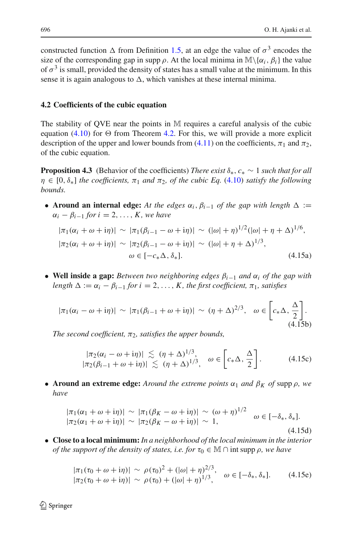constructed function  $\Delta$  from Definition [1.5,](#page-6-2) at an edge the value of  $\sigma^3$  encodes the size of the corresponding gap in supp  $\rho$ . At the local minima in  $\mathbb{M}\setminus\{\alpha_i, \beta_i\}$  the value of  $\sigma^3$  is small, provided the density of states has a small value at the minimum. In this sense it is again analogous to  $\Delta$ , which vanishes at these internal minima.

## <span id="page-29-0"></span>**4.2 Coefficients of the cubic equation**

The stability of QVE near the points in M requires a careful analysis of the cubic equation [\(4.10\)](#page-28-1) for  $\Theta$  from Theorem [4.2.](#page-27-0) For this, we will provide a more explicit description of the upper and lower bounds from [\(4.11\)](#page-28-2) on the coefficients,  $\pi_1$  and  $\pi_2$ , of the cubic equation.

<span id="page-29-3"></span>**Proposition 4.3** (Behavior of the coefficients) *There exist*  $\delta_*$ ,  $c_* \sim 1$  *such that for all*  $\eta \in [0, \delta_*]$  *the coefficients,*  $\pi_1$  *and*  $\pi_2$ *, of the cubic Eq.* [\(4.10\)](#page-28-1) *satisfy the following bounds.*

• **Around an internal edge:** At the edges  $\alpha_i$ ,  $\beta_{i-1}$  of the gap with length  $\Delta :=$  $\alpha_i - \beta_{i-1}$  *for*  $i = 2, \ldots, K$ *, we have* 

<span id="page-29-2"></span>
$$
|\pi_1(\alpha_i + \omega + i\eta)| \sim |\pi_1(\beta_{i-1} - \omega + i\eta)| \sim (|\omega| + \eta)^{1/2} (|\omega| + \eta + \Delta)^{1/6},
$$
  

$$
|\pi_2(\alpha_i + \omega + i\eta)| \sim |\pi_2(\beta_{i-1} - \omega + i\eta)| \sim (|\omega| + \eta + \Delta)^{1/3},
$$
  

$$
\omega \in [-c_*\Delta, \delta_*].
$$
 (4.15a)

<span id="page-29-5"></span>• **Well inside a gap:** *Between two neighboring edges* β*i*−<sup>1</sup> *and* α*<sup>i</sup> of the gap with length*  $\Delta := \alpha_i - \beta_{i-1}$  *for*  $i = 2, \ldots, K$ *, the first coefficient,*  $\pi_1$ *, satisfies* 

$$
|\pi_1(\alpha_i - \omega + i\eta)| \sim |\pi_1(\beta_{i-1} + \omega + i\eta)| \sim (\eta + \Delta)^{2/3}, \quad \omega \in \left[c_*\Delta, \frac{\Delta}{2}\right].
$$
\n(4.15b)

*The second coefficient,*  $\pi_2$ *, satisfies the upper bounds,* 

$$
\begin{array}{l}\n|\pi_2(\alpha_i - \omega + i\eta)| \lesssim (\eta + \Delta)^{1/3}, \\
|\pi_2(\beta_{i-1} + \omega + i\eta)| \lesssim (\eta + \Delta)^{1/3}, \quad \omega \in \left[c_*\Delta, \frac{\Delta}{2}\right].\n\end{array} \tag{4.15c}
$$

<span id="page-29-6"></span>• **Around an extreme edge:** *Around the extreme points*  $\alpha_1$  *and*  $\beta_K$  *of* supp  $\rho$ *, we have*

$$
\begin{aligned} |\pi_1(\alpha_1 + \omega + i\eta)| &\sim |\pi_1(\beta_K - \omega + i\eta)| \sim (\omega + \eta)^{1/2} \quad \omega \in [-\delta_*, \delta_*].\\ |\pi_2(\alpha_1 + \omega + i\eta)| &\sim |\pi_2(\beta_K - \omega + i\eta)| \sim 1, \end{aligned} \tag{4.15d}
$$

<span id="page-29-4"></span><span id="page-29-1"></span>• **Close to a local minimum:** *In a neighborhood of the local minimum in the interior of the support of the density of states, i.e. for*  $\tau_0 \in \mathbb{M} \cap \text{int supp } \rho$ , we have

$$
|\pi_1(\tau_0 + \omega + i\eta)| \sim \rho(\tau_0)^2 + (|\omega| + \eta)^{2/3}, \quad \omega \in [-\delta_*, \delta_*].
$$
 (4.15e)  

$$
|\pi_2(\tau_0 + \omega + i\eta)| \sim \rho(\tau_0) + (|\omega| + \eta)^{1/3},
$$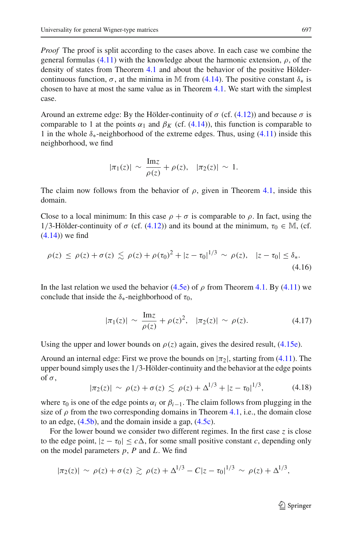*Proof* The proof is split according to the cases above. In each case we combine the general formulas [\(4.11\)](#page-28-2) with the knowledge about the harmonic extension,  $\rho$ , of the density of states from Theorem [4.1](#page-26-2) and about the behavior of the positive Höldercontinuous function,  $\sigma$ , at the minima in M from [\(4.14\)](#page-28-3). The positive constant  $\delta_*$  is chosen to have at most the same value as in Theorem [4.1.](#page-26-2) We start with the simplest case.

Around an extreme edge: By the Hölder-continuity of  $\sigma$  (cf. [\(4.12\)](#page-28-4)) and because  $\sigma$  is comparable to 1 at the points  $\alpha_1$  and  $\beta_K$  (cf. [\(4.14\)](#page-28-3)), this function is comparable to 1 in the whole  $\delta_{*}$ -neighborhood of the extreme edges. Thus, using [\(4.11\)](#page-28-2) inside this neighborhood, we find

$$
|\pi_1(z)| \sim \frac{\text{Im}z}{\rho(z)} + \rho(z), \quad |\pi_2(z)| \sim 1.
$$

The claim now follows from the behavior of  $\rho$ , given in Theorem [4.1,](#page-26-2) inside this domain.

Close to a local minimum: In this case  $\rho + \sigma$  is comparable to  $\rho$ . In fact, using the 1/3-Hölder-continuity of σ (cf. [\(4.12\)](#page-28-4)) and its bound at the minimum,  $\tau_0 \in M$ , (cf.  $(4.14)$ ) we find

$$
\rho(z) \le \rho(z) + \sigma(z) \lesssim \rho(z) + \rho(\tau_0)^2 + |z - \tau_0|^{1/3} \sim \rho(z), \quad |z - \tau_0| \le \delta_*.
$$
\n(4.16)

In the last relation we used the behavior [\(4.5e\)](#page-27-4) of  $\rho$  from Theorem [4.1.](#page-26-2) By [\(4.11\)](#page-28-2) we conclude that inside the  $\delta_*$ -neighborhood of  $\tau_0$ ,

$$
|\pi_1(z)| \sim \frac{\text{Im}z}{\rho(z)} + \rho(z)^2, \quad |\pi_2(z)| \sim \rho(z). \tag{4.17}
$$

Using the upper and lower bounds on  $\rho(z)$  again, gives the desired result, [\(4.15e\)](#page-29-1).

Around an internal edge: First we prove the bounds on  $|\pi_2|$ , starting from [\(4.11\)](#page-28-2). The upper bound simply uses the  $1/3$ -Hölder-continuity and the behavior at the edge points of  $\sigma$ .

$$
|\pi_2(z)| \sim \rho(z) + \sigma(z) \lesssim \rho(z) + \Delta^{1/3} + |z - \tau_0|^{1/3}, \tag{4.18}
$$

<span id="page-30-0"></span>where  $\tau_0$  is one of the edge points  $\alpha_i$  or  $\beta_{i-1}$ . The claim follows from plugging in the size of  $\rho$  from the two corresponding domains in Theorem [4.1,](#page-26-2) i.e., the domain close to an edge, [\(4.5b\)](#page-27-5), and the domain inside a gap, [\(4.5c\)](#page-27-6).

For the lower bound we consider two different regimes. In the first case *z* is close to the edge point,  $|z - \tau_0| \leq c \Delta$ , for some small positive constant *c*, depending only on the model parameters *p*, *P* and *L*. We find

$$
|\pi_2(z)| \sim \rho(z) + \sigma(z) \gtrsim \rho(z) + \Delta^{1/3} - C|z - \tau_0|^{1/3} \sim \rho(z) + \Delta^{1/3},
$$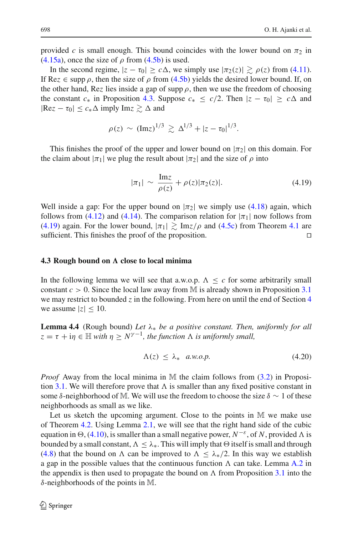provided *c* is small enough. This bound coincides with the lower bound on  $\pi_2$  in [\(4.15a\)](#page-29-2), once the size of  $\rho$  from [\(4.5b\)](#page-27-5) is used.

In the second regime,  $|z - \tau_0| \ge c\Delta$ , we simply use  $|\pi_2(z)| \gtrsim \rho(z)$  from [\(4.11\)](#page-28-2). If Rez  $\in$  supp  $\rho$ , then the size of  $\rho$  from [\(4.5b\)](#page-27-5) yields the desired lower bound. If, on the other hand, Rez lies inside a gap of supp  $\rho$ , then we use the freedom of choosing the constant  $c_*$  in Proposition [4.3.](#page-29-3) Suppose  $c_* \leq c/2$ . Then  $|z - \tau_0| \geq c \Delta$  and  $|Re z - \tau_0| \leq c_* \Delta$  imply  $Im z \gtrsim \Delta$  and

$$
\rho(z) \sim (\text{Im} z)^{1/3} \gtrsim \Delta^{1/3} + |z - \tau_0|^{1/3}.
$$

This finishes the proof of the upper and lower bound on  $|\pi_2|$  on this domain. For the claim about  $|\pi_1|$  we plug the result about  $|\pi_2|$  and the size of  $\rho$  into

$$
|\pi_1| \sim \frac{\text{Im}z}{\rho(z)} + \rho(z)|\pi_2(z)|. \tag{4.19}
$$

<span id="page-31-1"></span>Well inside a gap: For the upper bound on  $|\pi_2|$  we simply use [\(4.18\)](#page-30-0) again, which follows from [\(4.12\)](#page-28-4) and [\(4.14\)](#page-28-3). The comparison relation for  $|\pi_1|$  now follows from [\(4.19\)](#page-31-1) again. For the lower bound,  $|\pi_1| \gtrsim \text{Im}z/\rho$  and [\(4.5c\)](#page-27-6) from Theorem [4.1](#page-26-2) are sufficient. This finishes the proof of the proposition.  $\Box$ 

#### <span id="page-31-0"></span>**4.3 Rough bound on close to local minima**

In the following lemma we will see that a.w.o.p.  $\Lambda \leq c$  for some arbitrarily small constant *c* > 0. Since the local law away from M is already shown in Proposition [3.1](#page-18-4) we may restrict to bounded  $\zeta$  in the following. From here on until the end of Section [4](#page-26-0) we assume  $|z| \leq 10$ .

<span id="page-31-2"></span>**Lemma 4.4** (Rough bound) *Let* λ<sup>∗</sup> *be a positive constant. Then, uniformly for all*  $z = \tau + i\eta \in \mathbb{H}$  *with*  $\eta \geq N^{\gamma-1}$ *, the function*  $\Lambda$  *is uniformly small,* 

$$
\Lambda(z) \le \lambda_* \quad a.w.o.p. \tag{4.20}
$$

*Proof* Away from the local minima in M the claim follows from [\(3.2\)](#page-18-2) in Proposi-tion [3.1.](#page-18-4) We will therefore prove that  $\Lambda$  is smaller than any fixed positive constant in some  $\delta$ -neighborhood of M. We will use the freedom to choose the size  $\delta \sim 1$  of these neighborhoods as small as we like.

Let us sketch the upcoming argument. Close to the points in M we make use of Theorem [4.2.](#page-27-0) Using Lemma [2.1,](#page-15-0) we will see that the right hand side of the cubic equation in  $\Theta$ , [\(4.10\)](#page-28-1), is smaller than a small negative power,  $N^{-\varepsilon}$ , of *N*, provided  $\Lambda$  is bounded by a small constant,  $\Lambda \leq \lambda_*$ . This will imply that  $\Theta$  itself is small and through [\(4.8\)](#page-28-5) that the bound on  $\Lambda$  can be improved to  $\Lambda \leq \lambda_*/2$ . In this way we establish a gap in the possible values that the continuous function  $\Lambda$  can take. Lemma [A.2](#page-54-2) in the appendix is then used to propagate the bound on  $\Lambda$  from Proposition [3.1](#page-18-4) into the δ-neighborhoods of the points in M.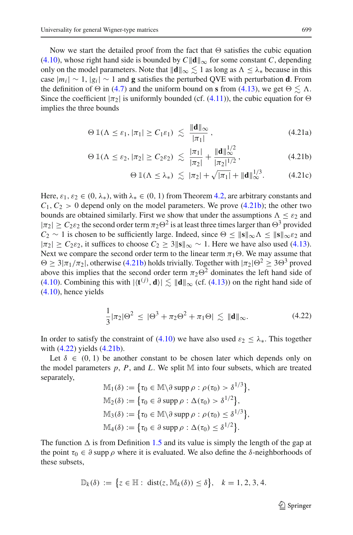Now we start the detailed proof from the fact that  $\Theta$  satisfies the cubic equation [\(4.10\)](#page-28-1), whose right hand side is bounded by  $C||\mathbf{d}||_{\infty}$  for some constant *C*, depending only on the model parameters. Note that  $\|\mathbf{d}\|_{\infty} \lesssim 1$  as long as  $\Lambda \leq \lambda_*$  because in this case  $|m_i|$  ∼ 1,  $|g_i|$  ∼ 1 and **g** satisfies the perturbed QVE with perturbation **d**. From the definition of  $\Theta$  in [\(4.7\)](#page-28-6) and the uniform bound on **s** from [\(4.13\)](#page-28-4), we get  $\Theta \lesssim \Lambda$ . Since the coefficient  $|\pi_2|$  is uniformly bounded (cf. [\(4.11\)](#page-28-2)), the cubic equation for  $\Theta$ implies the three bounds

<span id="page-32-2"></span>
$$
\Theta \, \mathbb{1}(\Lambda \leq \varepsilon_1, |\pi_1| \geq C_1 \varepsilon_1) \ \lesssim \ \frac{\|\mathbf{d}\|_{\infty}}{|\pi_1|} \,, \tag{4.21a}
$$

$$
\Theta \, \mathbb{1}(\Lambda \leq \varepsilon_2, |\pi_2| \geq C_2 \varepsilon_2) \, \lesssim \, \frac{|\pi_1|}{|\pi_2|} + \frac{\|\mathbf{d}\|_{\infty}^{1/2}}{|\pi_2|^{1/2}}, \tag{4.21b}
$$

<span id="page-32-3"></span><span id="page-32-0"></span>
$$
\Theta \, \mathbb{1}(\Lambda \leq \lambda_*) \, \lesssim \, |\pi_2| + \sqrt{|\pi_1|} + \|\mathbf{d}\|_{\infty}^{1/3}.\tag{4.21c}
$$

Here,  $\varepsilon_1, \varepsilon_2 \in (0, \lambda_*)$ , with  $\lambda_* \in (0, 1)$  from Theorem [4.2,](#page-27-0) are arbitrary constants and  $C_1, C_2 > 0$  depend only on the model parameters. We prove [\(4.21b\)](#page-32-0); the other two bounds are obtained similarly. First we show that under the assumptions  $\Lambda \leq \varepsilon_2$  and  $|\pi_2| \geq C_2 \varepsilon_2$  the second order term  $\pi_2 \Theta^2$  is at least three times larger than  $\Theta^3$  provided *C*<sub>2</sub> ∼ 1 is chosen to be sufficiently large. Indeed, since  $\Theta \le ||\mathbf{s}||_{\infty} \Lambda \le ||\mathbf{s}||_{\infty} \varepsilon_2$  and  $|\pi_2| \ge C_2 \varepsilon_2$ , it suffices to choose  $C_2 \ge 3$ ||s||<sub>∞</sub> ~ 1. Here we have also used [\(4.13\)](#page-28-4). Next we compare the second order term to the linear term  $\pi_1 \Theta$ . We may assume that  $\Theta \geq 3|\pi_1/\pi_2|$ , otherwise [\(4.21b\)](#page-32-0) holds trivially. Together with  $|\pi_2|\Theta^2 \geq 3\Theta^3$  proved above this implies that the second order term  $\pi_2\Theta^2$  dominates the left hand side of [\(4.10\)](#page-28-1). Combining this with  $|\langle \mathbf{t}^{(j)}, \mathbf{d} \rangle| \lesssim ||\mathbf{d}||_{\infty}$  (cf. [\(4.13\)](#page-28-4)) on the right hand side of [\(4.10\)](#page-28-1), hence yields

$$
\frac{1}{3}|\pi_2|\Theta^2 \leq |\Theta^3 + \pi_2\Theta^2 + \pi_1\Theta| \lesssim \|\mathbf{d}\|_{\infty}.
$$
 (4.22)

<span id="page-32-1"></span>In order to satisfy the constraint of [\(4.10\)](#page-28-1) we have also used  $\varepsilon_2 \leq \lambda_*$ . This together with [\(4.22\)](#page-32-1) yields [\(4.21b\)](#page-32-0).

Let  $\delta \in (0, 1)$  be another constant to be chosen later which depends only on the model parameters  $p$ ,  $P$ , and  $L$ . We split M into four subsets, which are treated separately,

$$
\mathbb{M}_1(\delta) := \{\tau_0 \in \mathbb{M} \setminus \partial \text{ supp } \rho : \rho(\tau_0) > \delta^{1/3}\},\
$$
  

$$
\mathbb{M}_2(\delta) := \{\tau_0 \in \partial \text{ supp } \rho : \Delta(\tau_0) > \delta^{1/2}\},\
$$
  

$$
\mathbb{M}_3(\delta) := \{\tau_0 \in \mathbb{M} \setminus \partial \text{ supp } \rho : \rho(\tau_0) \leq \delta^{1/3}\},\
$$
  

$$
\mathbb{M}_4(\delta) := \{\tau_0 \in \partial \text{ supp } \rho : \Delta(\tau_0) \leq \delta^{1/2}\}.
$$

The function  $\Delta$  is from Definition [1.5](#page-6-2) and its value is simply the length of the gap at the point  $\tau_0 \in \partial$  supp  $\rho$  where it is evaluated. We also define the  $\delta$ -neighborhoods of these subsets,

$$
\mathbb{D}_k(\delta) := \left\{ z \in \mathbb{H} : \operatorname{dist}(z, \mathbb{M}_k(\delta)) \le \delta \right\}, \quad k = 1, 2, 3, 4.
$$

 $\mathcal{D}$  Springer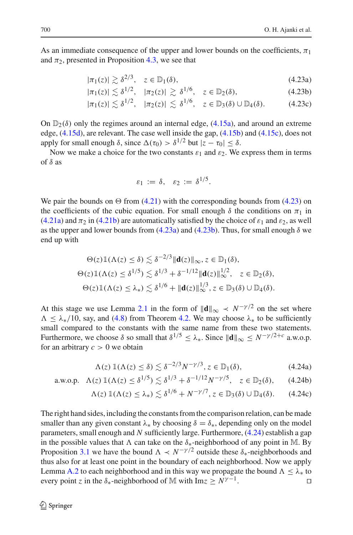As an immediate consequence of the upper and lower bounds on the coefficients,  $\pi_1$ and  $\pi_2$ , presented in Proposition [4.3,](#page-29-3) we see that

<span id="page-33-0"></span>
$$
|\pi_1(z)| \gtrsim \delta^{2/3}, \quad z \in \mathbb{D}_1(\delta), \tag{4.23a}
$$

$$
|\pi_1(z)| \lesssim \delta^{1/2}, \quad |\pi_2(z)| \gtrsim \delta^{1/6}, \quad z \in \mathbb{D}_2(\delta), \tag{4.23b}
$$

$$
|\pi_1(z)| \lesssim \delta^{1/2}, \quad |\pi_2(z)| \lesssim \delta^{1/6}, \quad z \in \mathbb{D}_3(\delta) \cup \mathbb{D}_4(\delta). \tag{4.23c}
$$

On  $\mathbb{D}_2(\delta)$  only the regimes around an internal edge, [\(4.15a\)](#page-29-2), and around an extreme edge,  $(4.15d)$ , are relevant. The case well inside the gap,  $(4.15b)$  and  $(4.15c)$ , does not apply for small enough  $\delta$ , since  $\Delta(\tau_0) > \delta^{1/2}$  but  $|\zeta - \tau_0| < \delta$ .

Now we make a choice for the two constants  $\varepsilon_1$  and  $\varepsilon_2$ . We express them in terms of  $\delta$  as

$$
\varepsilon_1 := \delta, \quad \varepsilon_2 := \delta^{1/5}.
$$

We pair the bounds on  $\Theta$  from [\(4.21\)](#page-32-2) with the corresponding bounds from [\(4.23\)](#page-33-0) on the coefficients of the cubic equation. For small enough  $\delta$  the conditions on  $\pi_1$  in [\(4.21a\)](#page-32-3) and  $\pi_2$  in [\(4.21b\)](#page-32-0) are automatically satisfied by the choice of  $\varepsilon_1$  and  $\varepsilon_2$ , as well as the upper and lower bounds from  $(4.23a)$  and  $(4.23b)$ . Thus, for small enough  $\delta$  we end up with

$$
\Theta(z) \mathbb{1}(\Lambda(z) \le \delta) \lesssim \delta^{-2/3} \|\mathbf{d}(z)\|_{\infty}, z \in \mathbb{D}_1(\delta),
$$
  
 
$$
\Theta(z) \mathbb{1}(\Lambda(z) \le \delta^{1/5}) \lesssim \delta^{1/3} + \delta^{-1/12} \|\mathbf{d}(z)\|_{\infty}^{1/2}, \quad z \in \mathbb{D}_2(\delta),
$$
  
 
$$
\Theta(z) \mathbb{1}(\Lambda(z) \le \lambda_*) \lesssim \delta^{1/6} + \|\mathbf{d}(z)\|_{\infty}^{1/3}, z \in \mathbb{D}_3(\delta) \cup \mathbb{D}_4(\delta).
$$

At this stage we use Lemma [2.1](#page-15-0) in the form of  $\|\mathbf{d}\|_{\infty} \prec N^{-\gamma/2}$  on the set where  $\Lambda \leq \lambda_*/10$ , say, and [\(4.8\)](#page-28-5) from Theorem [4.2.](#page-27-0) We may choose  $\lambda_*$  to be sufficiently small compared to the constants with the same name from these two statements. Furthermore, we choose  $\delta$  so small that  $\delta^{1/5} \leq \lambda_*$ . Since  $\|\mathbf{d}\|_{\infty} \leq N^{-\gamma/2+c}$  a.w.o.p. for an arbitrary  $c > 0$  we obtain

<span id="page-33-1"></span>
$$
\Lambda(z) \, \mathbb{1}(\Lambda(z) \le \delta) \lesssim \delta^{-2/3} N^{-\gamma/3}, z \in \mathbb{D}_1(\delta), \tag{4.24a}
$$

a.w.o.p. 
$$
\Lambda(z) \mathbb{1}(\Lambda(z) \le \delta^{1/5}) \lesssim \delta^{1/3} + \delta^{-1/12} N^{-\gamma/5}, \quad z \in \mathbb{D}_2(\delta)
$$
, (4.24b)

$$
\Lambda(z) 1\!\!1(\Lambda(z) \leq \lambda_*) \lesssim \delta^{1/6} + N^{-\gamma/7}, z \in \mathbb{D}_3(\delta) \cup \mathbb{D}_4(\delta). \qquad (4.24c)
$$

The right hand sides, including the constants from the comparison relation, can be made smaller than any given constant  $\lambda_*$  by choosing  $\delta = \delta_*$ , depending only on the model parameters, small enough and *N* sufficiently large. Furthermore, [\(4.24\)](#page-33-1) establish a gap in the possible values that  $\Lambda$  can take on the  $\delta_*$ -neighborhood of any point in M. By Proposition [3.1](#page-18-4) we have the bound  $\Lambda \prec N^{-\gamma/2}$  outside these  $\delta_*$ -neighborhoods and thus also for at least one point in the boundary of each neighborhood. Now we apply Lemma [A.2](#page-54-2) to each neighborhood and in this way we propagate the bound  $\Lambda \leq \lambda_*$  to every point *z* in the  $\delta_*$ -neighborhood of M with Im $z \ge N^{\gamma-1}$ .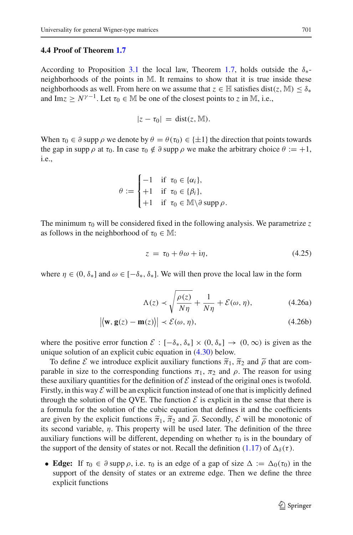#### <span id="page-34-0"></span>**4.4 Proof of Theorem [1.7](#page-7-0)**

According to Proposition [3.1](#page-18-4) the local law, Theorem [1.7,](#page-7-0) holds outside the  $\delta_{*}$ neighborhoods of the points in M. It remains to show that it is true inside these neighborhoods as well. From here on we assume that  $z \in \mathbb{H}$  satisfies dist(*z*, M)  $\leq \delta_*$ and Im<sub> $z \ge N^{\gamma-1}$ . Let  $\tau_0 \in \mathbb{M}$  be one of the closest points to *z* in M, i.e.,</sub>

$$
|z-\tau_0| = \text{dist}(z, \mathbb{M}).
$$

When  $\tau_0 \in \partial$  supp  $\rho$  we denote by  $\theta = \theta(\tau_0) \in \{\pm 1\}$  the direction that points towards the gap in supp  $\rho$  at  $\tau_0$ . In case  $\tau_0 \notin \partial$  supp  $\rho$  we make the arbitrary choice  $\theta := +1$ , i.e.,

$$
\theta := \begin{cases}\n-1 & \text{if } \tau_0 \in \{\alpha_i\}, \\
+1 & \text{if } \tau_0 \in \{\beta_i\}, \\
+1 & \text{if } \tau_0 \in \mathbb{M} \setminus \partial \text{ supp } \rho.\n\end{cases}
$$

The minimum  $\tau_0$  will be considered fixed in the following analysis. We parametrize  $\zeta$ as follows in the neighborhood of  $\tau_0 \in M$ :

<span id="page-34-1"></span>
$$
z = \tau_0 + \theta \omega + i\eta, \tag{4.25}
$$

where  $\eta \in (0, \delta_{*}]$  and  $\omega \in [-\delta_{*}, \delta_{*}]$ . We will then prove the local law in the form

$$
\Lambda(z) \prec \sqrt{\frac{\rho(z)}{N\eta}} + \frac{1}{N\eta} + \mathcal{E}(\omega, \eta),
$$
\n(4.26a)

$$
|\langle \mathbf{w}, \mathbf{g}(z) - \mathbf{m}(z) \rangle| \prec \mathcal{E}(\omega, \eta), \tag{4.26b}
$$

where the positive error function  $\mathcal{E} : [-\delta_*, \delta_*] \times (0, \delta_*] \to (0, \infty)$  is given as the unique solution of an explicit cubic equation in [\(4.30\)](#page-35-0) below.

To define *E* we introduce explicit auxiliary functions  $\tilde{\pi}_1$ ,  $\tilde{\pi}_2$  and  $\tilde{\rho}$  that are comparable in size to the corresponding functions  $\pi_1$ ,  $\pi_2$  and  $\rho$ . The reason for using these auxiliary quantities for the definition of  $\mathcal E$  instead of the original ones is twofold. Firstly, in this way  $\mathcal E$  will be an explicit function instead of one that is implicitly defined through the solution of the QVE. The function  $\mathcal E$  is explicit in the sense that there is a formula for the solution of the cubic equation that defines it and the coefficients are given by the explicit functions  $\tilde{\pi}_1$ ,  $\tilde{\pi}_2$  and  $\tilde{\rho}$ . Secondly, *E* will be monotonic of its second variable,  $\eta$ . This property will be used later. The definition of the three auxiliary functions will be different, depending on whether  $\tau_0$  is in the boundary of the support of the density of states or not. Recall the definition [\(1.17\)](#page-7-2) of  $\Delta_{\delta}(\tau)$ .

• **Edge:** If  $\tau_0 \in \partial$  supp  $\rho$ , i.e.  $\tau_0$  is an edge of a gap of size  $\Delta := \Delta_0(\tau_0)$  in the support of the density of states or an extreme edge. Then we define the three explicit functions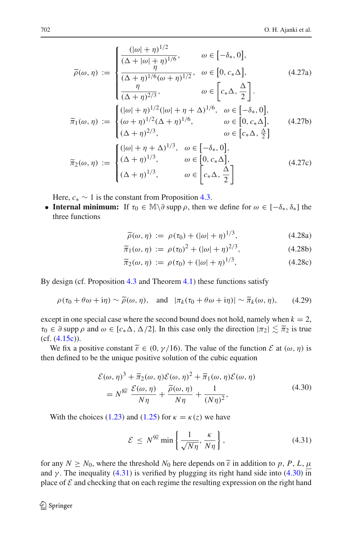$$
\widetilde{\rho}(\omega, \eta) := \begin{cases}\n\frac{(|\omega| + \eta)^{1/2}}{(\Delta + |\omega| + \eta)^{1/6}}, & \omega \in [-\delta_*, 0], \\
\frac{\eta}{(\Delta + |\omega| + \eta)^{1/6}} & \omega \in [0, c_* \Delta], & (4.27a) \\
\frac{\eta}{(\Delta + \eta)^{2/3}}, & \omega \in \left[c_* \Delta, \frac{\Delta}{2}\right]. \\
\widetilde{\pi}_1(\omega, \eta) := \begin{cases}\n(|\omega| + \eta)^{1/2}(|\omega| + \eta + \Delta)^{1/6}, & \omega \in [-\delta_*, 0], \\
(\omega + \eta)^{1/2}(\Delta + \eta)^{1/6}, & \omega \in [0, c_* \Delta], \\
(\Delta + \eta)^{2/3}, & \omega \in [c_* \Delta, \frac{\Delta}{2}]\n\end{cases} \\
\widetilde{\pi}_2(\omega, \eta) := \begin{cases}\n(|\omega| + \eta + \Delta)^{1/3}, & \omega \in [-\delta_*, 0], \\
(\Delta + \eta)^{1/3}, & \omega \in [0, c_* \Delta], \\
(\Delta + \eta)^{1/3}, & \omega \in \left[c_* \Delta, \frac{\Delta}{2}\right]\n\end{cases}\n\end{cases}
$$
\n(4.27c)

Here,  $c_* \sim 1$  is the constant from Proposition [4.3.](#page-29-3)

• **Internal minimum:** If  $\tau_0 \in \mathbb{M} \setminus \partial$  supp  $\rho$ , then we define for  $\omega \in [-\delta_*, \delta_*]$  the three functions

<span id="page-35-3"></span>
$$
\widetilde{\rho}(\omega, \eta) := \rho(\tau_0) + (|\omega| + \eta)^{1/3},\tag{4.28a}
$$

$$
\tilde{\pi}_1(\omega, \eta) := \rho(\tau_0)^2 + (|\omega| + \eta)^{2/3},\tag{4.28b}
$$

$$
\widetilde{\pi}_2(\omega,\eta) := \rho(\tau_0) + (|\omega| + \eta)^{1/3},\tag{4.28c}
$$

<span id="page-35-2"></span>By design (cf. Proposition [4.3](#page-29-3) and Theorem [4.1\)](#page-26-2) these functions satisfy

$$
\rho(\tau_0 + \theta \omega + i\eta) \sim \widetilde{\rho}(\omega, \eta), \quad \text{and} \quad |\pi_k(\tau_0 + \theta \omega + i\eta)| \sim \widetilde{\pi}_k(\omega, \eta), \tag{4.29}
$$

except in one special case where the second bound does not hold, namely when  $k = 2$ ,  $\tau_0 \in \partial$  supp  $\rho$  and  $\omega \in [c_*\Delta, \Delta/2]$ . In this case only the direction  $|\pi_2| \lesssim \tilde{\pi}_2$  is true  $(cf. (4.15c))$  $(cf. (4.15c))$  $(cf. (4.15c))$ .

We fix a positive constant  $\tilde{\varepsilon} \in (0, \gamma/16)$ . The value of the function  $\mathcal E$  at  $(\omega, \eta)$  is then defined to be the unique positive solution of the cubic equation

$$
\mathcal{E}(\omega, \eta)^3 + \tilde{\pi}_2(\omega, \eta) \mathcal{E}(\omega, \eta)^2 + \tilde{\pi}_1(\omega, \eta) \mathcal{E}(\omega, \eta)
$$
  
=  $N^{8\tilde{\varepsilon}} \frac{\mathcal{E}(\omega, \eta)}{N\eta} + \frac{\tilde{\rho}(\omega, \eta)}{N\eta} + \frac{1}{(N\eta)^2},$  (4.30)

<span id="page-35-1"></span><span id="page-35-0"></span>With the choices [\(1.23\)](#page-8-4) and [\(1.25\)](#page-8-5) for  $\kappa = \kappa(z)$  we have

$$
\mathcal{E} \le N^{9\widetilde{\varepsilon}} \min \left\{ \frac{1}{\sqrt{N\eta}}, \frac{\kappa}{N\eta} \right\},\tag{4.31}
$$

for any  $N \geq N_0$ , where the threshold  $N_0$  here depends on  $\tilde{\varepsilon}$  in addition to p, P, L,  $\mu$ and  $\gamma$ . The inequality [\(4.31\)](#page-35-1) is verified by plugging its right hand side into [\(4.30\)](#page-35-0) in place of  $\mathcal E$  and checking that on each regime the resulting expression on the right hand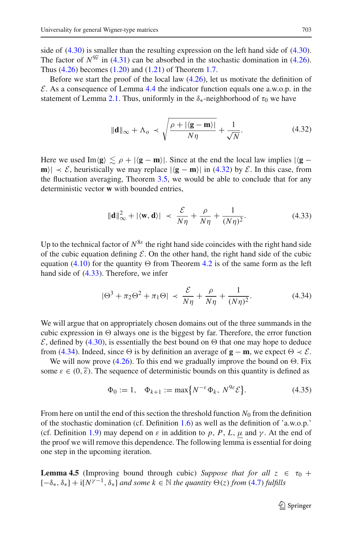side of  $(4.30)$  is smaller than the resulting expression on the left hand side of  $(4.30)$ . The factor of  $N^{9\tilde{\epsilon}}$  in [\(4.31\)](#page-35-1) can be absorbed in the stochastic domination in [\(4.26\)](#page-34-1). Thus [\(4.26\)](#page-34-1) becomes [\(1.20\)](#page-8-2) and [\(1.21\)](#page-8-3) of Theorem [1.7.](#page-7-0)

Before we start the proof of the local law  $(4.26)$ , let us motivate the definition of *E*. As a consequence of Lemma [4.4](#page-31-2) the indicator function equals one a.w.o.p. in the statement of Lemma [2.1.](#page-15-0) Thus, uniformly in the  $\delta_*$ -neighborhood of  $\tau_0$  we have

$$
\|\mathbf{d}\|_{\infty} + \Lambda_{\text{o}} \prec \sqrt{\frac{\rho + |\langle \mathbf{g} - \mathbf{m} \rangle|}{N\eta}} + \frac{1}{\sqrt{N}}.
$$
 (4.32)

<span id="page-36-0"></span>Here we used Im $\langle \mathbf{g} \rangle \lesssim \rho + |\langle \mathbf{g} - \mathbf{m} \rangle|$ . Since at the end the local law implies  $|\langle \mathbf{g} - \mathbf{g} \rangle|$ **m**)  $\vert \times \mathcal{E}$ , heuristically we may replace  $\vert \langle \mathbf{g} - \mathbf{m} \rangle \vert$  in [\(4.32\)](#page-36-0) by  $\mathcal{E}$ . In this case, from the fluctuation averaging, Theorem [3.5,](#page-21-1) we would be able to conclude that for any deterministic vector **w** with bounded entries,

$$
\|\mathbf{d}\|_{\infty}^2 + |\langle \mathbf{w}, \mathbf{d}\rangle| \prec \frac{\mathcal{E}}{N\eta} + \frac{\rho}{N\eta} + \frac{1}{(N\eta)^2}.
$$
 (4.33)

<span id="page-36-1"></span>Up to the technical factor of  $N^{8\varepsilon}$  the right hand side coincides with the right hand side of the cubic equation defining  $\mathcal E$ . On the other hand, the right hand side of the cubic equation [\(4.10\)](#page-28-1) for the quantity  $\Theta$  from Theorem [4.2](#page-27-0) is of the same form as the left hand side of [\(4.33\)](#page-36-1). Therefore, we infer

$$
|\Theta^3 + \pi_2 \Theta^2 + \pi_1 \Theta| \prec \frac{\mathcal{E}}{N\eta} + \frac{\rho}{N\eta} + \frac{1}{(N\eta)^2}.
$$
 (4.34)

<span id="page-36-2"></span>We will argue that on appropriately chosen domains out of the three summands in the cubic expression in  $\Theta$  always one is the biggest by far. Therefore, the error function  $\mathcal E$ , defined by [\(4.30\)](#page-35-0), is essentially the best bound on  $\Theta$  that one may hope to deduce from [\(4.34\)](#page-36-2). Indeed, since  $\Theta$  is by definition an average of **g** − **m**, we expect  $\Theta \prec \mathcal{E}$ .

We will now prove [\(4.26\)](#page-34-1). To this end we gradually improve the bound on  $\Theta$ . Fix some  $\varepsilon \in (0,\tilde{\varepsilon})$ . The sequence of deterministic bounds on this quantity is defined as

$$
\Phi_0 := 1, \quad \Phi_{k+1} := \max\{N^{-\varepsilon}\Phi_k, N^{9\varepsilon}\mathcal{E}\}.
$$
\n(4.35)

<span id="page-36-4"></span>From here on until the end of this section the threshold function  $N_0$  from the definition of the stochastic domination (cf. Definition [1.6\)](#page-7-1) as well as the definition of 'a.w.o.p.' (cf. Definition [1.9\)](#page-9-0) may depend on  $\varepsilon$  in addition to p, P, L,  $\mu$  and  $\gamma$ . At the end of the proof we will remove this dependence. The following lemma is essential for doing one step in the upcoming iteration.

<span id="page-36-3"></span>**Lemma 4.5** (Improving bound through cubic) *Suppose that for all*  $z \in \tau_0 +$  $[-\delta_*, \delta_*] + i[N^{\gamma-1}, \delta_*]$  *and some*  $k \in \mathbb{N}$  *the quantity*  $\Theta(z)$  *from* [\(4.7\)](#page-28-6) *fulfills*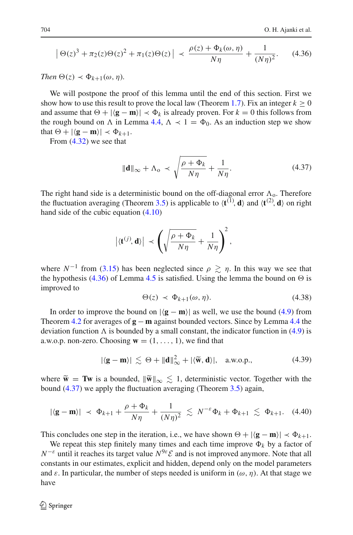$$
\left| \Theta(z)^3 + \pi_2(z) \Theta(z)^2 + \pi_1(z) \Theta(z) \right| \prec \frac{\rho(z) + \Phi_k(\omega, \eta)}{N\eta} + \frac{1}{(N\eta)^2}.
$$
 (4.36)

<span id="page-37-0"></span>*Then*  $\Theta(z) \prec \Phi_{k+1}(\omega, \eta)$ .

We will postpone the proof of this lemma until the end of this section. First we show how to use this result to prove the local law (Theorem [1.7\)](#page-7-0). Fix an integer  $k > 0$ and assume that  $\Theta + |\langle \mathbf{g} - \mathbf{m} \rangle| \prec \Phi_k$  is already proven. For  $k = 0$  this follows from the rough bound on  $\Lambda$  in Lemma [4.4,](#page-31-2)  $\Lambda \prec 1 = \Phi_0$ . As an induction step we show that  $\Theta + |\langle \mathbf{g} - \mathbf{m} \rangle| \prec \Phi_{k+1}$ .

<span id="page-37-1"></span>From [\(4.32\)](#page-36-0) we see that

$$
\|\mathbf{d}\|_{\infty} + \Lambda_{\text{o}} \prec \sqrt{\frac{\rho + \Phi_k}{N\eta}} + \frac{1}{N\eta}.
$$
 (4.37)

The right hand side is a deterministic bound on the off-diagonal error  $\Lambda$ <sub>o</sub>. Therefore the fluctuation averaging (Theorem [3.5\)](#page-21-1) is applicable to  $\langle \mathbf{t}^{(1)}, \mathbf{d} \rangle$  and  $\langle \mathbf{t}^{(2)}, \mathbf{d} \rangle$  on right hand side of the cubic equation [\(4.10\)](#page-28-1)

$$
|\langle \mathbf{t}^{(j)}, \mathbf{d} \rangle| \prec \left( \sqrt{\frac{\rho + \Phi_k}{N\eta}} + \frac{1}{N\eta} \right)^2,
$$

where  $N^{-1}$  from [\(3.15\)](#page-21-0) has been neglected since  $\rho \gtrsim \eta$ . In this way we see that the hypothesis [\(4.36\)](#page-37-0) of Lemma [4.5](#page-36-3) is satisfied. Using the lemma the bound on  $\Theta$  is improved to

$$
\Theta(z) \prec \Phi_{k+1}(\omega, \eta). \tag{4.38}
$$

In order to improve the bound on  $|\langle \mathbf{g} - \mathbf{m} \rangle|$  as well, we use the bound [\(4.9\)](#page-28-7) from Theorem [4.2](#page-27-0) for averages of **g** − **m** against bounded vectors. Since by Lemma [4.4](#page-31-2) the deviation function  $\Lambda$  is bounded by a small constant, the indicator function in [\(4.9\)](#page-28-7) is a.w.o.p. non-zero. Choosing  $\mathbf{w} = (1, \ldots, 1)$ , we find that

$$
|\langle \mathbf{g} - \mathbf{m} \rangle| \lesssim \Theta + \|\mathbf{d}\|_{\infty}^2 + |\langle \widetilde{\mathbf{w}}, \mathbf{d} \rangle|, \quad \text{a.w.o.p.,}
$$
 (4.39)

where  $\tilde{\mathbf{w}} = \mathbf{Tw}$  is a bounded,  $\|\tilde{\mathbf{w}}\|_{\infty} \leq 1$ , deterministic vector. Together with the bound [\(4.37\)](#page-37-1) we apply the fluctuation averaging (Theorem [3.5\)](#page-21-1) again,

$$
|\langle \mathbf{g} - \mathbf{m} \rangle| \prec \Phi_{k+1} + \frac{\rho + \Phi_k}{N\eta} + \frac{1}{(N\eta)^2} \lesssim N^{-\varepsilon} \Phi_k + \Phi_{k+1} \lesssim \Phi_{k+1}.
$$
 (4.40)

This concludes one step in the iteration, i.e., we have shown  $\Theta + |\langle \mathbf{g} - \mathbf{m} \rangle| \prec \Phi_{k+1}$ .

We repeat this step finitely many times and each time improve  $\Phi_k$  by a factor of  $N^{-\varepsilon}$  until it reaches its target value  $N^{9\varepsilon}$ *E* and is not improved anymore. Note that all constants in our estimates, explicit and hidden, depend only on the model parameters and  $\varepsilon$ . In particular, the number of steps needed is uniform in  $(\omega, \eta)$ . At that stage we have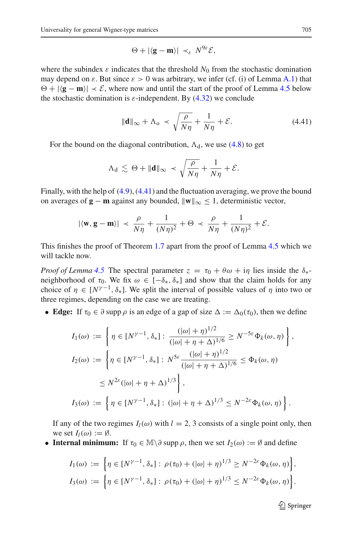$$
\Theta + |\langle \mathbf{g} - \mathbf{m} \rangle| \prec_{\varepsilon} N^{9\varepsilon} \mathcal{E},
$$

where the subindex  $\varepsilon$  indicates that the threshold  $N_0$  from the stochastic domination may depend on  $\varepsilon$ . But since  $\varepsilon > 0$  was arbitrary, we infer (cf. (i) of Lemma [A.1\)](#page-54-1) that  $\Theta + |\langle \mathbf{g} - \mathbf{m} \rangle| \prec \mathcal{E}$ , where now and until the start of the proof of Lemma [4.5](#page-36-3) below the stochastic domination is  $\varepsilon$ -independent. By [\(4.32\)](#page-36-0) we conclude

$$
\|\mathbf{d}\|_{\infty} + \Lambda_0 \prec \sqrt{\frac{\rho}{N\eta}} + \frac{1}{N\eta} + \mathcal{E}.
$$
 (4.41)

<span id="page-38-0"></span>For the bound on the diagonal contribution,  $\Lambda_d$ , we use [\(4.8\)](#page-28-5) to get

$$
\Lambda_{\mathbf{d}} \lesssim \Theta + \|\mathbf{d}\|_{\infty} \prec \sqrt{\frac{\rho}{N\eta}} + \frac{1}{N\eta} + \mathcal{E}.
$$

Finally, with the help of [\(4.9\)](#page-28-7), [\(4.41\)](#page-38-0) and the fluctuation averaging, we prove the bound on averages of **g** − **m** against any bounded,  $\|\mathbf{w}\|_{\infty} \leq 1$ , deterministic vector,

$$
|\langle \mathbf{w}, \mathbf{g} - \mathbf{m} \rangle| \prec \frac{\rho}{N\eta} + \frac{1}{(N\eta)^2} + \Theta \prec \frac{\rho}{N\eta} + \frac{1}{(N\eta)^2} + \mathcal{E}.
$$

This finishes the proof of Theorem [1.7](#page-7-0) apart from the proof of Lemma [4.5](#page-36-3) which we will tackle now.

*Proof of Lemma* [4.5](#page-36-3) The spectral parameter  $z = \tau_0 + \theta \omega + i\eta$  lies inside the  $\delta_{*}$ neighborhood of  $\tau_0$ . We fix  $\omega \in [-\delta_*, \delta_*]$  and show that the claim holds for any choice of  $\eta \in [N^{\gamma-1}, \delta_*]$ . We split the interval of possible values of  $\eta$  into two or three regimes, depending on the case we are treating.

• **Edge:** If  $\tau_0 \in \partial$  supp  $\rho$  is an edge of a gap of size  $\Delta := \Delta_0(\tau_0)$ , then we define

$$
I_1(\omega) := \left\{ \eta \in [N^{\gamma-1}, \delta_*] : \frac{(|\omega| + \eta)^{1/2}}{(|\omega| + \eta + \Delta)^{1/6}} \ge N^{-5\varepsilon} \Phi_k(\omega, \eta) \right\},
$$
  
\n
$$
I_2(\omega) := \left\{ \eta \in [N^{\gamma-1}, \delta_*] : N^{5\varepsilon} \frac{(|\omega| + \eta)^{1/2}}{(|\omega| + \eta + \Delta)^{1/6}} \le \Phi_k(\omega, \eta) \right\}
$$
  
\n
$$
\le N^{2\varepsilon} (|\omega| + \eta + \Delta)^{1/3} \right\},
$$
  
\n
$$
I_3(\omega) := \left\{ \eta \in [N^{\gamma-1}, \delta_*] : (|\omega| + \eta + \Delta)^{1/3} \le N^{-2\varepsilon} \Phi_k(\omega, \eta) \right\}.
$$

If any of the two regimes  $I_l(\omega)$  with  $l = 2, 3$  consists of a single point only, then we set  $I_l(\omega) := \emptyset$ .

• **Internal minimum:** If  $\tau_0 \in \mathbb{M} \setminus \partial$  supp  $\rho$ , then we set  $I_2(\omega) := \emptyset$  and define

$$
I_1(\omega) := \left\{ \eta \in [N^{\gamma-1}, \delta_*] : \rho(\tau_0) + (|\omega| + \eta)^{1/3} \ge N^{-2\varepsilon} \Phi_k(\omega, \eta) \right\},
$$
  

$$
I_3(\omega) := \left\{ \eta \in [N^{\gamma-1}, \delta_*] : \rho(\tau_0) + (|\omega| + \eta)^{1/3} \le N^{-2\varepsilon} \Phi_k(\omega, \eta) \right\}.
$$

 $\mathcal{D}$  Springer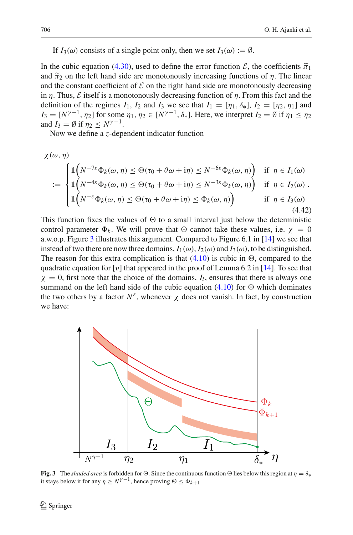If  $I_3(\omega)$  consists of a single point only, then we set  $I_3(\omega) := \emptyset$ .

In the cubic equation [\(4.30\)](#page-35-0), used to define the error function  $\mathcal{E}$ , the coefficients  $\tilde{\pi}_1$ and  $\tilde{\pi}_2$  on the left hand side are monotonously increasing functions of  $\eta$ . The linear and the constant coefficient of  $\mathcal E$  on the right hand side are monotonously decreasing in  $\eta$ . Thus,  $\mathcal E$  itself is a monotonously decreasing function of  $\eta$ . From this fact and the definition of the regimes  $I_1$ ,  $I_2$  and  $I_3$  we see that  $I_1 = [\eta_1, \delta_*]$ ,  $I_2 = [\eta_2, \eta_1]$  and  $I_3 = [N^{\gamma-1}, \eta_2]$  for some  $\eta_1, \eta_2 \in [N^{\gamma-1}, \delta_*]$ . Here, we interpret  $I_2 = \emptyset$  if  $\eta_1 \leq \eta_2$ and  $I_3 = \emptyset$  if  $n_2 \leq N^{\gamma-1}$ .

Now we define a *z*-dependent indicator function

$$
\chi(\omega, \eta)
$$
\n
$$
:= \begin{cases}\n\mathbb{1}\left(N^{-7\varepsilon}\Phi_k(\omega, \eta) \leq \Theta(\tau_0 + \theta\omega + i\eta) \leq N^{-6\varepsilon}\Phi_k(\omega, \eta)\right) & \text{if } \eta \in I_1(\omega) \\
\mathbb{1}\left(N^{-4\varepsilon}\Phi_k(\omega, \eta) \leq \Theta(\tau_0 + \theta\omega + i\eta) \leq N^{-3\varepsilon}\Phi_k(\omega, \eta)\right) & \text{if } \eta \in I_2(\omega) \\
\mathbb{1}\left(N^{-\varepsilon}\Phi_k(\omega, \eta) \leq \Theta(\tau_0 + \theta\omega + i\eta) \leq \Phi_k(\omega, \eta)\right) & \text{if } \eta \in I_3(\omega) \\
1\left(N^{-\varepsilon}\Phi_k(\omega, \eta) \leq \Theta(\tau_0 + \theta\omega + i\eta) \leq \Phi_k(\omega, \eta)\right) & \text{if } \eta \in I_3(\omega)\n\end{cases}
$$
\n(4.42)

This function fixes the values of  $\Theta$  to a small interval just below the deterministic control parameter  $\Phi_k$ . We will prove that  $\Theta$  cannot take these values, i.e.  $\chi = 0$ a.w.o.p. Figure [3](#page-39-0) illustrates this argument. Compared to Figure 6.1 in [\[14\]](#page-59-2) we see that instead of two there are now three domains,  $I_1(\omega)$ ,  $I_2(\omega)$  and  $I_3(\omega)$ , to be distinguished. The reason for this extra complication is that  $(4.10)$  is cubic in  $\Theta$ , compared to the quadratic equation for [v] that appeared in the proof of Lemma 6.2 in [\[14\]](#page-59-2). To see that  $\chi = 0$ , first note that the choice of the domains,  $I_l$ , ensures that there is always one summand on the left hand side of the cubic equation [\(4.10\)](#page-28-1) for  $\Theta$  which dominates the two others by a factor  $N^{\varepsilon}$ , whenever  $\chi$  does not vanish. In fact, by construction we have:



<span id="page-39-0"></span>**Fig. 3** The *shaded area* is forbidden for  $\Theta$ . Since the continuous function  $\Theta$  lies below this region at  $\eta = \delta_*$  it stays below it for any  $\eta \ge N^{\gamma-1}$ , hence proving  $\Theta \le \Phi_{k+1}$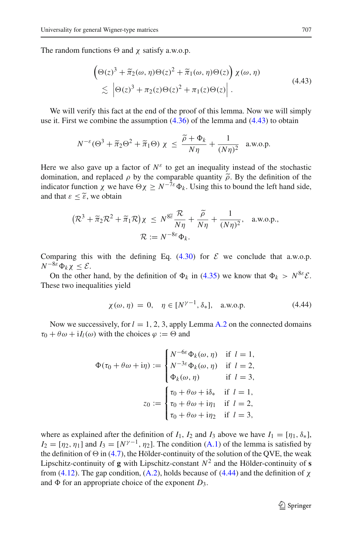<span id="page-40-0"></span>The random functions  $\Theta$  and  $\chi$  satisfy a.w.o.p.

$$
\begin{aligned} &\left(\Theta(z)^3 + \tilde{\pi}_2(\omega, \eta)\Theta(z)^2 + \tilde{\pi}_1(\omega, \eta)\Theta(z)\right)\chi(\omega, \eta) \\ &\lesssim \left|\Theta(z)^3 + \pi_2(z)\Theta(z)^2 + \pi_1(z)\Theta(z)\right|. \end{aligned} \tag{4.43}
$$

We will verify this fact at the end of the proof of this lemma. Now we will simply use it. First we combine the assumption [\(4.36\)](#page-37-0) of the lemma and [\(4.43\)](#page-40-0) to obtain

$$
N^{-\varepsilon}(\Theta^3 + \tilde{\pi}_2 \Theta^2 + \tilde{\pi}_1 \Theta) \chi \le \frac{\tilde{\rho} + \Phi_k}{N\eta} + \frac{1}{(N\eta)^2} \text{ a.w.o.p.}
$$

Here we also gave up a factor of  $N^{\varepsilon}$  to get an inequality instead of the stochastic domination, and replaced  $\rho$  by the comparable quantity  $\tilde{\rho}$ . By the definition of the indicator function  $\chi$  we have  $\Theta \chi \geq N^{-7\varepsilon} \Phi_k$ . Using this to bound the left hand side, and that  $\varepsilon < \tilde{\varepsilon}$ , we obtain

$$
(\mathcal{R}^3 + \tilde{\pi}_2 \mathcal{R}^2 + \tilde{\pi}_1 \mathcal{R})\chi \le N^{8\tilde{\epsilon}} \frac{\mathcal{R}}{N\eta} + \frac{\tilde{\rho}}{N\eta} + \frac{1}{(N\eta)^2}, \text{ a.w.o.p.},
$$
  

$$
\mathcal{R} := N^{-8\epsilon} \Phi_k.
$$

Comparing this with the defining Eq.  $(4.30)$  for  $\mathcal E$  we conclude that a.w.o.p. *N*<sup>−8ε</sup> $Φ_k$ γ < *E*.

On the other hand, by the definition of  $\Phi_k$  in [\(4.35\)](#page-36-4) we know that  $\Phi_k > N^{8\varepsilon} \mathcal{E}$ . These two inequalities yield

$$
\chi(\omega, \eta) = 0, \quad \eta \in [N^{\gamma-1}, \delta_*], \quad \text{a.w.o.p.}
$$
 (4.44)

<span id="page-40-1"></span>Now we successively, for  $l = 1, 2, 3$ , apply Lemma [A.2](#page-54-2) on the connected domains  $\tau_0 + \theta \omega + iI_l(\omega)$  with the choices  $\varphi := \Theta$  and

$$
\Phi(\tau_0 + \theta \omega + i\eta) := \begin{cases} N^{-6\varepsilon} \Phi_k(\omega, \eta) & \text{if } l = 1, \\ N^{-3\varepsilon} \Phi_k(\omega, \eta) & \text{if } l = 2, \\ \Phi_k(\omega, \eta) & \text{if } l = 3, \end{cases}
$$

$$
z_0 := \begin{cases} \tau_0 + \theta \omega + i\delta_* & \text{if } l = 1, \\ \tau_0 + \theta \omega + i\eta_1 & \text{if } l = 2, \\ \tau_0 + \theta \omega + i\eta_2 & \text{if } l = 3, \end{cases}
$$

where as explained after the definition of  $I_1$ ,  $I_2$  and  $I_3$  above we have  $I_1 = [\eta_1, \delta_*]$ ,  $I_2 = [\eta_2, \eta_1]$  and  $I_3 = [N^{\gamma-1}, \eta_2]$ . The condition [\(A.1\)](#page-55-0) of the lemma is satisfied by the definition of  $\Theta$  in [\(4.7\)](#page-28-6), the Hölder-continuity of the solution of the QVE, the weak Lipschitz-continuity of **g** with Lipschitz-constant  $N^2$  and the Hölder-continuity of **s** from [\(4.12\)](#page-28-4). The gap condition, [\(A.2\)](#page-55-2), holds because of [\(4.44\)](#page-40-1) and the definition of  $\chi$ and  $\Phi$  for an appropriate choice of the exponent  $D_3$ .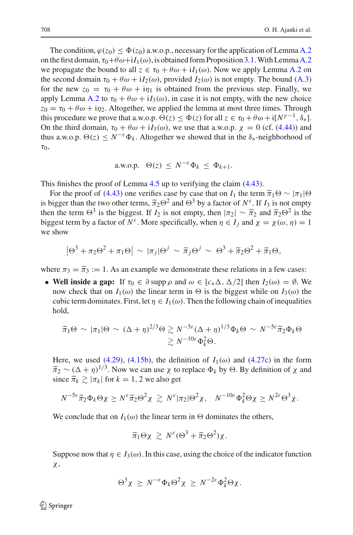The condition,  $\varphi(z_0) \leq \Phi(z_0)$  a.w.o.p., necessary for the application of Lemma [A.2](#page-54-2) on the first domain,  $\tau_0+\theta\omega+iI_1(\omega)$ , is obtained form Proposition [3.1.](#page-18-4) With Lemma [A.2](#page-54-2) we propagate the bound to all  $z \in \tau_0 + \theta \omega + iI_1(\omega)$ . Now we apply Lemma [A.2](#page-54-2) on the second domain  $\tau_0 + \theta \omega + iI_2(\omega)$ , provided  $I_2(\omega)$  is not empty. The bound [\(A.3\)](#page-55-1) for the new  $z_0 = \tau_0 + \theta \omega + i \eta_1$  is obtained from the previous step. Finally, we apply Lemma [A.2](#page-54-2) to  $\tau_0 + \theta \omega + iI_3(\omega)$ , in case it is not empty, with the new choice  $z_0 = \tau_0 + \theta \omega + i\eta_2$ . Altogether, we applied the lemma at most three times. Through this procedure we prove that a.w.o.p.  $\Theta(z) \leq \Phi(z)$  for all  $z \in \tau_0 + \theta \omega + i[N^{\gamma-1}, \delta_*].$ On the third domain,  $\tau_0 + \theta \omega + iI_3(\omega)$ , we use that a.w.o.p.  $\chi = 0$  (cf. [\(4.44\)](#page-40-1)) and thus a.w.o.p.  $\Theta(z) \leq N^{-\varepsilon} \Phi_k$ . Altogether we showed that in the  $\delta_*$ -neighborhood of  $\tau_0$ ,

a.w.o.p. 
$$
\Theta(z) \leq N^{-\varepsilon} \Phi_k \leq \Phi_{k+1}
$$
.

This finishes the proof of Lemma [4.5](#page-36-3) up to verifying the claim [\(4.43\)](#page-40-0).

For the proof of [\(4.43\)](#page-40-0) one verifies case by case that on *I*<sub>1</sub> the term  $\tilde{\pi}_1 \Theta \sim |\pi_1| \Theta$ is bigger than the two other terms,  $\tilde{\pi}_2 \Theta^2$  and  $\Theta^3$  by a factor of  $N^{\varepsilon}$ . If  $I_3$  is not empty then the term  $\Theta^3$  is the biggest. If *I*<sub>2</sub> is not empty, then  $|\pi_2| \sim \tilde{\pi}_2$  and  $\tilde{\pi}_2 \Theta^2$  is the biggest term by a factor of  $N^{\varepsilon}$ . More specifically, when  $\eta \in I_i$  and  $\chi = \chi(\omega, \eta) = 1$ we show

$$
\left|\Theta^3 + \pi_2\Theta^2 + \pi_1\Theta\right| \sim |\pi_j|\Theta^j \sim \widetilde{\pi}_j\Theta^j \sim \Theta^3 + \widetilde{\pi}_2\Theta^2 + \widetilde{\pi}_1\Theta,
$$

where  $\pi_3 = \tilde{\pi}_3 := 1$ . As an example we demonstrate these relations in a few cases:

• Well inside a gap: If  $\tau_0 \in \partial \text{ supp } \rho$  and  $\omega \in [c_*\Delta, \Delta/2]$  then  $I_2(\omega) = \emptyset$ . We now check that on  $I_1(\omega)$  the linear term in  $\Theta$  is the biggest while on  $I_3(\omega)$  the cubic term dominates. First, let  $\eta \in I_1(\omega)$ . Then the following chain of inequalities hold,

$$
\begin{aligned} \widetilde{\pi}_1 \Theta \, &\sim \, |\pi_1| \Theta \, \sim \, (\Delta + \eta)^{2/3} \Theta \gtrsim N^{-5\varepsilon} (\Delta + \eta)^{1/3} \Phi_k \Theta \, \sim \, N^{-5\varepsilon} \widetilde{\pi}_2 \Phi_k \Theta \\ &\gtrsim N^{-10\varepsilon} \Phi_k^2 \Theta. \end{aligned}
$$

Here, we used [\(4.29\)](#page-35-2), [\(4.15b\)](#page-29-5), the definition of  $I_1(\omega)$  and [\(4.27c\)](#page-35-3) in the form  $\tilde{\pi}_2 \sim (\Delta + \eta)^{1/3}$ . Now we can use  $\chi$  to replace  $\Phi_k$  by  $\Theta$ . By definition of  $\chi$  and since  $\tilde{\pi}_k \gtrsim |\pi_k|$  for  $k = 1, 2$  we also get

$$
N^{-5\varepsilon} \widetilde{\pi}_2 \Phi_k \Theta \chi \ge N^{\varepsilon} \widetilde{\pi}_2 \Theta^2 \chi \gtrsim N^{\varepsilon} |\pi_2| \Theta^2 \chi, \quad N^{-10\varepsilon} \Phi_k^2 \Theta \chi \ge N^{2\varepsilon} \Theta^3 \chi.
$$

We conclude that on  $I_1(\omega)$  the linear term in  $\Theta$  dominates the others,

$$
\widetilde{\pi}_1 \Theta \chi \gtrsim N^{\varepsilon} (\Theta^3 + \widetilde{\pi}_2 \Theta^2) \chi.
$$

Suppose now that  $\eta \in I_3(\omega)$ . In this case, using the choice of the indicator function χ,

$$
\Theta^3 \chi \geq N^{-\varepsilon} \Phi_k \Theta^2 \chi \geq N^{-2\varepsilon} \Phi_k^2 \Theta \chi.
$$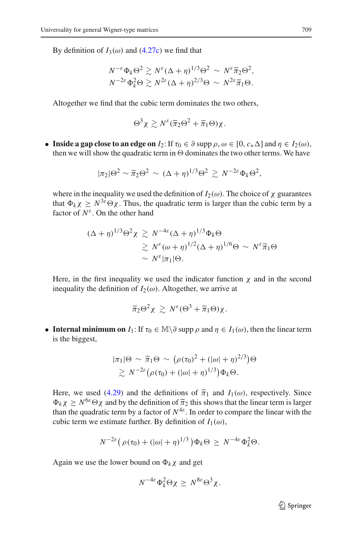By definition of  $I_3(\omega)$  and [\(4.27c\)](#page-35-3) we find that

$$
N^{-\varepsilon} \Phi_k \Theta^2 \gtrsim N^{\varepsilon} (\Delta + \eta)^{1/3} \Theta^2 \sim N^{\varepsilon} \tilde{\pi}_2 \Theta^2,
$$
  

$$
N^{-2\varepsilon} \Phi_k^2 \Theta \gtrsim N^{2\varepsilon} (\Delta + \eta)^{2/3} \Theta \sim N^{2\varepsilon} \tilde{\pi}_1 \Theta.
$$

Altogether we find that the cubic term dominates the two others,

$$
\Theta^3 \chi \gtrsim N^{\varepsilon} (\widetilde{\pi}_2 \Theta^2 + \widetilde{\pi}_1 \Theta) \chi.
$$

• **Inside a gap close to an edge on**  $I_2$ : If  $\tau_0 \in \partial$  supp  $\rho, \omega \in [0, c_* \Delta]$  and  $\eta \in I_2(\omega)$ , then we will show the quadratic term in  $\Theta$  dominates the two other terms. We have

$$
|\pi_2|\Theta^2 \sim \tilde{\pi}_2\Theta^2 \sim (\Delta + \eta)^{1/3}\Theta^2 \gtrsim N^{-2\varepsilon} \Phi_k \Theta^2,
$$

where in the inequality we used the definition of  $I_2(\omega)$ . The choice of  $\chi$  guarantees that  $\Phi_k \chi \geq N^{3\varepsilon} \Theta \chi$ . Thus, the quadratic term is larger than the cubic term by a factor of *N*ε. On the other hand

$$
(\Delta + \eta)^{1/3} \Theta^2 \chi \gtrsim N^{-4\varepsilon} (\Delta + \eta)^{1/3} \Phi_k \Theta
$$
  
\$\gtrsim N^{\varepsilon} (\omega + \eta)^{1/2} (\Delta + \eta)^{1/6} \Theta \sim N^{\varepsilon} \tilde{\pi}\_1 \Theta\$  
\$\sim N^{\varepsilon} |\pi\_1| \Theta\$.

Here, in the first inequality we used the indicator function  $\chi$  and in the second inequality the definition of  $I_2(\omega)$ . Altogether, we arrive at

$$
\widetilde{\pi}_2\Theta^2\chi\,\gtrsim\,N^{\varepsilon}(\Theta^3+\widetilde{\pi}_1\Theta)\chi.
$$

• **Internal minimum on**  $I_1$ : If  $\tau_0 \in \mathbb{M} \setminus \partial$  supp  $\rho$  and  $\eta \in I_1(\omega)$ , then the linear term is the biggest,

$$
|\pi_1|\Theta \sim \widetilde{\pi}_1 \Theta \sim \left(\rho(\tau_0)^2 + (|\omega| + \eta)^{2/3}\right)\Theta
$$
  
 
$$
\gtrsim N^{-2\varepsilon} \left(\rho(\tau_0) + (|\omega| + \eta)^{1/3}\right)\Phi_k \Theta.
$$

Here, we used [\(4.29\)](#page-35-2) and the definitions of  $\tilde{\pi}_1$  and  $I_1(\omega)$ , respectively. Since  $\Phi_k \chi \geq N^{6\varepsilon} \Theta \chi$  and by the definition of  $\tilde{\pi}_2$  this shows that the linear term is larger than the quadratic term by a factor of  $N^{4\varepsilon}$ . In order to compare the linear with the cubic term we estimate further. By definition of  $I_1(\omega)$ ,

$$
N^{-2\varepsilon} \big( \rho(\tau_0) + (|\omega| + \eta)^{1/3} \big) \Phi_k \Theta \ge N^{-4\varepsilon} \Phi_k^2 \Theta.
$$

Again we use the lower bound on  $\Phi_k \chi$  and get

$$
N^{-4\varepsilon} \Phi_k^2 \Theta \chi \geq N^{8\varepsilon} \Theta^3 \chi.
$$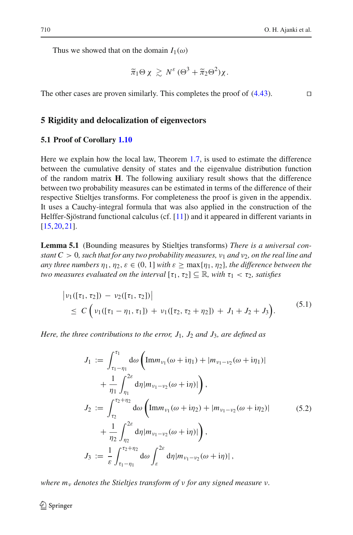Thus we showed that on the domain  $I_1(\omega)$ 

$$
\widetilde{\pi}_1 \Theta \chi \gtrsim N^{\varepsilon} (\Theta^3 + \widetilde{\pi}_2 \Theta^2) \chi.
$$

The other cases are proven similarly. This completes the proof of  $(4.43)$ .

#### <span id="page-43-0"></span>**5 Rigidity and delocalization of eigenvectors**

#### <span id="page-43-1"></span>**5.1 Proof of Corollary [1.10](#page-10-0)**

Here we explain how the local law, Theorem [1.7,](#page-7-0) is used to estimate the difference between the cumulative density of states and the eigenvalue distribution function of the random matrix **H**. The following auxiliary result shows that the difference between two probability measures can be estimated in terms of the difference of their respective Stieltjes transforms. For completeness the proof is given in the appendix. It uses a Cauchy-integral formula that was also applied in the construction of the Helffer-Sjöstrand functional calculus (cf. [\[11\]](#page-59-14)) and it appeared in different variants in [\[15](#page-59-15)[,20](#page-60-4),[21](#page-60-14)].

<span id="page-43-2"></span>**Lemma 5.1** (Bounding measures by Stieltjes transforms) *There is a universal constant C* > 0, *such that for any two probability measures,*  $v_1$  *and*  $v_2$ *, on the real line and any three numbers*  $\eta_1, \eta_2, \varepsilon \in (0, 1]$  *with*  $\varepsilon > \max\{\eta_1, \eta_2\}$ *, the difference between the two measures evaluated on the interval*  $[\tau_1, \tau_2] \subseteq \mathbb{R}$ *, with*  $\tau_1 < \tau_2$ *, satisfies* 

$$
\begin{aligned} \left| \nu_1([\tau_1, \tau_2]) - \nu_2([\tau_1, \tau_2]) \right| \\ &\leq C \left( \nu_1([\tau_1 - \eta_1, \tau_1]) + \nu_1([\tau_2, \tau_2 + \eta_2]) + J_1 + J_2 + J_3 \right). \end{aligned} \tag{5.1}
$$

<span id="page-43-4"></span><span id="page-43-3"></span>*Here, the three contributions to the error, J*1*, J*<sup>2</sup> *and J*3*, are defined as*

$$
J_1 := \int_{\tau_1 - \eta_1}^{\tau_1} d\omega \left( \text{Im} m_{\nu_1}(\omega + i\eta_1) + |m_{\nu_1 - \nu_2}(\omega + i\eta_1)| \right. \n+ \frac{1}{\eta_1} \int_{\eta_1}^{2\varepsilon} d\eta |m_{\nu_1 - \nu_2}(\omega + i\eta)| \right), \nJ_2 := \int_{\tau_2}^{\tau_2 + \eta_2} d\omega \left( \text{Im} m_{\nu_1}(\omega + i\eta_2) + |m_{\nu_1 - \nu_2}(\omega + i\eta_2)| \right. \n+ \frac{1}{\eta_2} \int_{\eta_2}^{2\varepsilon} d\eta |m_{\nu_1 - \nu_2}(\omega + i\eta)| \right), \nJ_3 := \frac{1}{\varepsilon} \int_{\tau_1 - \eta_1}^{\tau_2 + \eta_2} d\omega \int_{\varepsilon}^{2\varepsilon} d\eta |m_{\nu_1 - \nu_2}(\omega + i\eta)|,
$$
\n
$$
(5.2)
$$

*where m*<sup>ν</sup> *denotes the Stieltjes transform of* ν *for any signed measure* ν*.*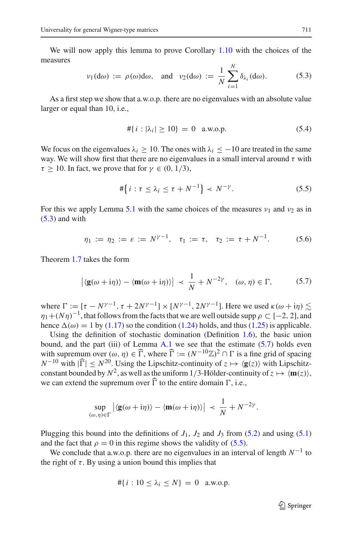<span id="page-44-0"></span>We will now apply this lemma to prove Corollary [1.10](#page-10-0) with the choices of the measures

$$
\nu_1(\mathrm{d}\omega) := \rho(\omega)\mathrm{d}\omega, \quad \text{and} \quad \nu_2(\mathrm{d}\omega) := \frac{1}{N} \sum_{i=1}^N \delta_{\lambda_i}(\mathrm{d}\omega). \tag{5.3}
$$

As a first step we show that a.w.o.p. there are no eigenvalues with an absolute value larger or equal than 10, i.e.,

$$
\# \{ i : |\lambda_i| \ge 10 \} = 0 \quad \text{a.w.o.p.} \tag{5.4}
$$

<span id="page-44-3"></span>We focus on the eigenvalues  $\lambda_i \geq 10$ . The ones with  $\lambda_i \leq -10$  are treated in the same way. We will show first that there are no eigenvalues in a small interval around  $\tau$  with  $\tau > 10$ . In fact, we prove that for  $\gamma \in (0, 1/3)$ ,

$$
\#\big\{i:\tau\leq\lambda_i\leq\tau+N^{-1}\big\}\prec N^{-\gamma}.\tag{5.5}
$$

<span id="page-44-2"></span>For this we apply Lemma [5.1](#page-43-2) with the same choices of the measures  $v_1$  and  $v_2$  as in  $(5.3)$  and with

$$
\eta_1 := \eta_2 := \varepsilon := N^{\gamma - 1}, \quad \tau_1 := \tau, \quad \tau_2 := \tau + N^{-1}.
$$
 (5.6)

<span id="page-44-1"></span>Theorem [1.7](#page-7-0) takes the form

$$
|\langle \mathbf{g}(\omega + i\eta) \rangle - \langle \mathbf{m}(\omega + i\eta) \rangle| \prec \frac{1}{N} + N^{-2\gamma}, \quad (\omega, \eta) \in \Gamma,
$$
 (5.7)

where  $\Gamma := [\tau - N^{\gamma-1}, \tau + 2N^{\gamma-1}] \times [N^{\gamma-1}, 2N^{\gamma-1}]$ . Here we used  $\kappa(\omega + i\eta) \leq \kappa$  $\eta_1+(N\eta)^{-1}$ , that follows from the facts that we are well outside supp  $\rho \subset [-2, 2]$ , and hence  $\Delta(\omega) = 1$  by [\(1.17\)](#page-7-2) so the condition [\(1.24\)](#page-8-6) holds, and thus [\(1.25\)](#page-8-5) is applicable.

Using the definition of stochastic domination (Definition [1.6\)](#page-7-1), the basic union bound, and the part (iii) of Lemma  $A.1$  we see that the estimate  $(5.7)$  holds even with supremum over  $(\omega, \eta) \in \widehat{\Gamma}$ , where  $\widehat{\Gamma} := (N^{-10}\mathbb{Z})^2 \cap \Gamma$  is a fine grid of spacing *N*<sup>−10</sup> with  $|\widehat{\Gamma}|$  ≤ *N*<sup>20</sup>. Using the Lipschitz-continuity of *z*  $\mapsto$  **/g**(*z*) with Lipschitzconstant bounded by  $N^2$ , as well as the uniform 1/3-Hölder-continuity of  $z \mapsto \langle \mathbf{m}(z) \rangle$ , we can extend the supremum over  $\widehat{\Gamma}$  to the entire domain  $\Gamma$ , i.e.,

$$
\sup_{(\omega,\eta)\in\Gamma} \left| \langle \mathbf{g}(\omega+i\eta) \rangle - \langle \mathbf{m}(\omega+i\eta) \rangle \right| \prec \frac{1}{N} + N^{-2\gamma}.
$$

Plugging this bound into the definitions of  $J_1$ ,  $J_2$  and  $J_3$  from [\(5.2\)](#page-43-3) and using [\(5.1\)](#page-43-4) and the fact that  $\rho = 0$  in this regime shows the validity of [\(5.5\)](#page-44-2).

We conclude that a.w.o.p. there are no eigenvalues in an interval of length  $N^{-1}$  to the right of  $\tau$ . By using a union bound this implies that

$$
\#\{i: 10 \le \lambda_i \le N\} = 0 \quad \text{a.w.o.p.}
$$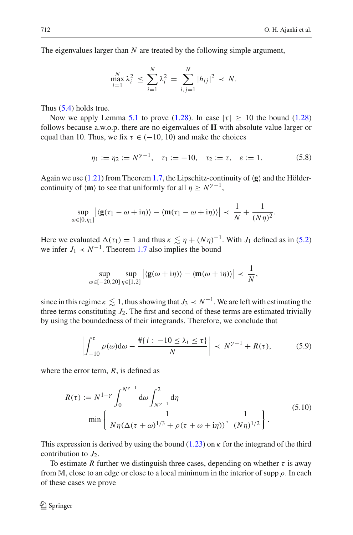The eigenvalues larger than *N* are treated by the following simple argument,

$$
\max_{i=1}^N \lambda_i^2 \le \sum_{i=1}^N \lambda_i^2 = \sum_{i,j=1}^N |h_{ij}|^2 \prec N.
$$

Thus [\(5.4\)](#page-44-3) holds true.

Now we apply Lemma [5.1](#page-43-2) to prove [\(1.28\)](#page-10-4). In case  $|\tau| \geq 10$  the bound (1.28) follows because a.w.o.p. there are no eigenvalues of **H** with absolute value larger or equal than 10. Thus, we fix  $\tau \in (-10, 10)$  and make the choices

$$
\eta_1 := \eta_2 := N^{\gamma - 1}, \quad \tau_1 := -10, \quad \tau_2 := \tau, \quad \varepsilon := 1. \tag{5.8}
$$

Again we use  $(1.21)$  from Theorem [1.7,](#page-7-0) the Lipschitz-continuity of  $\langle g \rangle$  and the Höldercontinuity of  $\langle \mathbf{m} \rangle$  to see that uniformly for all  $\eta \geq N^{\gamma-1}$ ,

$$
\sup_{\omega\in[0,\eta_1]}\left|\langle\mathbf{g}(\tau_1-\omega+i\eta)\rangle-\langle\mathbf{m}(\tau_1-\omega+i\eta)\rangle\right| \prec \frac{1}{N}+\frac{1}{(N\eta)^2}.
$$

Here we evaluated  $\Delta(\tau_1) = 1$  and thus  $\kappa \lesssim \eta + (N\eta)^{-1}$ . With *J*<sub>1</sub> defined as in [\(5.2\)](#page-43-3) we infer  $J_1 \prec N^{-1}$ . Theorem [1.7](#page-7-0) also implies the bound

$$
\sup_{\omega\in[-20,20]}\sup_{\eta\in[1,2]}\left|\langle\mathbf{g}(\omega+i\eta)\rangle-\langle\mathbf{m}(\omega+i\eta)\rangle\right|\prec\frac{1}{N},
$$

since in this regime  $\kappa \lesssim 1$ , thus showing that  $J_3 \prec N^{-1}$ . We are left with estimating the three terms constituting  $J_2$ . The first and second of these terms are estimated trivially by using the boundedness of their integrands. Therefore, we conclude that

$$
\left| \int_{-10}^{\tau} \rho(\omega) d\omega - \frac{\# \{ i : -10 \le \lambda_i \le \tau \}}{N} \right| \prec N^{\gamma - 1} + R(\tau), \tag{5.9}
$$

<span id="page-45-1"></span><span id="page-45-0"></span>where the error term, *R*, is defined as

$$
R(\tau) := N^{1-\gamma} \int_0^{N^{\gamma-1}} d\omega \int_{N^{\gamma-1}}^2 d\eta
$$
  
min  $\left\{ \frac{1}{N\eta(\Delta(\tau+\omega)^{1/3} + \rho(\tau+\omega+i\eta))}, \frac{1}{(N\eta)^{1/2}} \right\}.$  (5.10)

This expression is derived by using the bound  $(1.23)$  on  $\kappa$  for the integrand of the third contribution to  $J_2$ .

To estimate *R* further we distinguish three cases, depending on whether  $\tau$  is away from M, close to an edge or close to a local minimum in the interior of supp  $\rho$ . In each of these cases we prove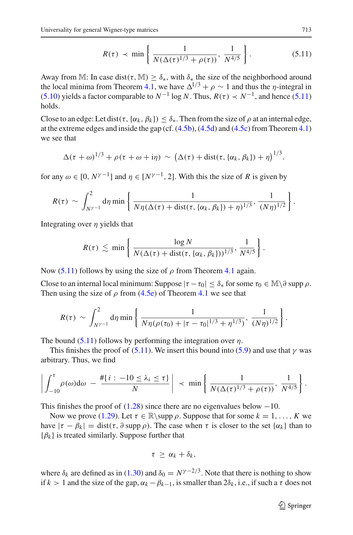$$
R(\tau) \prec \min \left\{ \frac{1}{N(\Delta(\tau)^{1/3} + \rho(\tau))}, \frac{1}{N^{4/5}} \right\}.
$$
 (5.11)

<span id="page-46-0"></span>Away from M: In case dist( $\tau$ , M)  $> \delta_{*}$ , with  $\delta_{*}$  the size of the neighborhood around the local minima from Theorem [4.1,](#page-26-2) we have  $\Delta^{1/3} + \rho \sim 1$  and thus the *η*-integral in [\(5.10\)](#page-45-0) yields a factor comparable to  $N^{-1}$  log *N*. Thus,  $R(\tau) \prec N^{-1}$ , and hence [\(5.11\)](#page-46-0) holds.

Close to an edge: Let dist( $\tau$ , { $\alpha_k$ ,  $\beta_k$ })  $\leq \delta_*$ . Then from the size of  $\rho$  at an internal edge, at the extreme edges and inside the gap (cf.  $(4.5b)$ ,  $(4.5d)$  and  $(4.5c)$  from Theorem [4.1\)](#page-26-2) we see that

$$
\Delta(\tau+\omega)^{1/3}+\rho(\tau+\omega+i\eta)\sim(\Delta(\tau)+\text{dist}(\tau,\{\alpha_k,\beta_k\})+\eta)^{1/3}.
$$

for any  $\omega \in [0, N^{\gamma-1}]$  and  $\eta \in [N^{\gamma-1}, 2]$ . With this the size of *R* is given by

$$
R(\tau) \sim \int_{N^{\gamma-1}}^2 d\eta \min\left\{\frac{1}{N\eta(\Delta(\tau)+\text{dist}(\tau,\{\alpha_k,\beta_k\})+\eta)^{1/3}},\frac{1}{(N\eta)^{1/2}}\right\}.
$$

Integrating over  $\eta$  yields that

$$
R(\tau) \lesssim \min \left\{ \frac{\log N}{N(\Delta(\tau) + \text{dist}(\tau, \{\alpha_k, \beta_k\}))^{1/3}}, \frac{1}{N^{4/5}} \right\}.
$$

Now [\(5.11\)](#page-46-0) follows by using the size of  $\rho$  from Theorem [4.1](#page-26-2) again.

Close to an internal local minimum: Suppose  $|\tau - \tau_0| \leq \delta_*$  for some  $\tau_0 \in \mathbb{M} \setminus \partial \text{ supp } \rho$ . Then using the size of  $\rho$  from [\(4.5e\)](#page-27-4) of Theorem [4.1](#page-26-2) we see that

$$
R(\tau) \sim \int_{N^{\gamma-1}}^2 d\eta \min \left\{ \frac{1}{N\eta(\rho(\tau_0)+|\tau-\tau_0|^{1/3}+\eta^{1/3})}, \frac{1}{(N\eta)^{1/2}} \right\}.
$$

The bound  $(5.11)$  follows by performing the integration over  $\eta$ .

This finishes the proof of [\(5.11\)](#page-46-0). We insert this bound into [\(5.9\)](#page-45-1) and use that  $\gamma$  was arbitrary. Thus, we find

$$
\left|\int_{-10}^{\tau}\rho(\omega)\mathrm{d}\omega\ -\ \frac{\#\{i:-10\leq\lambda_i\leq\tau\}}{N}\right|\ \prec\ \min\left\{\ \frac{1}{N(\Delta(\tau)^{1/3}+\rho(\tau))},\ \frac{1}{N^{4/5}}\right\}.
$$

This finishes the proof of  $(1.28)$  since there are no eigenvalues below  $-10$ .

Now we prove [\(1.29\)](#page-10-3). Let  $\tau \in \mathbb{R}$  suppose that for some  $k = 1, \ldots, K$  we have  $|\tau - \beta_k| = \text{dist}(\tau, \partial \text{ supp } \rho)$ . The case when  $\tau$  is closer to the set  $\{\alpha_k\}$  than to  ${β_k}$  is treated similarly. Suppose further that

$$
\tau \geq \alpha_k + \delta_k,
$$

where  $\delta_k$  are defined as in [\(1.30\)](#page-10-2) and  $\delta_0 = N^{\gamma - 2/3}$ . Note that there is nothing to show if  $k > 1$  and the size of the gap,  $\alpha_k - \beta_{k-1}$ , is smaller than  $2\delta_k$ , i.e., if such a  $\tau$  does not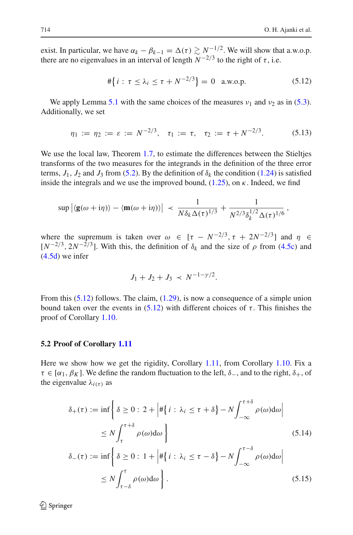exist. In particular, we have  $\alpha_k - \beta_{k-1} = \Delta(\tau) \gtrsim N^{-1/2}$ . We will show that a.w.o.p. there are no eigenvalues in an interval of length  $N^{-2/3}$  to the right of  $\tau$ , i.e.

$$
\#\{i : \tau \le \lambda_i \le \tau + N^{-2/3}\} = 0 \quad \text{a.w.o.p.} \tag{5.12}
$$

<span id="page-47-1"></span>We apply Lemma [5.1](#page-43-2) with the same choices of the measures  $v_1$  and  $v_2$  as in [\(5.3\)](#page-44-0). Additionally, we set

$$
\eta_1 := \eta_2 := \varepsilon := N^{-2/3}, \quad \tau_1 := \tau, \quad \tau_2 := \tau + N^{-2/3}.
$$
 (5.13)

We use the local law, Theorem [1.7,](#page-7-0) to estimate the differences between the Stieltjes transforms of the two measures for the integrands in the definition of the three error terms,  $J_1$ ,  $J_2$  and  $J_3$  from [\(5.2\)](#page-43-3). By the definition of  $\delta_k$  the condition [\(1.24\)](#page-8-6) is satisfied inside the integrals and we use the improved bound,  $(1.25)$ , on  $\kappa$ . Indeed, we find

$$
\sup |\langle \mathbf{g}(\omega+i\eta) \rangle - \langle \mathbf{m}(\omega+i\eta) \rangle| \prec \frac{1}{N \delta_k \Delta(\tau)^{1/3}} + \frac{1}{N^{2/3} \delta_k^{1/2} \Delta(\tau)^{1/6}},
$$

where the supremum is taken over  $\omega \in [\tau - N^{-2/3}, \tau + 2N^{-2/3}]$  and  $\eta \in$  $[N^{-2/3}, 2N^{-2/3}]$ . With this, the definition of  $\delta_k$  and the size of  $\rho$  from [\(4.5c\)](#page-27-6) and  $(4.5d)$  we infer

$$
J_1 + J_2 + J_3 \prec N^{-1 - \gamma/2}.
$$

From this [\(5.12\)](#page-47-1) follows. The claim, [\(1.29\)](#page-10-3), is now a consequence of a simple union bound taken over the events in  $(5.12)$  with different choices of  $\tau$ . This finishes the proof of Corollary [1.10.](#page-10-0)

#### <span id="page-47-0"></span>**5.2 Proof of Corollary [1.11](#page-10-1)**

Here we show how we get the rigidity, Corollary [1.11,](#page-10-1) from Corollary [1.10.](#page-10-0) Fix a  $\tau \in [\alpha_1, \beta_K]$ . We define the random fluctuation to the left,  $\delta_-,$  and to the right,  $\delta_+,$  of the eigenvalue  $\lambda_{i(\tau)}$  as

$$
\delta_{+}(\tau) := \inf \left\{ \delta \ge 0 : 2 + \left| \#\{i : \lambda_{i} \le \tau + \delta\} - N \int_{-\infty}^{\tau + \delta} \rho(\omega) d\omega \right| \right\}
$$
  
\n
$$
\le N \int_{\tau}^{\tau + \delta} \rho(\omega) d\omega \right\}
$$
  
\n
$$
\delta_{-}(\tau) := \inf \left\{ \delta \ge 0 : 1 + \left| \#\{i : \lambda_{i} \le \tau - \delta\} - N \int_{-\infty}^{\tau - \delta} \rho(\omega) d\omega \right| \right\}
$$
  
\n
$$
\le N \int_{\tau - \delta}^{\tau} \rho(\omega) d\omega \right\}.
$$
  
\n(5.15)

 $\mathcal{L}$  Springer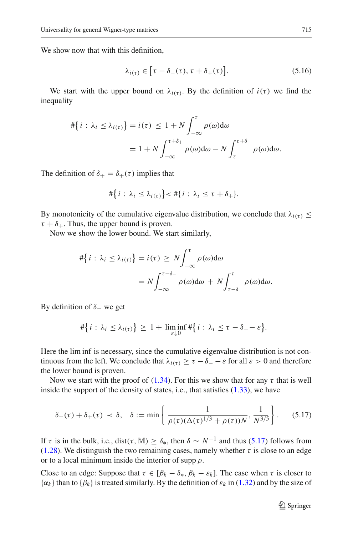We show now that with this definition,

$$
\lambda_{i(\tau)} \in [\tau - \delta_{-}(\tau), \tau + \delta_{+}(\tau)]. \tag{5.16}
$$

We start with the upper bound on  $\lambda_{i(\tau)}$ . By the definition of  $i(\tau)$  we find the inequality

$$
\begin{aligned} \#\{i:\lambda_i \leq \lambda_{i(\tau)}\} &= i(\tau) \leq 1 + N \int_{-\infty}^{\tau} \rho(\omega) d\omega \\ &= 1 + N \int_{-\infty}^{\tau+\delta_+} \rho(\omega) d\omega - N \int_{\tau}^{\tau+\delta_+} \rho(\omega) d\omega. \end{aligned}
$$

The definition of  $\delta_+ = \delta_+(\tau)$  implies that

$$
\#\big\{i:\lambda_i\leq \lambda_{i(\tau)}\big\}<\#\{i:\lambda_i\leq \tau+\delta_+\}.
$$

By monotonicity of the cumulative eigenvalue distribution, we conclude that  $\lambda_{i(\tau)} \leq$  $\tau + \delta_+$ . Thus, the upper bound is proven.

Now we show the lower bound. We start similarly,

$$
\#\{i : \lambda_i \le \lambda_{i(\tau)}\} = i(\tau) \ge N \int_{-\infty}^{\tau} \rho(\omega) d\omega
$$
  
=  $N \int_{-\infty}^{\tau-\delta_{-}} \rho(\omega) d\omega + N \int_{\tau-\delta_{-}}^{\tau} \rho(\omega) d\omega.$ 

By definition of  $\delta$  we get

$$
\#\big\{i:\lambda_i\leq \lambda_{i(\tau)}\big\}\geq 1+\liminf_{\varepsilon\downarrow 0} \#\big\{i:\lambda_i\leq \tau-\delta_--\varepsilon\big\}.
$$

Here the lim inf is necessary, since the cumulative eigenvalue distribution is not continuous from the left. We conclude that  $\lambda_{i(\tau)} \geq \tau - \delta = -\varepsilon$  for all  $\varepsilon > 0$  and therefore the lower bound is proven.

Now we start with the proof of [\(1.34\)](#page-11-4). For this we show that for any  $\tau$  that is well inside the support of the density of states, i.e., that satisfies [\(1.33\)](#page-11-5), we have

$$
\delta_{-}(\tau) + \delta_{+}(\tau) \prec \delta, \quad \delta := \min\left\{\frac{1}{\rho(\tau)(\Delta(\tau)^{1/3} + \rho(\tau))N}, \frac{1}{N^{3/5}}\right\}.
$$
 (5.17)

<span id="page-48-0"></span>If  $\tau$  is in the bulk, i.e., dist( $\tau$ , M)  $\geq \delta_*$ , then  $\delta \sim N^{-1}$  and thus [\(5.17\)](#page-48-0) follows from [\(1.28\)](#page-10-4). We distinguish the two remaining cases, namely whether  $\tau$  is close to an edge or to a local minimum inside the interior of supp  $\rho$ .

Close to an edge: Suppose that  $\tau \in [\beta_k - \delta_*, \beta_k - \varepsilon_k]$ . The case when  $\tau$  is closer to  $\{\alpha_k\}$  than to  $\{\beta_k\}$  is treated similarly. By the definition of  $\varepsilon_k$  in [\(1.32\)](#page-10-5) and by the size of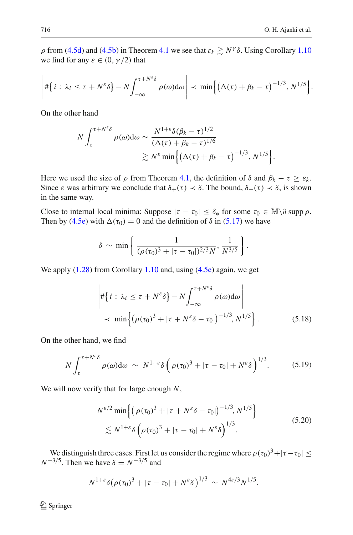$\rho$  from [\(4.5d\)](#page-27-7) and [\(4.5b\)](#page-27-5) in Theorem [4.1](#page-26-2) we see that  $\varepsilon_k \gtrsim N^{\gamma} \delta$ . Using Corollary [1.10](#page-10-0) we find for any  $\varepsilon \in (0, \gamma/2)$  that

$$
\left| \#\big\{i:\lambda_i\leq \tau+N^{\varepsilon}\delta\big\}-N\int_{-\infty}^{\tau+N^{\varepsilon}\delta}\rho(\omega)\mathrm{d}\omega\right| \prec \min\Big\{\big(\Delta(\tau)+\beta_k-\tau\big)^{-1/3},N^{1/5}\Big\}.
$$

On the other hand

$$
N \int_{\tau}^{\tau + N^{\varepsilon} \delta} \rho(\omega) d\omega \sim \frac{N^{1+\varepsilon} \delta(\beta_k - \tau)^{1/2}}{(\Delta(\tau) + \beta_k - \tau)^{1/6}} \approx N^{\varepsilon} \min \left\{ (\Delta(\tau) + \beta_k - \tau)^{-1/3}, N^{1/5} \right\}.
$$

Here we used the size of  $\rho$  from Theorem [4.1,](#page-26-2) the definition of  $\delta$  and  $\beta_k - \tau \geq \varepsilon_k$ . Since  $\varepsilon$  was arbitrary we conclude that  $\delta_+(\tau) \prec \delta$ . The bound,  $\delta_-(\tau) \prec \delta$ , is shown in the same way.

Close to internal local minima: Suppose  $|\tau - \tau_0| \leq \delta_*$  for some  $\tau_0 \in \mathbb{M} \setminus \partial \text{ supp } \rho$ . Then by [\(4.5e\)](#page-27-4) with  $\Delta(\tau_0) = 0$  and the definition of  $\delta$  in [\(5.17\)](#page-48-0) we have

$$
\delta \sim \min \left\{ \frac{1}{(\rho(\tau_0)^3 + |\tau - \tau_0|)^{2/3} N}, \frac{1}{N^{3/5}} \right\}.
$$

<span id="page-49-1"></span>We apply  $(1.28)$  from Corollary [1.10](#page-10-0) and, using  $(4.5e)$  again, we get

$$
\begin{aligned}\n\left| \#\left\{ i : \lambda_i \le \tau + N^{\varepsilon} \delta \right\} - N \int_{-\infty}^{\tau + N^{\varepsilon} \delta} \rho(\omega) d\omega \right| \\
&\quad \times \min \left\{ \left( \rho(\tau_0)^3 + |\tau + N^{\varepsilon} \delta - \tau_0| \right)^{-1/3}, N^{1/5} \right\}.\n\end{aligned} \tag{5.18}
$$

<span id="page-49-2"></span>On the other hand, we find

$$
N \int_{\tau}^{\tau + N^{\varepsilon} \delta} \rho(\omega) d\omega \, \sim \, N^{1 + \varepsilon} \delta \left( \rho(\tau_0)^3 + |\tau - \tau_0| + N^{\varepsilon} \delta \right)^{1/3} . \tag{5.19}
$$

We will now verify that for large enough *N*,

$$
N^{\varepsilon/2} \min \left\{ \left( \rho(\tau_0)^3 + |\tau + N^{\varepsilon} \delta - \tau_0| \right)^{-1/3}, N^{1/5} \right\}
$$
  
 
$$
\lesssim N^{1+\varepsilon} \delta \left( \rho(\tau_0)^3 + |\tau - \tau_0| + N^{\varepsilon} \delta \right)^{1/3}.
$$
 (5.20)

<span id="page-49-0"></span>We distinguish three cases. First let us consider the regime where  $\rho(\tau_0)^3 + |\tau - \tau_0|$  <  $N^{-3/5}$ . Then we have  $\delta = N^{-3/5}$  and

$$
N^{1+\varepsilon}\delta\big(\rho(\tau_0)^3+|\tau-\tau_0|+N^{\varepsilon}\delta\big)^{1/3}\,\sim\,N^{4\varepsilon/3}N^{1/5}.
$$

<sup>2</sup> Springer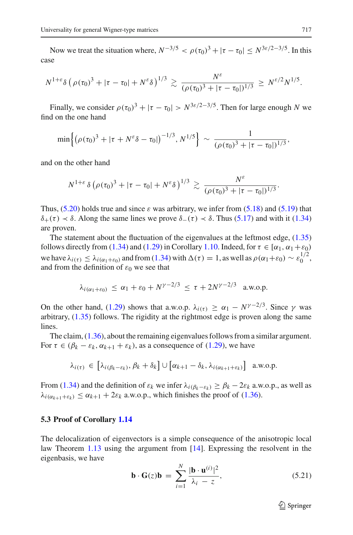Now we treat the situation where,  $N^{-3/5} < \rho(\tau_0)^3 + |\tau - \tau_0| < N^{3\varepsilon/2 - 3/5}$ . In this case

$$
N^{1+\varepsilon} \delta \left( \rho(\tau_0)^3 + |\tau - \tau_0| + N^{\varepsilon} \delta \right)^{1/3} \gtrsim \frac{N^{\varepsilon}}{(\rho(\tau_0)^3 + |\tau - \tau_0|)^{1/3}} \geq N^{\varepsilon/2} N^{1/5}.
$$

Finally, we consider  $\rho(\tau_0)^3 + |\tau - \tau_0| > N^{3\varepsilon/2 - 3/5}$ . Then for large enough *N* we find on the one hand

$$
\min\left\{(\rho(\tau_0)^3 + |\tau + N^{\varepsilon}\delta - \tau_0|)^{-1/3}, N^{1/5}\right\} \sim \frac{1}{(\rho(\tau_0)^3 + |\tau - \tau_0|)^{1/3}},
$$

and on the other hand

$$
N^{1+\varepsilon} \delta \left( \rho(\tau_0)^3 + |\tau - \tau_0| + N^{\varepsilon} \delta \right)^{1/3} \gtrsim \frac{N^{\varepsilon}}{(\rho(\tau_0)^3 + |\tau - \tau_0|)^{1/3}}.
$$

Thus,  $(5.20)$  holds true and since  $\varepsilon$  was arbitrary, we infer from  $(5.18)$  and  $(5.19)$  that  $\delta_+(\tau) \prec \delta$ . Along the same lines we prove  $\delta_-(\tau) \prec \delta$ . Thus [\(5.17\)](#page-48-0) and with it [\(1.34\)](#page-11-4) are proven.

The statement about the fluctuation of the eigenvalues at the leftmost edge, [\(1.35\)](#page-11-2) follows directly from [\(1.34\)](#page-11-4) and [\(1.29\)](#page-10-3) in Corollary [1.10.](#page-10-0) Indeed, for  $\tau \in [\alpha_1, \alpha_1 + \varepsilon_0)$ we have  $\lambda_{i(\tau)} \leq \lambda_{i(\alpha_1 + \varepsilon_0)}$  and from [\(1.34\)](#page-11-4) with  $\Delta(\tau) = 1$ , as well as  $\rho(\alpha_1 + \varepsilon_0) \sim \varepsilon_0^{1/2}$ , and from the definition of  $\varepsilon_0$  we see that

$$
\lambda_{i(\alpha_1+\varepsilon_0)} \leq \alpha_1 + \varepsilon_0 + N^{\gamma-2/3} \leq \tau + 2N^{\gamma-2/3} \quad \text{a.w.o.p.}
$$

On the other hand, [\(1.29\)](#page-10-3) shows that a.w.o.p.  $\lambda_{i(\tau)} \ge \alpha_1 - N^{\gamma - 2/3}$ . Since  $\gamma$  was arbitrary, [\(1.35\)](#page-11-2) follows. The rigidity at the rightmost edge is proven along the same lines.

The claim, [\(1.36\)](#page-11-3), about the remaining eigenvalues follows from a similar argument. For  $\tau \in (\beta_k - \varepsilon_k, \alpha_{k+1} + \varepsilon_k)$ , as a consequence of [\(1.29\)](#page-10-3), we have

$$
\lambda_{i(\tau)} \in \left[\lambda_{i(\beta_k - \varepsilon_k)}, \beta_k + \delta_k\right] \cup \left[\alpha_{k+1} - \delta_k, \lambda_{i(\alpha_{k+1} + \varepsilon_k)}\right] \text{ a.w.o.p.}
$$

From [\(1.34\)](#page-11-4) and the definition of  $\varepsilon_k$  we infer  $\lambda_i(\beta_k-\varepsilon_k) \geq \beta_k - 2\varepsilon_k$  a.w.o.p., as well as  $\lambda_{i(\alpha_{k+1}+\varepsilon_k)} \leq \alpha_{k+1} + 2\varepsilon_k$  a.w.o.p., which finishes the proof of [\(1.36\)](#page-11-3).

#### <span id="page-50-0"></span>**5.3 Proof of Corollary [1.14](#page-11-0)**

<span id="page-50-1"></span>The delocalization of eigenvectors is a simple consequence of the anisotropic local law Theorem [1.13](#page-11-1) using the argument from [\[14\]](#page-59-2). Expressing the resolvent in the eigenbasis, we have

$$
\mathbf{b} \cdot \mathbf{G}(z)\mathbf{b} = \sum_{i=1}^{N} \frac{|\mathbf{b} \cdot \mathbf{u}^{(i)}|^2}{\lambda_i - z},
$$
 (5.21)

 $\mathcal{D}$  Springer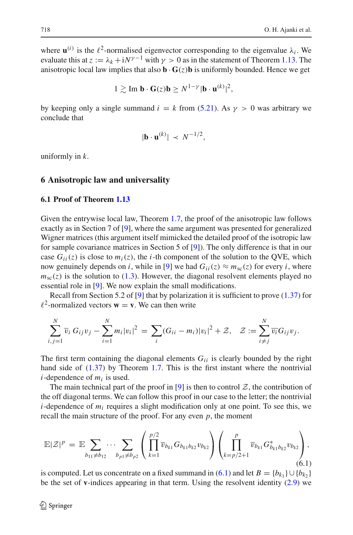where  $\mathbf{u}^{(i)}$  is the  $\ell^2$ -normalised eigenvector corresponding to the eigenvalue  $\lambda_i$ . We evaluate this at  $z := \lambda_k + iN^{\gamma-1}$  with  $\gamma > 0$  as in the statement of Theorem [1.13.](#page-11-1) The anisotropic local law implies that also  $\mathbf{b} \cdot \mathbf{G}(z) \mathbf{b}$  is uniformly bounded. Hence we get

$$
1 \gtrsim \text{Im } \mathbf{b} \cdot \mathbf{G}(z) \mathbf{b} \geq N^{1-\gamma} |\mathbf{b} \cdot \mathbf{u}^{(k)}|^2,
$$

by keeping only a single summand  $i = k$  from [\(5.21\)](#page-50-1). As  $\gamma > 0$  was arbitrary we conclude that

$$
|\mathbf{b} \cdot \mathbf{u}^{(k)}| \prec N^{-1/2},
$$

uniformly in *k*.

#### <span id="page-51-0"></span>**6 Anisotropic law and universality**

#### <span id="page-51-1"></span>**6.1 Proof of Theorem [1.13](#page-11-1)**

Given the entrywise local law, Theorem [1.7,](#page-7-0) the proof of the anisotropic law follows exactly as in Section 7 of [\[9\]](#page-59-16), where the same argument was presented for generalized Wigner matrices (this argument itself mimicked the detailed proof of the isotropic law for sample covariance matrices in Section 5 of [\[9\]](#page-59-16)). The only difference is that in our case  $G_{ii}(z)$  is close to  $m_i(z)$ , the *i*-th component of the solution to the QVE, which now genuinely depends on *i*, while in [\[9](#page-59-16)] we had  $G_{ii}(z) \approx m_{sc}(z)$  for every *i*, where  $m<sub>sc</sub>(z)$  is the solution to [\(1.3\)](#page-2-0). However, the diagonal resolvent elements played no essential role in [\[9](#page-59-16)]. We now explain the small modifications.

Recall from Section 5.2 of [\[9](#page-59-16)] that by polarization it is sufficient to prove  $(1.37)$  for  $l^2$ -normalized vectors  $\mathbf{w} = \mathbf{v}$ . We can then write

$$
\sum_{i,j=1}^N \overline{v}_i \, G_{ij} v_j - \sum_{i=1}^N m_i |v_i|^2 \, = \, \sum_i (G_{ii} - m_i) |v_i|^2 + \mathcal{Z}, \quad \mathcal{Z} := \sum_{i \neq j}^N \overline{v_i} G_{ij} v_j.
$$

The first term containing the diagonal elements *Gii* is clearly bounded by the right hand side of  $(1.37)$  by Theorem [1.7.](#page-7-0) This is the first instant where the nontrivial  $i$ -dependence of  $m_i$  is used.

The main technical part of the proof in [\[9](#page-59-16)] is then to control  $Z$ , the contribution of the off diagonal terms. We can follow this proof in our case to the letter; the nontrivial *i*-dependence of *mi* requires a slight modification only at one point. To see this, we recall the main structure of the proof. For any even  $p$ , the moment

<span id="page-51-2"></span>
$$
\mathbb{E}|Z|^p = \mathbb{E} \sum_{b_{11} \neq b_{12}} \cdots \sum_{b_{p1} \neq b_{p2}} \left( \prod_{k=1}^{p/2} \overline{v}_{b_{k1}} G_{b_{k1}b_{k2}} v_{b_{k2}} \right) \left( \prod_{k=p/2+1}^{p} \overline{v}_{b_{k1}} G_{b_{k1}b_{k2}}^* v_{b_{k2}} \right), \tag{6.1}
$$

is computed. Let us concentrate on a fixed summand in [\(6.1\)](#page-51-2) and let  $B = \{b_{k_1}\} \cup \{b_{k_2}\}\$ be the set of **v**-indices appearing in that term. Using the resolvent identity [\(2.9\)](#page-16-2) we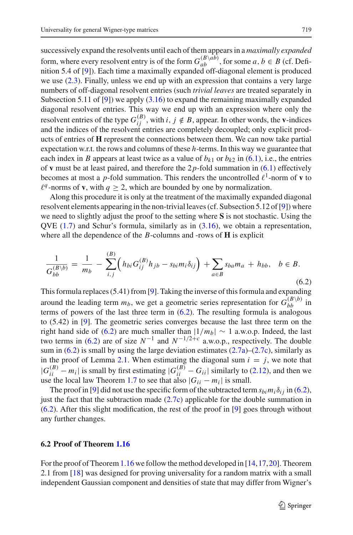successively expand the resolvents until each of them appears in a *maximally expanded* form, where every resolvent entry is of the form  $G_{ab}^{(B\setminus ab)}$ , for some  $a, b \in B$  (cf. Definition 5.4 of [\[9](#page-59-16)]). Each time a maximally expanded off-diagonal element is produced we use [\(2.3\)](#page-14-0). Finally, unless we end up with an expression that contains a very large numbers of off-diagonal resolvent entries (such *trivial leaves* are treated separately in Subsection 5.11 of [\[9\]](#page-59-16)) we apply [\(3.16\)](#page-21-3) to expand the remaining maximally expanded diagonal resolvent entries. This way we end up with an expression where only the resolvent entries of the type  $G_{ij}^{(B)}$ , with  $i, j \notin B$ , appear. In other words, the **v**-indices and the indices of the resolvent entries are completely decoupled; only explicit products of entries of **H** represent the connections between them. We can now take partial expectation w.r.t. the rows and columns of these *h*-terms. In this way we guarantee that each index in *B* appears at least twice as a value of  $b_{k1}$  or  $b_{k2}$  in [\(6.1\)](#page-51-2), i.e., the entries of **v** must be at least paired, and therefore the 2*p*-fold summation in [\(6.1\)](#page-51-2) effectively becomes at most a *p*-fold summation. This renders the uncontrolled  $\ell^1$ -norm of **v** to  $\ell^q$ -norms of **v**, with  $q > 2$ , which are bounded by one by normalization.

Along this procedure it is only at the treatment of the maximally expanded diagonal resolvent elements appearing in the non-trivial leaves (cf. Subsection 5.12 of [\[9\]](#page-59-16)) where we need to slightly adjust the proof to the setting where **S** is not stochastic. Using the QVE  $(1.7)$  and Schur's formula, similarly as in  $(3.16)$ , we obtain a representation, where all the dependence of the *B*-columns and -rows of **H** is explicit

<span id="page-52-1"></span>
$$
\frac{1}{G_{bb}^{(B\setminus b)}} = \frac{1}{m_b} - \sum_{i,j}^{(B)} \Big( h_{bi} G_{ij}^{(B)} h_{jb} - s_{bi} m_i \delta_{ij} \Big) + \sum_{a \in B} s_{ba} m_a + h_{bb}, \quad b \in B. \tag{6.2}
$$

This formula replaces (5.41) from [\[9](#page-59-16)]. Taking the inverse of this formula and expanding around the leading term  $m_b$ , we get a geometric series representation for  $G_{bb}^{(B\setminus b)}$  in terms of powers of the last three term in  $(6.2)$ . The resulting formula is analogous to (5.42) in [\[9\]](#page-59-16). The geometric series converges because the last three term on the right hand side of [\(6.2\)](#page-52-1) are much smaller than  $|1/m_b| \sim 1$  a.w.o.p. Indeed, the last two terms in [\(6.2\)](#page-52-1) are of size  $N^{-1}$  and  $N^{-1/2+c}$  a.w.o.p., respectively. The double sum in  $(6.2)$  is small by using the large deviation estimates  $(2.7a)$ – $(2.7c)$ , similarly as in the proof of Lemma [2.1.](#page-15-0) When estimating the diagonal sum  $i = j$ , we note that  $|G_{ii}^{(B)} - m_i|$  is small by first estimating  $|G_{ii}^{(B)} - G_{ii}|$  similarly to [\(2.12\)](#page-16-3), and then we use the local law Theorem [1.7](#page-7-0) to see that also  $|G_{ii} - m_i|$  is small.

The proof in [\[9](#page-59-16)] did not use the specific form of the subtracted term  $s_{bi}m_i\delta_{ij}$  in [\(6.2\)](#page-52-1), just the fact that the subtraction made  $(2.7c)$  applicable for the double summation in [\(6.2\)](#page-52-1). After this slight modification, the rest of the proof in [\[9\]](#page-59-16) goes through without any further changes.

#### <span id="page-52-0"></span>**6.2 Proof of Theorem [1.16](#page-12-0)**

For the proof of Theorem [1.16](#page-12-0) we follow the method developed in  $[14,17,20]$  $[14,17,20]$  $[14,17,20]$  $[14,17,20]$ . Theorem 2.1 from [\[18\]](#page-60-11) was designed for proving universality for a random matrix with a small independent Gaussian component and densities of state that may differ from Wigner's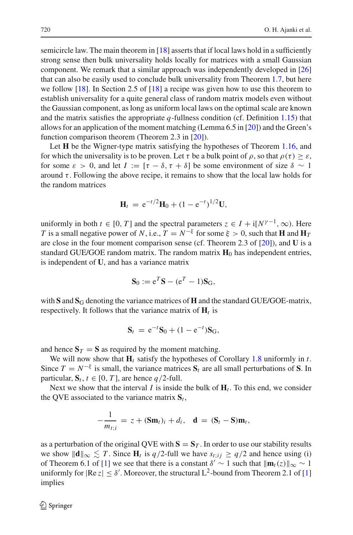semicircle law. The main theorem in  $[18]$  $[18]$  asserts that if local laws hold in a sufficiently strong sense then bulk universality holds locally for matrices with a small Gaussian component. We remark that a similar approach was independently developed in [\[26\]](#page-60-12) that can also be easily used to conclude bulk universality from Theorem [1.7,](#page-7-0) but here we follow [\[18\]](#page-60-11). In Section 2.5 of [\[18\]](#page-60-11) a recipe was given how to use this theorem to establish universality for a quite general class of random matrix models even without the Gaussian component, as long as uniform local laws on the optimal scale are known and the matrix satisfies the appropriate *q*-fullness condition (cf. Definition [1.15\)](#page-11-7) that allows for an application of the moment matching (Lemma 6.5 in [\[20\]](#page-60-4)) and the Green's function comparison theorem (Theorem 2.3 in [\[20\]](#page-60-4)).

Let **H** be the Wigner-type matrix satisfying the hypotheses of Theorem [1.16,](#page-12-0) and for which the universality is to be proven. Let  $\tau$  be a bulk point of  $\rho$ , so that  $\rho(\tau) > \varepsilon$ , for some  $\varepsilon > 0$ , and let  $I := [\tau - \delta, \tau + \delta]$  be some environment of size  $\delta \sim 1$ around  $\tau$ . Following the above recipe, it remains to show that the local law holds for the random matrices

$$
\mathbf{H}_t = e^{-t/2} \mathbf{H}_0 + (1 - e^{-t})^{1/2} \mathbf{U},
$$

uniformly in both  $t \in [0, T]$  and the spectral parameters  $z \in I + i[N^{\gamma-1}, \infty)$ . Here *T* is a small negative power of *N*, i.e.,  $T = N^{-\xi}$  for some  $\xi > 0$ , such that **H** and  $\mathbf{H}_T$ are close in the four moment comparison sense (cf. Theorem 2.3 of [\[20\]](#page-60-4)), and **U** is a standard GUE/GOE random matrix. The random matrix  $\mathbf{H}_0$  has independent entries, is independent of **U**, and has a variance matrix

$$
\mathbf{S}_0 := \mathbf{e}^T \mathbf{S} - (\mathbf{e}^T - 1) \mathbf{S}_G,
$$

with  $S$  and  $S_G$  denoting the variance matrices of **H** and the standard GUE/GOE-matrix, respectively. It follows that the variance matrix of  $H_t$  is

$$
S_t = e^{-t}S_0 + (1 - e^{-t})S_G,
$$

and hence  $S_T = S$  as required by the moment matching.

We will now show that  $H_t$  satisfy the hypotheses of Corollary [1.8](#page-8-1) uniformly in *t*. Since  $T = N^{-\xi}$  is small, the variance matrices  $S_t$  are all small perturbations of S. In particular,  $S_t$ ,  $t \in [0, T]$ , are hence *q*/2-full.

Next we show that the interval *I* is inside the bulk of  $H_t$ . To this end, we consider the QVE associated to the variance matrix  $S_t$ ,

$$
-\frac{1}{m_{t;i}} = z + (\mathbf{Sm}_t)_i + d_i, \quad \mathbf{d} = (\mathbf{S}_t - \mathbf{S})\mathbf{m}_t,
$$

as a perturbation of the original QVE with  $S = S_T$ . In order to use our stability results we show  $\|\mathbf{d}\|_{\infty}$   $\leq T$ . Since **H**<sub>t</sub> is *q*/2-full we have *s*<sub>t;*i*j</sub> ≥ *q*/2 and hence using (i) of Theorem 6.1 of [\[1](#page-59-5)] we see that there is a constant  $\delta' \sim 1$  such that  $\|\mathbf{m}_t(z)\|_{\infty} \sim 1$ uniformly for  $|Re\ z| \le \delta'$ . Moreover, the structural L<sup>2</sup>-bound from Theorem 2.1 of [\[1\]](#page-59-5) implies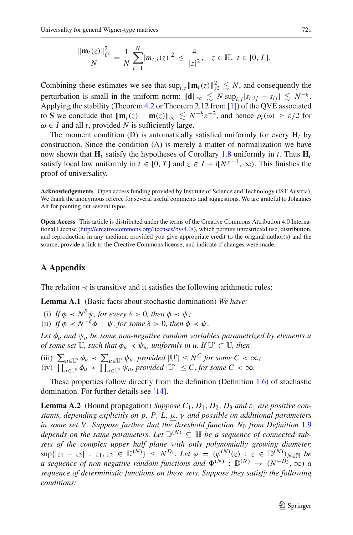$$
\frac{\|\mathbf{m}_t(z)\|_{\ell^2}^2}{N} = \frac{1}{N} \sum_{i=1}^N |m_{t;i}(z)|^2 \le \frac{4}{|z|^2}, \quad z \in \mathbb{H}, \ t \in [0, T].
$$

Combining these estimates we see that  $\sup_{t,z} ||\mathbf{m}_t(z)||_{\ell^2}^2 \lesssim N$ , and consequently the perturbation is small in the uniform norm:  $\|\mathbf{d}\|_{\infty} \lesssim N \sup_{i,j} |s_{t;ij} - s_{ij}| \lesssim N^{-\xi}$ . Applying the stability (Theorem [4.2](#page-27-0) or Theorem 2.12 from [\[1\]](#page-59-5)) of the QVE associated to **S** we conclude that  $\|\mathbf{m}_t(z) - \mathbf{m}(z)\|_{\infty} \leq N^{-\xi} \varepsilon^{-2}$ , and hence  $\rho_t(\omega) \geq \varepsilon/2$  for  $\omega \in I$  and all *t*, provided *N* is sufficiently large.

The moment condition (D) is automatically satisfied uniformly for every  $H_t$  by construction. Since the condition (A) is merely a matter of normalization we have now shown that  $\mathbf{H}_t$  satisfy the hypotheses of Corollary [1.8](#page-8-1) uniformly in *t*. Thus  $\mathbf{H}_t$ satisfy local law uniformly in  $t \in [0, T]$  and  $z \in I + i[N^{\gamma-1}, \infty)$ . This finishes the proof of universality.

**Acknowledgements** Open access funding provided by Institute of Science and Technology (IST Austria). We thank the anonymous referee for several useful comments and suggestions. We are grateful to Johannes Alt for pointing out several typos.

**Open Access** This article is distributed under the terms of the Creative Commons Attribution 4.0 International License [\(http://creativecommons.org/licenses/by/4.0/\)](http://creativecommons.org/licenses/by/4.0/), which permits unrestricted use, distribution, and reproduction in any medium, provided you give appropriate credit to the original author(s) and the source, provide a link to the Creative Commons license, and indicate if changes were made.

# <span id="page-54-0"></span>**A Appendix**

<span id="page-54-1"></span>The relation  $\prec$  is transitive and it satisfies the following arithmetic rules:

**Lemma A.1** (Basic facts about stochastic domination) *We have:*

- (i) If  $\phi \prec N^{\delta}\psi$ , for every  $\delta > 0$ , then  $\phi \prec \psi$ ;
- (ii) *If*  $\phi \prec N^{-\delta}\phi + \psi$ *, for some*  $\delta > 0$ *, then*  $\phi \prec \psi$ *.*

*Let*  $\phi_u$  *and*  $\psi_u$  *be some non-negative random variables parametrized by elements u of some set*  $\mathbb{U}$ *, such that*  $\phi_u \prec \psi_u$ *, uniformly in u. If*  $\mathbb{U}' \subset \mathbb{U}$ *, then* 

(iii)  $\sum_{u \in U'} \phi_u \prec \sum_{u \in U'} \psi_u$ , provided  $|U'| \le N^C$  for some  $C < \infty$ ;  $\lim_{u \to \infty} \int \frac{u}{u} \, du \, du \leq \lim_{u \to \infty} \int \psi_u$ , provided  $|U'| \leq C$ , for some  $C < \infty$ .

These properties follow directly from the definition (Definition [1.6\)](#page-7-1) of stochastic domination. For further details see [\[14\]](#page-59-2).

<span id="page-54-2"></span>**Lemma A.2** (Bound propagation) *Suppose*  $C_1$ ,  $D_1$ ,  $D_2$ ,  $D_3$  *and*  $\varepsilon_1$  *are positive constants, depending explicitly on p, P, L,* μ*,* γ *and possible on additional parameters in some set V . Suppose further that the threshold function N*<sup>0</sup> *from Definition* [1.9](#page-9-0) *depends on the same parameters. Let*  $\mathbb{D}^{(N)} \subseteq \mathbb{H}$  *be a sequence of connected subsets of the complex upper half plane with only polynomially growing diameter,*  $\sup\{|z_1 - z_2| : z_1, z_2 \in \mathbb{D}^{(N)}\} \leq N^{D_1}$ . Let  $\varphi = (\varphi^{(N)}(z) : z \in \mathbb{D}^{(N)})_{N \in \mathbb{N}}$  be *a* sequence of non-negative random functions and  $\Phi^{(N)}$  :  $\mathbb{D}^{(N)} \to (N^{-D_3}, \infty)$  *a sequence of deterministic functions on these sets. Suppose they satisfy the following conditions:*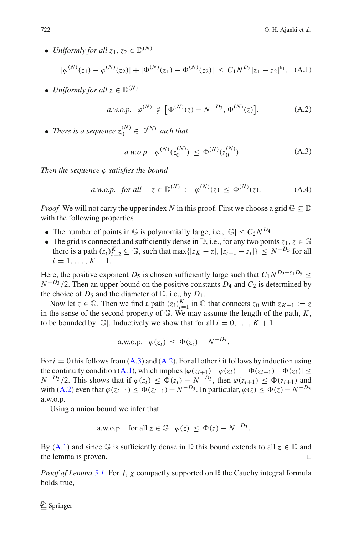<span id="page-55-0"></span>• *Uniformly for all*  $z_1, z_2 \in D(N)$ 

$$
|\varphi^{(N)}(z_1) - \varphi^{(N)}(z_2)| + |\Phi^{(N)}(z_1) - \Phi^{(N)}(z_2)| \le C_1 N^{D_2} |z_1 - z_2|^{\varepsilon_1}.
$$
 (A.1)

<span id="page-55-2"></span>• *Uniformly for all*  $z \in \mathbb{D}^{(N)}$ 

$$
a.w.o.p. \varphi^{(N)} \notin \left[ \Phi^{(N)}(z) - N^{-D_3}, \Phi^{(N)}(z) \right]. \tag{A.2}
$$

<span id="page-55-1"></span>• *There is a sequence*  $z_0^{(N)} \in \mathbb{D}^{(N)}$  *such that* 

$$
a.w.o.p. \varphi^{(N)}(z_0^{(N)}) \le \Phi^{(N)}(z_0^{(N)}). \tag{A.3}
$$

*Then the sequence* ϕ *satisfies the bound*

*a.w.o.p. for all* 
$$
z \in \mathbb{D}^{(N)}
$$
 :  $\varphi^{(N)}(z) \le \Phi^{(N)}(z)$ . (A.4)

*Proof* We will not carry the upper index *N* in this proof. First we choose a grid  $\mathbb{G} \subseteq \mathbb{D}$ with the following properties

- The number of points in G is polynomially large, i.e.,  $|\mathbb{G}| \leq C_2 N^{D_4}$ .
- The grid is connected and sufficiently dense in  $\mathbb{D}$ , i.e., for any two points  $z_1, z \in \mathbb{G}$ there is a path  $(z_i)_{i=2}^K \subseteq \mathbb{G}$ , such that max $\{|z_K - z|, |z_{i+1} - z_i|\} \leq N^{-D_5}$  for all  $i = 1, \ldots, K - 1.$

Here, the positive exponent *D*<sub>5</sub> is chosen sufficiently large such that  $C_1N^{D_2-\epsilon_1D_5} \leq$  $N^{-D_3}/2$ . Then an upper bound on the positive constants *D*<sub>4</sub> and *C*<sub>2</sub> is determined by the choice of  $D_5$  and the diameter of  $\mathbb{D}$ , i.e., by  $D_1$ .

Now let  $z \in \mathbb{G}$ . Then we find a path  $(z_i)_{i=1}^K$  in  $\mathbb{G}$  that connects  $z_0$  with  $z_{K+1} := z$ in the sense of the second property of G. We may assume the length of the path, *K*, to be bounded by  $|\mathbb{G}|$ . Inductively we show that for all  $i = 0, \ldots, K + 1$ 

a.w.o.p. 
$$
\varphi(z_i) \leq \Phi(z_i) - N^{-D_3}
$$
.

For  $i = 0$  this follows from  $(A.3)$  and  $(A.2)$ . For all other *i* it follows by induction using the continuity condition [\(A.1\)](#page-55-0), which implies  $|\varphi(z_{i+1}) - \varphi(z_i)| + |\Phi(z_{i+1}) - \Phi(z_i)| \le$  $N^{-D_3}/2$ . This shows that if  $\varphi(z_i) \leq \Phi(z_i) - N^{-D_3}$ , then  $\varphi(z_{i+1}) \leq \Phi(z_{i+1})$  and with [\(A.2\)](#page-55-2) even that  $\varphi(z_{i+1}) \leq \Phi(z_{i+1}) - N^{-D_3}$ . In particular,  $\varphi(z) \leq \Phi(z) - N^{-D_3}$ a.w.o.p.

Using a union bound we infer that

a.w.o.p. for all 
$$
z \in \mathbb{G}
$$
  $\varphi(z) \leq \Phi(z) - N^{-D_3}$ .

By [\(A.1\)](#page-55-0) and since  $\mathbb G$  is sufficiently dense in  $\mathbb D$  this bound extends to all  $z \in \mathbb D$  and the lemma is proven the lemma is proven.

*Proof of Lemma* [5.1](#page-43-2) For *f*, *χ* compactly supported on R the Cauchy integral formula holds true,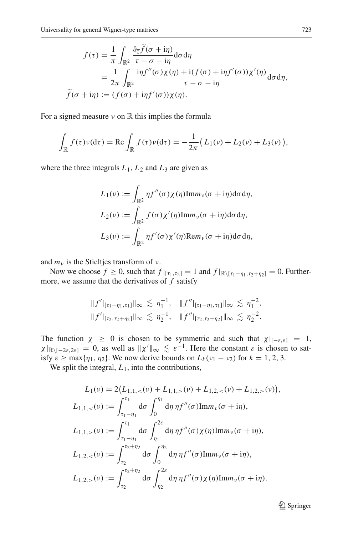$$
f(\tau) = \frac{1}{\pi} \int_{\mathbb{R}^2} \frac{\partial_{\overline{z}} \widetilde{f}(\sigma + i\eta)}{\tau - \sigma - i\eta} d\sigma d\eta
$$
  
= 
$$
\frac{1}{2\pi} \int_{\mathbb{R}^2} \frac{i\eta f''(\sigma) \chi(\eta) + i(f(\sigma) + i\eta f'(\sigma)) \chi'(\eta)}{\tau - \sigma - i\eta} d\sigma d\eta,
$$
  

$$
\widetilde{f}(\sigma + i\eta) := (f(\sigma) + i\eta f'(\sigma)) \chi(\eta).
$$

For a signed measure  $\nu$  on  $\mathbb R$  this implies the formula

$$
\int_{\mathbb{R}} f(\tau) \nu(d\tau) = \text{Re} \int_{\mathbb{R}} f(\tau) \nu(d\tau) = -\frac{1}{2\pi} \big( L_1(\nu) + L_2(\nu) + L_3(\nu) \big),
$$

where the three integrals  $L_1$ ,  $L_2$  and  $L_3$  are given as

$$
L_1(\nu) := \int_{\mathbb{R}^2} \eta f''(\sigma) \chi(\eta) \text{Im} m_{\nu}(\sigma + i\eta) d\sigma d\eta,
$$
  

$$
L_2(\nu) := \int_{\mathbb{R}^2} f(\sigma) \chi'(\eta) \text{Im} m_{\nu}(\sigma + i\eta) d\sigma d\eta,
$$
  

$$
L_3(\nu) := \int_{\mathbb{R}^2} \eta f'(\sigma) \chi'(\eta) \text{Re} m_{\nu}(\sigma + i\eta) d\sigma d\eta,
$$

and  $m<sub>v</sub>$  is the Stieltjes transform of  $v$ .

Now we choose  $f \ge 0$ , such that  $f|_{[\tau_1,\tau_2]} = 1$  and  $f|_{\mathbb{R}\setminus[\tau_1-\eta_1,\tau_2+\eta_2]} = 0$ . Furthermore, we assume that the derivatives of *f* satisfy

$$
||f'||_{[\tau_1-\eta_1,\tau_1]}\|_{\infty} \lesssim \eta_1^{-1}, \quad ||f''||_{[\tau_1-\eta_1,\tau_1]}\|_{\infty} \lesssim \eta_1^{-2},
$$
  

$$
||f'||_{[\tau_2,\tau_2+\eta_2]}\|_{\infty} \lesssim \eta_2^{-1}, \quad ||f''||_{[\tau_2,\tau_2+\eta_2]}\|_{\infty} \lesssim \eta_2^{-2}.
$$

The function  $\chi \geq 0$  is chosen to be symmetric and such that  $\chi|_{[-\varepsilon,\varepsilon]} = 1$ ,  $\chi|_{\mathbb{R}\setminus[-2\varepsilon,2\varepsilon]}=0$ , as well as  $\|\chi'\|_{\infty}\lesssim\varepsilon^{-1}$ . Here the constant  $\varepsilon$  is chosen to satisfy  $\varepsilon \ge \max{\{\eta_1, \eta_2\}}$ . We now derive bounds on  $L_k(\nu_1 - \nu_2)$  for  $k = 1, 2, 3$ .

We split the integral,  $L_1$ , into the contributions,

$$
L_1(\nu) = 2(L_{1,1,<}(\nu) + L_{1,1,<}(\nu) + L_{1,2,<}(\nu) + L_{1,2,<}(\nu)),
$$
  
\n
$$
L_{1,1,<}(\nu) := \int_{\tau_1 - \eta_1}^{\tau_1} d\sigma \int_0^{\eta_1} d\eta \eta f''(\sigma) \text{Im}m_{\nu}(\sigma + i\eta),
$$
  
\n
$$
L_{1,1,<}(\nu) := \int_{\tau_1 - \eta_1}^{\tau_1} d\sigma \int_{\eta_1}^{2\epsilon} d\eta \eta f''(\sigma) \chi(\eta) \text{Im}m_{\nu}(\sigma + i\eta),
$$
  
\n
$$
L_{1,2,<}(\nu) := \int_{\tau_2}^{\tau_2 + \eta_2} d\sigma \int_0^{\eta_2} d\eta \eta f''(\sigma) \text{Im}m_{\nu}(\sigma + i\eta),
$$
  
\n
$$
L_{1,2,<}(\nu) := \int_{\tau_2}^{\tau_2 + \eta_2} d\sigma \int_{\eta_2}^{2\epsilon} d\eta \eta f''(\sigma) \chi(\eta) \text{Im}m_{\nu}(\sigma + i\eta).
$$

<sup>2</sup> Springer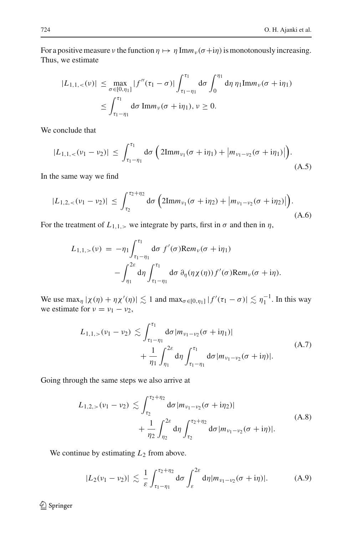For a positive measure *ν* the function  $\eta \mapsto \eta \text{Im} m_v (\sigma + i\eta)$  is monotonously increasing. Thus, we estimate

$$
|L_{1,1,<}(v)| \leq \max_{\sigma \in [0,\eta_1]} |f''(\tau_1 - \sigma)| \int_{\tau_1 - \eta_1}^{\tau_1} d\sigma \int_0^{\eta_1} d\eta \, \eta_1 \text{Im} m_v(\sigma + i\eta_1)
$$
  

$$
\leq \int_{\tau_1 - \eta_1}^{\tau_1} d\sigma \, \text{Im} m_v(\sigma + i\eta_1), v \geq 0.
$$

<span id="page-57-0"></span>We conclude that

$$
|L_{1,1,<}(v_1-v_2)| \leq \int_{\tau_1-\eta_1}^{\tau_1} d\sigma \left(2\mathrm{Im}m_{v_1}(\sigma+\mathrm{i}\eta_1)+\left|m_{v_1-v_2}(\sigma+\mathrm{i}\eta_1)\right|\right). \tag{A.5}
$$

<span id="page-57-1"></span>In the same way we find

$$
|L_{1,2,<}(\nu_1-\nu_2)| \leq \int_{\tau_2}^{\tau_2+\eta_2} d\sigma \left(2\mathrm{Im}m_{\nu_1}(\sigma+i\eta_2)+\left|m_{\nu_1-\nu_2}(\sigma+i\eta_2)\right|\right). \tag{A.6}
$$

For the treatment of  $L_{1,1,>}$  we integrate by parts, first in  $\sigma$  and then in  $\eta$ ,

$$
L_{1,1,>}(\nu) = -\eta_1 \int_{\tau_1 - \eta_1}^{\tau_1} d\sigma f'(\sigma) \text{Re} m_{\nu}(\sigma + i\eta_1)
$$

$$
- \int_{\eta_1}^{2\varepsilon} d\eta \int_{\tau_1 - \eta_1}^{\tau_1} d\sigma \, \partial_{\eta}(\eta \chi(\eta)) f'(\sigma) \text{Re} m_{\nu}(\sigma + i\eta).
$$

We use  $\max_{\eta} |\chi(\eta) + \eta \chi'(\eta)| \lesssim 1$  and  $\max_{\sigma \in [0, \eta_1]} |f'(\tau_1 - \sigma)| \lesssim \eta_1^{-1}$ . In this way we estimate for  $v = v_1 - v_2$ ,

$$
L_{1,1,>}(\nu_1 - \nu_2) \lesssim \int_{\tau_1 - \eta_1}^{\tau_1} d\sigma |m_{\nu_1 - \nu_2}(\sigma + i\eta_1)| + \frac{1}{\eta_1} \int_{\eta_1}^{2\varepsilon} d\eta \int_{\tau_1 - \eta_1}^{\tau_1} d\sigma |m_{\nu_1 - \nu_2}(\sigma + i\eta)|.
$$
 (A.7)

<span id="page-57-3"></span><span id="page-57-2"></span>Going through the same steps we also arrive at

$$
L_{1,2,>}(\nu_1 - \nu_2) \lesssim \int_{\tau_2}^{\tau_2 + \eta_2} d\sigma |m_{\nu_1 - \nu_2}(\sigma + i\eta_2)| + \frac{1}{\eta_2} \int_{\eta_2}^{2\varepsilon} d\eta \int_{\tau_2}^{\tau_2 + \eta_2} d\sigma |m_{\nu_1 - \nu_2}(\sigma + i\eta)|.
$$
 (A.8)

We continue by estimating  $L_2$  from above.

$$
|L_2(\nu_1-\nu_2)| \lesssim \frac{1}{\varepsilon} \int_{\tau_1-\eta_1}^{\tau_2+\eta_2} d\sigma \int_{\varepsilon}^{2\varepsilon} d\eta |m_{\nu_1-\nu_2}(\sigma+i\eta)|. \tag{A.9}
$$

<span id="page-57-4"></span><sup>2</sup> Springer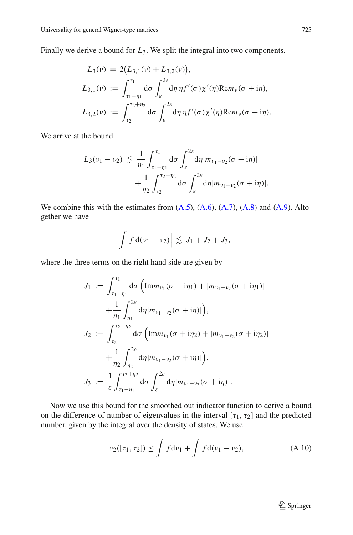Finally we derive a bound for *L*3. We split the integral into two components,

$$
L_3(\nu) = 2(L_{3,1}(\nu) + L_{3,2}(\nu)),
$$
  
\n
$$
L_{3,1}(\nu) := \int_{\tau_1 - \eta_1}^{\tau_1} d\sigma \int_{\varepsilon}^{2\varepsilon} d\eta \, \eta f'(\sigma) \chi'(\eta) \text{Rem}_\nu(\sigma + i\eta),
$$
  
\n
$$
L_{3,2}(\nu) := \int_{\tau_2}^{\tau_2 + \eta_2} d\sigma \int_{\varepsilon}^{2\varepsilon} d\eta \, \eta f'(\sigma) \chi'(\eta) \text{Rem}_\nu(\sigma + i\eta).
$$

We arrive at the bound

$$
L_3(\nu_1 - \nu_2) \lesssim \frac{1}{\eta_1} \int_{\tau_1 - \eta_1}^{\tau_1} d\sigma \int_{\varepsilon}^{2\varepsilon} d\eta |m_{\nu_1 - \nu_2}(\sigma + i\eta)| + \frac{1}{\eta_2} \int_{\tau_2}^{\tau_2 + \eta_2} d\sigma \int_{\varepsilon}^{2\varepsilon} d\eta |m_{\nu_1 - \nu_2}(\sigma + i\eta)|.
$$

We combine this with the estimates from  $(A.5)$ ,  $(A.6)$ ,  $(A.7)$ ,  $(A.8)$  and  $(A.9)$ . Altogether we have

$$
\left|\int f\,\mathrm{d}(\nu_1-\nu_2)\right|\,\lesssim\, J_1+J_2+J_3,
$$

where the three terms on the right hand side are given by

$$
J_1 := \int_{\tau_1 - \eta_1}^{\tau_1} d\sigma \left( \text{Im} m_{\nu_1} (\sigma + i\eta_1) + |m_{\nu_1 - \nu_2} (\sigma + i\eta_1)| \right. \n+ \frac{1}{\eta_1} \int_{\eta_1}^{2\varepsilon} d\eta |m_{\nu_1 - \nu_2} (\sigma + i\eta)| \right), \nJ_2 := \int_{\tau_2}^{\tau_2 + \eta_2} d\sigma \left( \text{Im} m_{\nu_1} (\sigma + i\eta_2) + |m_{\nu_1 - \nu_2} (\sigma + i\eta_2)| \right. \n+ \frac{1}{\eta_2} \int_{\eta_2}^{2\varepsilon} d\eta |m_{\nu_1 - \nu_2} (\sigma + i\eta)| \right), \nJ_3 := \frac{1}{\varepsilon} \int_{\tau_1 - \eta_1}^{\tau_2 + \eta_2} d\sigma \int_{\varepsilon}^{2\varepsilon} d\eta |m_{\nu_1 - \nu_2} (\sigma + i\eta)|.
$$

Now we use this bound for the smoothed out indicator function to derive a bound on the difference of number of eigenvalues in the interval  $[\tau_1, \tau_2]$  and the predicted number, given by the integral over the density of states. We use

$$
\nu_2([\tau_1, \tau_2]) \le \int f d\nu_1 + \int f d(\nu_1 - \nu_2), \tag{A.10}
$$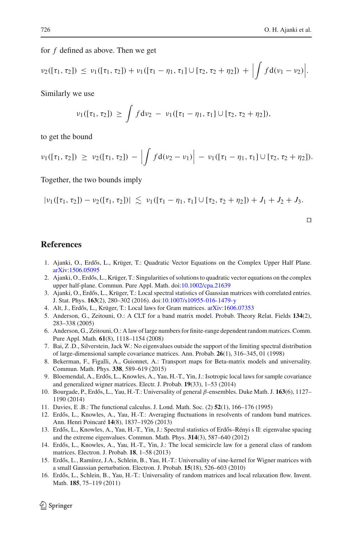for *f* defined as above. Then we get

$$
\nu_2([\tau_1,\tau_2]) \leq \nu_1([\tau_1,\tau_2]) + \nu_1([\tau_1-\eta_1,\tau_1] \cup [\tau_2,\tau_2+\eta_2]) + \Bigl| \int f d(\nu_1-\nu_2) \Bigl|.
$$

Similarly we use

$$
\nu_1([\tau_1, \tau_2]) \geq \int f d\nu_2 - \nu_1([\tau_1 - \eta_1, \tau_1] \cup [\tau_2, \tau_2 + \eta_2]),
$$

to get the bound

$$
\nu_1([\tau_1, \tau_2]) \geq \nu_2([\tau_1, \tau_2]) - \left| \int f d(\nu_2 - \nu_1) \right| - \nu_1([\tau_1 - \eta_1, \tau_1] \cup [\tau_2, \tau_2 + \eta_2]).
$$

Together, the two bounds imply

$$
|\nu_1([\tau_1,\tau_2])-\nu_2([\tau_1,\tau_2])|\,\lesssim\,\nu_1([\tau_1-\eta_1,\tau_1]\cup[\tau_2,\tau_2+\eta_2])+J_1+J_2+J_3.
$$

 $\Box$ 

## <span id="page-59-5"></span><span id="page-59-0"></span>**References**

- 1. Ajanki, O., Erdős, L., Krüger, T.: Quadratic Vector Equations on the Complex Upper Half Plane. [arXiv:1506.05095](http://arxiv.org/abs/1506.05095)
- <span id="page-59-6"></span>2. Ajanki, O., Erdős, L., Krüger, T.: Singularities of solutions to quadratic vector equations on the complex upper half-plane. Commun. Pure Appl. Math. doi[:10.1002/cpa.21639](http://dx.doi.org/10.1002/cpa.21639)
- <span id="page-59-10"></span>3. Ajanki, O., Erdős, L., Krüger, T.: Local spectral statistics of Gaussian matrices with correlated entries. J. Stat. Phys. **163**(2), 280–302 (2016). doi[:10.1007/s10955-016-1479-y](http://dx.doi.org/10.1007/s10955-016-1479-y)
- 4. Alt, J., Erdős, L., Krüger, T.: Local laws for Gram matrices. [arXiv:1606.07353](http://arxiv.org/abs/1606.07353)
- <span id="page-59-11"></span><span id="page-59-3"></span>5. Anderson, G., Zeitouni, O.: A CLT for a band matrix model. Probab. Theory Relat. Fields **134**(2), 283–338 (2005)
- <span id="page-59-4"></span>6. Anderson, G., Zeitouni, O.: A law of large numbers for finite-range dependent random matrices. Comm. Pure Appl. Math. **61**(8), 1118–1154 (2008)
- <span id="page-59-13"></span>7. Bai, Z .D., Silverstein, Jack W.: No eigenvalues outside the support of the limiting spectral distribution of large-dimensional sample covariance matrices. Ann. Probab. **26**(1), 316–345, 01 (1998)
- <span id="page-59-8"></span>8. Bekerman, F., Figalli, A., Guionnet, A.: Transport maps for Beta-matrix models and universality. Commun. Math. Phys. **338**, 589–619 (2015)
- 9. Bloemendal, A., Erdős, L., Knowles, A., Yau, H.-T., Yin, J.: Isotropic local laws for sample covariance and generalized wigner matrices. Electr. J. Probab. **19**(33), 1–53 (2014)
- <span id="page-59-16"></span><span id="page-59-7"></span>10. Bourgade, P., Erdős, L., Yau, H.-T.: Universality of general β-ensembles. Duke Math. J. 163(6), 1127– 1190 (2014)
- <span id="page-59-14"></span>11. Davies, E .B.: The functional calculus. J. Lond. Math. Soc. (2) **52**(1), 166–176 (1995)
- <span id="page-59-12"></span>12. Erdős, L., Knowles, A., Yau, H.-T.: Averaging fluctuations in resolvents of random band matrices. Ann. Henri Poincaré **14**(8), 1837–1926 (2013)
- <span id="page-59-1"></span>13. Erdős, L., Knowles, A., Yau, H.-T., Yin, J.: Spectral statistics of Erdős–Rényi s II: eigenvalue spacing and the extreme eigenvalues. Commun. Math. Phys. **314**(3), 587–640 (2012)
- <span id="page-59-2"></span>14. Erdős, L., Knowles, A., Yau, H.-T., Yin, J.: The local semicircle law for a general class of random matrices. Electron. J. Probab. **18**, 1–58 (2013)
- <span id="page-59-15"></span>15. Erdős, L., Ramírez, J.A., Schlein, B., Yau, H.-T.: Universality of sine-kernel for Wigner matrices with a small Gaussian perturbation. Electron. J. Probab. **15**(18), 526–603 (2010)
- <span id="page-59-9"></span>16. Erdős, L., Schlein, B., Yau, H.-T.: Universality of random matrices and local relaxation flow. Invent. Math. **185**, 75–119 (2011)